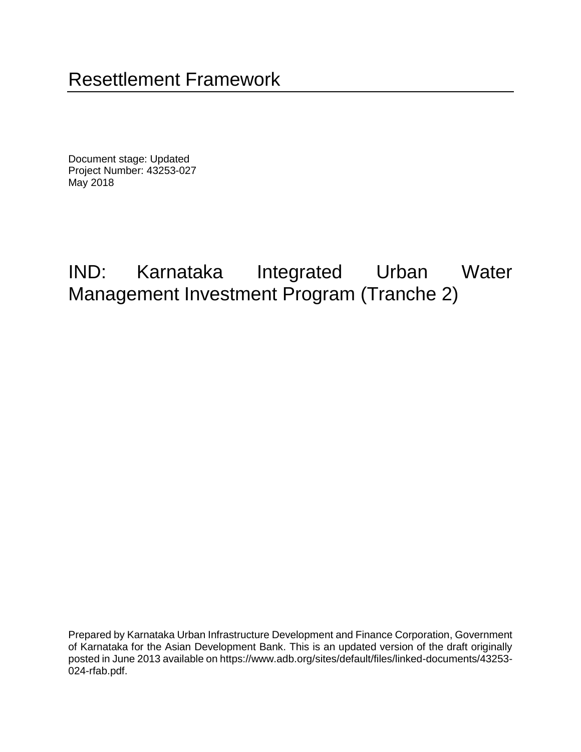Document stage: Updated Project Number: 43253-027 May 2018

# IND: Karnataka Integrated Urban Water Management Investment Program (Tranche 2)

Prepared by Karnataka Urban Infrastructure Development and Finance Corporation, Government of Karnataka for the Asian Development Bank. This is an updated version of the draft originally posted in June 2013 available on https://www.adb.org/sites/default/files/linked-documents/43253- 024-rfab.pdf.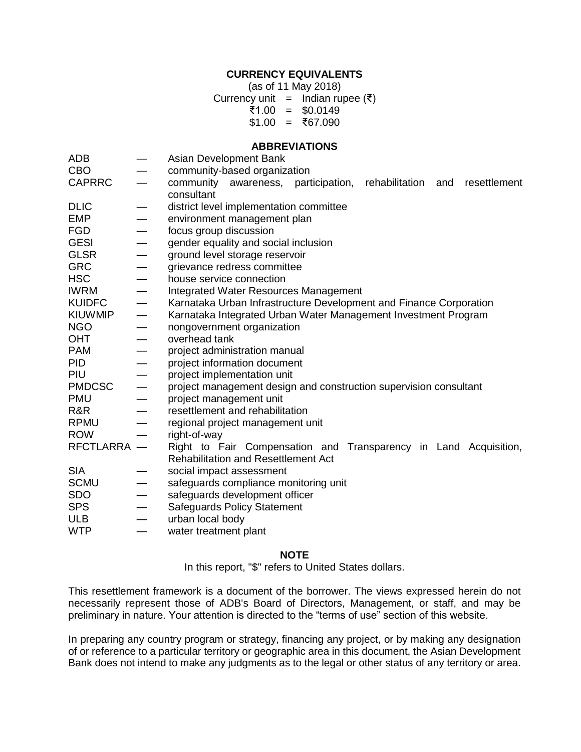#### **CURRENCY EQUIVALENTS**

(as of 11 May 2018)

Currency unit = Indian rupee  $(3)$ 

- ₹1.00 = \$0.0149
- $$1.00 = ₹67.090$

#### **ABBREVIATIONS**

| ADB            | $\overbrace{\phantom{13333}}$     | Asian Development Bank                                                    |  |  |  |  |  |
|----------------|-----------------------------------|---------------------------------------------------------------------------|--|--|--|--|--|
| <b>CBO</b>     |                                   | community-based organization                                              |  |  |  |  |  |
| <b>CAPRRC</b>  | $\overline{\phantom{0}}$          | community awareness, participation, rehabilitation<br>resettlement<br>and |  |  |  |  |  |
|                |                                   | consultant                                                                |  |  |  |  |  |
| <b>DLIC</b>    |                                   | district level implementation committee                                   |  |  |  |  |  |
| <b>EMP</b>     |                                   | environment management plan                                               |  |  |  |  |  |
| <b>FGD</b>     | $\overline{\phantom{0}}$          | focus group discussion                                                    |  |  |  |  |  |
| <b>GESI</b>    |                                   | gender equality and social inclusion                                      |  |  |  |  |  |
| <b>GLSR</b>    |                                   | ground level storage reservoir                                            |  |  |  |  |  |
| <b>GRC</b>     | $\overbrace{\phantom{123221111}}$ | grievance redress committee                                               |  |  |  |  |  |
| <b>HSC</b>     | $\overbrace{\phantom{aaaaa}}$     | house service connection                                                  |  |  |  |  |  |
| <b>IWRM</b>    | $\overline{\phantom{0}}$          | <b>Integrated Water Resources Management</b>                              |  |  |  |  |  |
| <b>KUIDFC</b>  |                                   | Karnataka Urban Infrastructure Development and Finance Corporation        |  |  |  |  |  |
| <b>KIUWMIP</b> |                                   | Karnataka Integrated Urban Water Management Investment Program            |  |  |  |  |  |
| <b>NGO</b>     | $\overbrace{\phantom{aaaaa}}$     | nongovernment organization                                                |  |  |  |  |  |
| <b>OHT</b>     | $\overline{\phantom{0}}$          | overhead tank                                                             |  |  |  |  |  |
| <b>PAM</b>     | $\overbrace{\phantom{123221111}}$ | project administration manual                                             |  |  |  |  |  |
| <b>PID</b>     | $\overline{\phantom{m}}$          | project information document                                              |  |  |  |  |  |
| PIU            |                                   | project implementation unit                                               |  |  |  |  |  |
| <b>PMDCSC</b>  | $\overline{\phantom{m}}$          | project management design and construction supervision consultant         |  |  |  |  |  |
| <b>PMU</b>     | $\overbrace{\phantom{12322111}}$  | project management unit                                                   |  |  |  |  |  |
| R&R            |                                   | resettlement and rehabilitation                                           |  |  |  |  |  |
| <b>RPMU</b>    |                                   | regional project management unit                                          |  |  |  |  |  |
| <b>ROW</b>     |                                   | right-of-way                                                              |  |  |  |  |  |
| RFCTLARRA -    |                                   | Right to Fair Compensation and Transparency in Land Acquisition,          |  |  |  |  |  |
|                |                                   | <b>Rehabilitation and Resettlement Act</b>                                |  |  |  |  |  |
| <b>SIA</b>     |                                   | social impact assessment                                                  |  |  |  |  |  |
| <b>SCMU</b>    | $\overline{\phantom{m}}$          | safeguards compliance monitoring unit                                     |  |  |  |  |  |
| <b>SDO</b>     | $\overline{\phantom{0}}$          | safeguards development officer                                            |  |  |  |  |  |
| <b>SPS</b>     | $\overline{\phantom{0}}$          | <b>Safeguards Policy Statement</b>                                        |  |  |  |  |  |
| <b>ULB</b>     |                                   | urban local body                                                          |  |  |  |  |  |
| <b>WTP</b>     | $\overline{\phantom{0}}$          | water treatment plant                                                     |  |  |  |  |  |
|                |                                   |                                                                           |  |  |  |  |  |

#### **NOTE**

In this report, "\$" refers to United States dollars.

This resettlement framework is a document of the borrower. The views expressed herein do not necessarily represent those of ADB's Board of Directors, Management, or staff, and may be preliminary in nature. Your attention is directed to the "terms of use" section of this website.

In preparing any country program or strategy, financing any project, or by making any designation of or reference to a particular territory or geographic area in this document, the Asian Development Bank does not intend to make any judgments as to the legal or other status of any territory or area.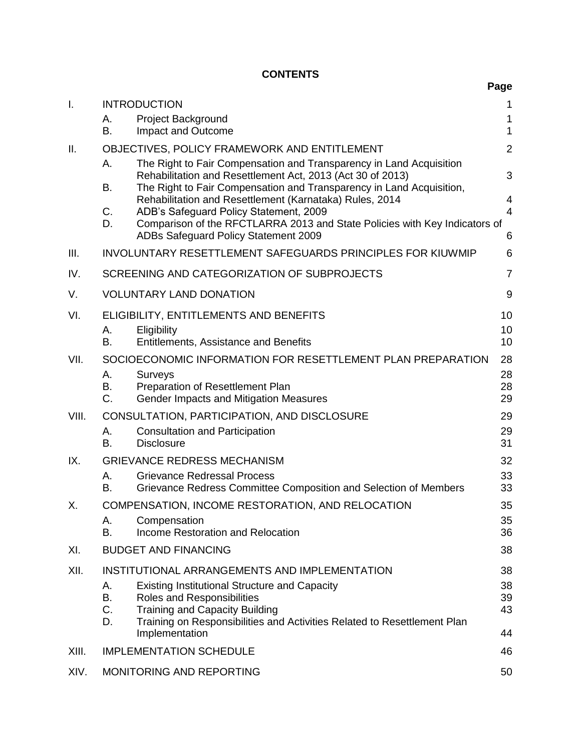# **CONTENTS**

| ×<br>۰.<br>v<br>., |
|--------------------|
|--------------------|

| $\mathsf{I}$ . |                                | <b>INTRODUCTION</b>                                                                                                                                                                                       | 1                   |  |  |  |
|----------------|--------------------------------|-----------------------------------------------------------------------------------------------------------------------------------------------------------------------------------------------------------|---------------------|--|--|--|
|                | А.<br>В.                       | <b>Project Background</b><br>Impact and Outcome                                                                                                                                                           | 1<br>$\mathbf 1$    |  |  |  |
| II.            |                                | OBJECTIVES, POLICY FRAMEWORK AND ENTITLEMENT                                                                                                                                                              | $\overline{2}$      |  |  |  |
|                | Α.<br>В.                       | The Right to Fair Compensation and Transparency in Land Acquisition<br>Rehabilitation and Resettlement Act, 2013 (Act 30 of 2013)<br>The Right to Fair Compensation and Transparency in Land Acquisition, | 3                   |  |  |  |
|                |                                | Rehabilitation and Resettlement (Karnataka) Rules, 2014                                                                                                                                                   | 4                   |  |  |  |
|                | C.<br>D.                       | ADB's Safeguard Policy Statement, 2009<br>Comparison of the RFCTLARRA 2013 and State Policies with Key Indicators of<br>ADBs Safeguard Policy Statement 2009                                              | $\overline{4}$<br>6 |  |  |  |
| III.           |                                | INVOLUNTARY RESETTLEMENT SAFEGUARDS PRINCIPLES FOR KIUWMIP                                                                                                                                                | 6                   |  |  |  |
| IV.            |                                | SCREENING AND CATEGORIZATION OF SUBPROJECTS                                                                                                                                                               | $\overline{7}$      |  |  |  |
| V.             |                                | <b>VOLUNTARY LAND DONATION</b>                                                                                                                                                                            | 9                   |  |  |  |
| VI.            |                                | ELIGIBILITY, ENTITLEMENTS AND BENEFITS                                                                                                                                                                    | 10                  |  |  |  |
|                | А.<br>В.                       | Eligibility<br><b>Entitlements, Assistance and Benefits</b>                                                                                                                                               | 10<br>10            |  |  |  |
| VII.           |                                | SOCIOECONOMIC INFORMATION FOR RESETTLEMENT PLAN PREPARATION                                                                                                                                               | 28                  |  |  |  |
|                | А.<br>В.                       | Surveys<br>Preparation of Resettlement Plan                                                                                                                                                               | 28<br>28            |  |  |  |
|                | C.                             | Gender Impacts and Mitigation Measures                                                                                                                                                                    | 29                  |  |  |  |
| VIII.          |                                | CONSULTATION, PARTICIPATION, AND DISCLOSURE                                                                                                                                                               | 29                  |  |  |  |
|                | А.<br>B.                       | <b>Consultation and Participation</b><br><b>Disclosure</b>                                                                                                                                                | 29<br>31            |  |  |  |
| IX.            |                                | <b>GRIEVANCE REDRESS MECHANISM</b>                                                                                                                                                                        | 32                  |  |  |  |
|                | Α.<br>B.                       | <b>Grievance Redressal Process</b><br>Grievance Redress Committee Composition and Selection of Members                                                                                                    | 33<br>33            |  |  |  |
| Χ.             |                                | COMPENSATION, INCOME RESTORATION, AND RELOCATION                                                                                                                                                          | 35                  |  |  |  |
|                | Α.<br>В.                       | Compensation<br>Income Restoration and Relocation                                                                                                                                                         | 35<br>36            |  |  |  |
| XI.            |                                | <b>BUDGET AND FINANCING</b>                                                                                                                                                                               | 38                  |  |  |  |
| XII.           |                                | INSTITUTIONAL ARRANGEMENTS AND IMPLEMENTATION                                                                                                                                                             | 38                  |  |  |  |
|                | А.                             | <b>Existing Institutional Structure and Capacity</b>                                                                                                                                                      | 38                  |  |  |  |
|                | B.<br>C.                       | Roles and Responsibilities<br><b>Training and Capacity Building</b>                                                                                                                                       | 39<br>43            |  |  |  |
|                | D.                             | Training on Responsibilities and Activities Related to Resettlement Plan<br>Implementation                                                                                                                | 44                  |  |  |  |
| XIII.          |                                | <b>IMPLEMENTATION SCHEDULE</b>                                                                                                                                                                            | 46                  |  |  |  |
| XIV.           | MONITORING AND REPORTING<br>50 |                                                                                                                                                                                                           |                     |  |  |  |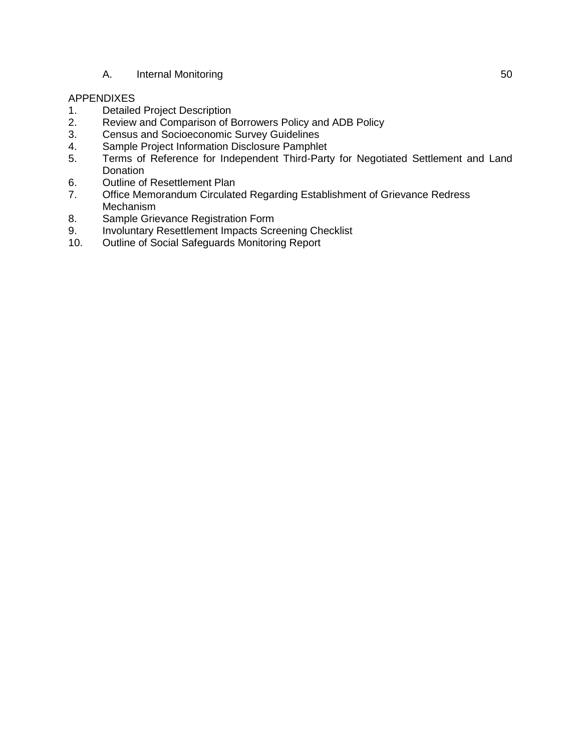#### A. [Internal Monitoring](#page-53-1) 60

#### APPENDIXES

- 1. Detailed Project Description<br>2. Review and Comparison of E
- Review and Comparison of Borrowers Policy and ADB Policy
- 3. Census and Socioeconomic Survey Guidelines
- 4. Sample Project Information Disclosure Pamphlet
- 5. Terms of Reference for Independent Third-Party for Negotiated Settlement and Land **Donation**
- 6. Outline of Resettlement Plan<br>7. Office Memorandum Circulate
- 7. Office Memorandum Circulated Regarding Establishment of Grievance Redress Mechanism
- 8. Sample Grievance Registration Form
- 9. Involuntary Resettlement Impacts Screening Checklist
- 10. Outline of Social Safeguards Monitoring Report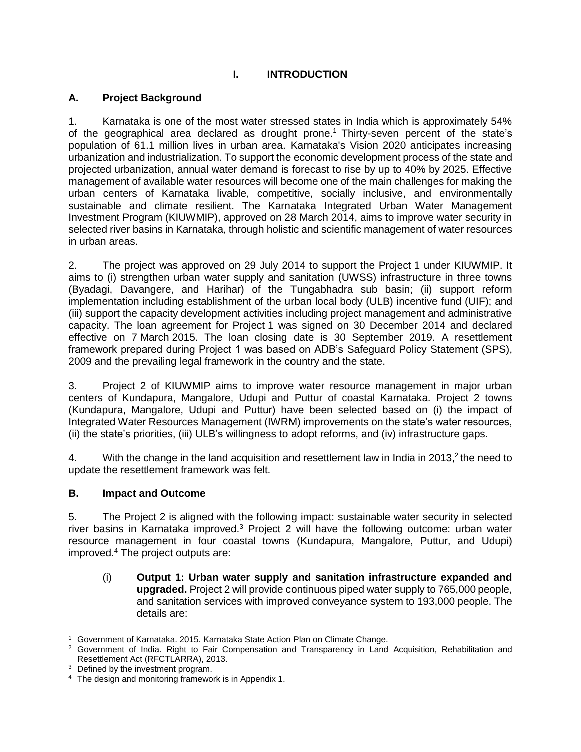# **I. INTRODUCTION**

## <span id="page-4-1"></span><span id="page-4-0"></span>**A. Project Background**

1. Karnataka is one of the most water stressed states in India which is approximately 54% of the geographical area declared as drought prone.<sup>1</sup> Thirty-seven percent of the state's population of 61.1 million lives in urban area. Karnataka's Vision 2020 anticipates increasing urbanization and industrialization. To support the economic development process of the state and projected urbanization, annual water demand is forecast to rise by up to 40% by 2025. Effective management of available water resources will become one of the main challenges for making the urban centers of Karnataka livable, competitive, socially inclusive, and environmentally sustainable and climate resilient. The Karnataka Integrated Urban Water Management Investment Program (KIUWMIP), approved on 28 March 2014, aims to improve water security in selected river basins in Karnataka, through holistic and scientific management of water resources in urban areas.

2. The project was approved on 29 July 2014 to support the Project 1 under KIUWMIP. It aims to (i) strengthen urban water supply and sanitation (UWSS) infrastructure in three towns (Byadagi, Davangere, and Harihar) of the Tungabhadra sub basin; (ii) support reform implementation including establishment of the urban local body (ULB) incentive fund (UIF); and (iii) support the capacity development activities including project management and administrative capacity. The loan agreement for Project 1 was signed on 30 December 2014 and declared effective on 7 March 2015. The loan closing date is 30 September 2019. A resettlement framework prepared during Project 1 was based on ADB's Safeguard Policy Statement (SPS), 2009 and the prevailing legal framework in the country and the state.

3. Project 2 of KIUWMIP aims to improve water resource management in major urban centers of Kundapura, Mangalore, Udupi and Puttur of coastal Karnataka. Project 2 towns (Kundapura, Mangalore, Udupi and Puttur) have been selected based on (i) the impact of Integrated Water Resources Management (IWRM) improvements on the state's water resources, (ii) the state's priorities, (iii) ULB's willingness to adopt reforms, and (iv) infrastructure gaps.

4. With the change in the land acquisition and resettlement law in India in 2013, $2$  the need to update the resettlement framework was felt.

## <span id="page-4-2"></span>**B. Impact and Outcome**

5. The Project 2 is aligned with the following impact: sustainable water security in selected river basins in Karnataka improved.<sup>3</sup> Project 2 will have the following outcome: urban water resource management in four coastal towns (Kundapura, Mangalore, Puttur, and Udupi) improved.<sup>4</sup> The project outputs are:

(i) **Output 1: Urban water supply and sanitation infrastructure expanded and upgraded.** Project 2 will provide continuous piped water supply to 765,000 people, and sanitation services with improved conveyance system to 193,000 people. The details are:

 <sup>1</sup> Government of Karnataka. 2015. Karnataka State Action Plan on Climate Change.

<sup>&</sup>lt;sup>2</sup> Government of India. Right to Fair Compensation and Transparency in Land Acquisition, Rehabilitation and Resettlement Act (RFCTLARRA), 2013.

<sup>&</sup>lt;sup>3</sup> Defined by the investment program.

<sup>&</sup>lt;sup>4</sup> The design and monitoring framework is in Appendix 1.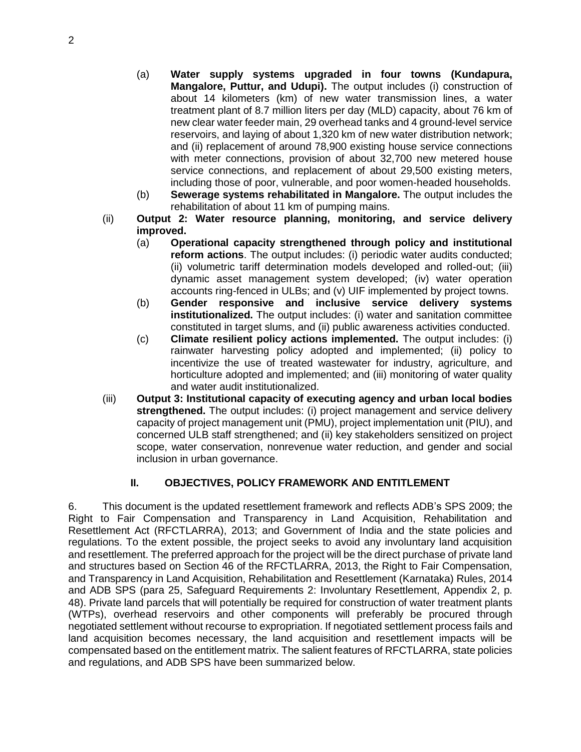- (a) **Water supply systems upgraded in four towns (Kundapura, Mangalore, Puttur, and Udupi).** The output includes (i) construction of about 14 kilometers (km) of new water transmission lines, a water treatment plant of 8.7 million liters per day (MLD) capacity, about 76 km of new clear water feeder main, 29 overhead tanks and 4 ground-level service reservoirs, and laying of about 1,320 km of new water distribution network; and (ii) replacement of around 78,900 existing house service connections with meter connections, provision of about 32,700 new metered house service connections, and replacement of about 29,500 existing meters, including those of poor, vulnerable, and poor women-headed households.
- (b) **Sewerage systems rehabilitated in Mangalore.** The output includes the rehabilitation of about 11 km of pumping mains.
- (ii) **Output 2: Water resource planning, monitoring, and service delivery improved.** 
	- (a) **Operational capacity strengthened through policy and institutional reform actions**. The output includes: (i) periodic water audits conducted; (ii) volumetric tariff determination models developed and rolled-out; (iii) dynamic asset management system developed; (iv) water operation accounts ring-fenced in ULBs; and (v) UIF implemented by project towns.
	- (b) **Gender responsive and inclusive service delivery systems institutionalized.** The output includes: (i) water and sanitation committee constituted in target slums, and (ii) public awareness activities conducted.
	- (c) **Climate resilient policy actions implemented.** The output includes: (i) rainwater harvesting policy adopted and implemented; (ii) policy to incentivize the use of treated wastewater for industry, agriculture, and horticulture adopted and implemented; and (iii) monitoring of water quality and water audit institutionalized.
- (iii) **Output 3: Institutional capacity of executing agency and urban local bodies strengthened.** The output includes: (i) project management and service delivery capacity of project management unit (PMU), project implementation unit (PIU), and concerned ULB staff strengthened; and (ii) key stakeholders sensitized on project scope, water conservation, nonrevenue water reduction, and gender and social inclusion in urban governance.

## **II. OBJECTIVES, POLICY FRAMEWORK AND ENTITLEMENT**

<span id="page-5-0"></span>6. This document is the updated resettlement framework and reflects ADB's SPS 2009; the Right to Fair Compensation and Transparency in Land Acquisition, Rehabilitation and Resettlement Act (RFCTLARRA), 2013; and Government of India and the state policies and regulations. To the extent possible, the project seeks to avoid any involuntary land acquisition and resettlement. The preferred approach for the project will be the direct purchase of private land and structures based on Section 46 of the RFCTLARRA, 2013, the Right to Fair Compensation, and Transparency in Land Acquisition, Rehabilitation and Resettlement (Karnataka) Rules, 2014 and ADB SPS (para 25, Safeguard Requirements 2: Involuntary Resettlement, Appendix 2, p. 48). Private land parcels that will potentially be required for construction of water treatment plants (WTPs), overhead reservoirs and other components will preferably be procured through negotiated settlement without recourse to expropriation. If negotiated settlement process fails and land acquisition becomes necessary, the land acquisition and resettlement impacts will be compensated based on the entitlement matrix. The salient features of RFCTLARRA, state policies and regulations, and ADB SPS have been summarized below.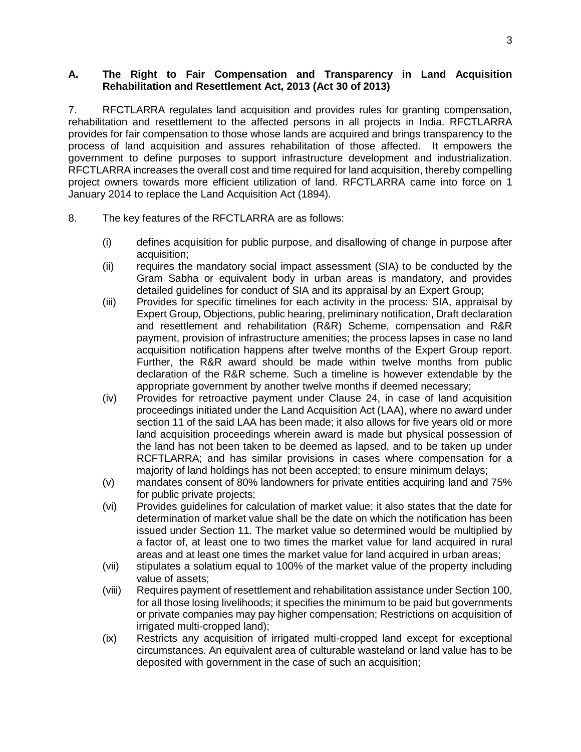#### <span id="page-6-0"></span>**A. The Right to Fair Compensation and Transparency in Land Acquisition Rehabilitation and Resettlement Act, 2013 (Act 30 of 2013)**

7. RFCTLARRA regulates land acquisition and provides rules for granting compensation, rehabilitation and resettlement to the affected persons in all projects in India. RFCTLARRA provides for fair compensation to those whose lands are acquired and brings transparency to the process of land acquisition and assures rehabilitation of those affected. It empowers the government to define purposes to support infrastructure development and industrialization. RFCTLARRA increases the overall cost and time required for land acquisition, thereby compelling project owners towards more efficient utilization of land. RFCTLARRA came into force on 1 January 2014 to replace the Land Acquisition Act (1894).

- 8. The key features of the RFCTLARRA are as follows:
	- (i) defines acquisition for public purpose, and disallowing of change in purpose after acquisition;
	- (ii) requires the mandatory social impact assessment (SIA) to be conducted by the Gram Sabha or equivalent body in urban areas is mandatory, and provides detailed guidelines for conduct of SIA and its appraisal by an Expert Group;
	- (iii) Provides for specific timelines for each activity in the process: SIA, appraisal by Expert Group, Objections, public hearing, preliminary notification, Draft declaration and resettlement and rehabilitation (R&R) Scheme, compensation and R&R payment, provision of infrastructure amenities; the process lapses in case no land acquisition notification happens after twelve months of the Expert Group report. Further, the R&R award should be made within twelve months from public declaration of the R&R scheme. Such a timeline is however extendable by the appropriate government by another twelve months if deemed necessary;
	- (iv) Provides for retroactive payment under Clause 24, in case of land acquisition proceedings initiated under the Land Acquisition Act (LAA), where no award under section 11 of the said LAA has been made; it also allows for five years old or more land acquisition proceedings wherein award is made but physical possession of the land has not been taken to be deemed as lapsed, and to be taken up under RCFTLARRA; and has similar provisions in cases where compensation for a majority of land holdings has not been accepted; to ensure minimum delays;
	- (v) mandates consent of 80% landowners for private entities acquiring land and 75% for public private projects;
	- (vi) Provides guidelines for calculation of market value; it also states that the date for determination of market value shall be the date on which the notification has been issued under Section 11. The market value so determined would be multiplied by a factor of, at least one to two times the market value for land acquired in rural areas and at least one times the market value for land acquired in urban areas;
	- (vii) stipulates a solatium equal to 100% of the market value of the property including value of assets;
	- (viii) Requires payment of resettlement and rehabilitation assistance under Section 100, for all those losing livelihoods; it specifies the minimum to be paid but governments or private companies may pay higher compensation; Restrictions on acquisition of irrigated multi-cropped land);
	- (ix) Restricts any acquisition of irrigated multi-cropped land except for exceptional circumstances. An equivalent area of culturable wasteland or land value has to be deposited with government in the case of such an acquisition;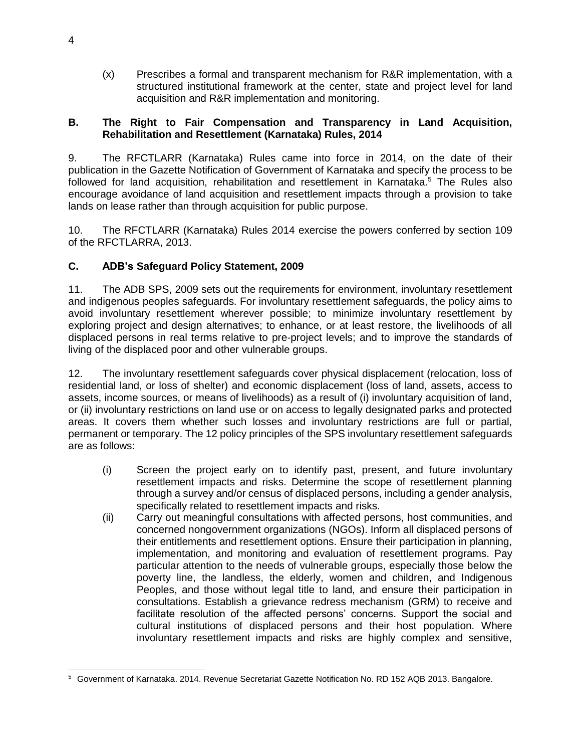(x) Prescribes a formal and transparent mechanism for R&R implementation, with a structured institutional framework at the center, state and project level for land acquisition and R&R implementation and monitoring.

#### <span id="page-7-0"></span>**B. The Right to Fair Compensation and Transparency in Land Acquisition, Rehabilitation and Resettlement (Karnataka) Rules, 2014**

9. The RFCTLARR (Karnataka) Rules came into force in 2014, on the date of their publication in the Gazette Notification of Government of Karnataka and specify the process to be followed for land acquisition, rehabilitation and resettlement in Karnataka.<sup>5</sup> The Rules also encourage avoidance of land acquisition and resettlement impacts through a provision to take lands on lease rather than through acquisition for public purpose.

10. The RFCTLARR (Karnataka) Rules 2014 exercise the powers conferred by section 109 of the RFCTLARRA, 2013.

## <span id="page-7-1"></span>**C. ADB's Safeguard Policy Statement, 2009**

11. The ADB SPS, 2009 sets out the requirements for environment, involuntary resettlement and indigenous peoples safeguards. For involuntary resettlement safeguards, the policy aims to avoid involuntary resettlement wherever possible; to minimize involuntary resettlement by exploring project and design alternatives; to enhance, or at least restore, the livelihoods of all displaced persons in real terms relative to pre-project levels; and to improve the standards of living of the displaced poor and other vulnerable groups.

12. The involuntary resettlement safeguards cover physical displacement (relocation, loss of residential land, or loss of shelter) and economic displacement (loss of land, assets, access to assets, income sources, or means of livelihoods) as a result of (i) involuntary acquisition of land, or (ii) involuntary restrictions on land use or on access to legally designated parks and protected areas. It covers them whether such losses and involuntary restrictions are full or partial, permanent or temporary. The 12 policy principles of the SPS involuntary resettlement safeguards are as follows:

- (i) Screen the project early on to identify past, present, and future involuntary resettlement impacts and risks. Determine the scope of resettlement planning through a survey and/or census of displaced persons, including a gender analysis, specifically related to resettlement impacts and risks.
- (ii) Carry out meaningful consultations with affected persons, host communities, and concerned nongovernment organizations (NGOs). Inform all displaced persons of their entitlements and resettlement options. Ensure their participation in planning, implementation, and monitoring and evaluation of resettlement programs. Pay particular attention to the needs of vulnerable groups, especially those below the poverty line, the landless, the elderly, women and children, and Indigenous Peoples, and those without legal title to land, and ensure their participation in consultations. Establish a grievance redress mechanism (GRM) to receive and facilitate resolution of the affected persons' concerns. Support the social and cultural institutions of displaced persons and their host population. Where involuntary resettlement impacts and risks are highly complex and sensitive,

<sup>5</sup> Government of Karnataka. 2014. Revenue Secretariat Gazette Notification No. RD 152 AQB 2013. Bangalore.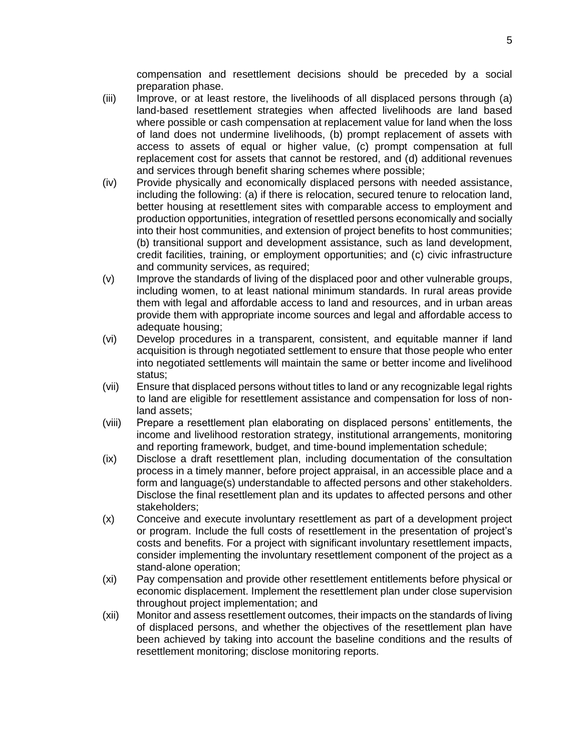compensation and resettlement decisions should be preceded by a social preparation phase.

- (iii) Improve, or at least restore, the livelihoods of all displaced persons through (a) land-based resettlement strategies when affected livelihoods are land based where possible or cash compensation at replacement value for land when the loss of land does not undermine livelihoods, (b) prompt replacement of assets with access to assets of equal or higher value, (c) prompt compensation at full replacement cost for assets that cannot be restored, and (d) additional revenues and services through benefit sharing schemes where possible;
- (iv) Provide physically and economically displaced persons with needed assistance, including the following: (a) if there is relocation, secured tenure to relocation land, better housing at resettlement sites with comparable access to employment and production opportunities, integration of resettled persons economically and socially into their host communities, and extension of project benefits to host communities; (b) transitional support and development assistance, such as land development, credit facilities, training, or employment opportunities; and (c) civic infrastructure and community services, as required;
- (v) Improve the standards of living of the displaced poor and other vulnerable groups, including women, to at least national minimum standards. In rural areas provide them with legal and affordable access to land and resources, and in urban areas provide them with appropriate income sources and legal and affordable access to adequate housing;
- (vi) Develop procedures in a transparent, consistent, and equitable manner if land acquisition is through negotiated settlement to ensure that those people who enter into negotiated settlements will maintain the same or better income and livelihood status;
- (vii) Ensure that displaced persons without titles to land or any recognizable legal rights to land are eligible for resettlement assistance and compensation for loss of nonland assets;
- (viii) Prepare a resettlement plan elaborating on displaced persons' entitlements, the income and livelihood restoration strategy, institutional arrangements, monitoring and reporting framework, budget, and time-bound implementation schedule;
- (ix) Disclose a draft resettlement plan, including documentation of the consultation process in a timely manner, before project appraisal, in an accessible place and a form and language(s) understandable to affected persons and other stakeholders. Disclose the final resettlement plan and its updates to affected persons and other stakeholders;
- (x) Conceive and execute involuntary resettlement as part of a development project or program. Include the full costs of resettlement in the presentation of project's costs and benefits. For a project with significant involuntary resettlement impacts, consider implementing the involuntary resettlement component of the project as a stand-alone operation;
- (xi) Pay compensation and provide other resettlement entitlements before physical or economic displacement. Implement the resettlement plan under close supervision throughout project implementation; and
- (xii) Monitor and assess resettlement outcomes, their impacts on the standards of living of displaced persons, and whether the objectives of the resettlement plan have been achieved by taking into account the baseline conditions and the results of resettlement monitoring; disclose monitoring reports.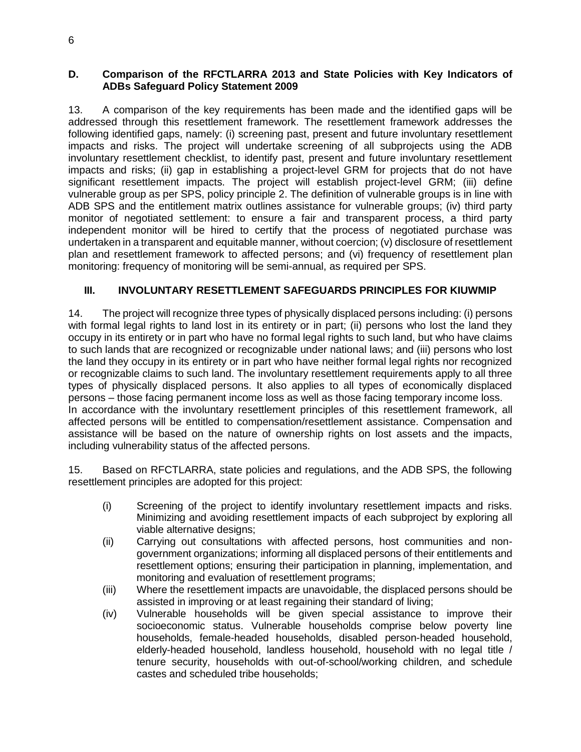#### <span id="page-9-0"></span>**D. Comparison of the RFCTLARRA 2013 and State Policies with Key Indicators of ADBs Safeguard Policy Statement 2009**

13. A comparison of the key requirements has been made and the identified gaps will be addressed through this resettlement framework. The resettlement framework addresses the following identified gaps, namely: (i) screening past, present and future involuntary resettlement impacts and risks. The project will undertake screening of all subprojects using the ADB involuntary resettlement checklist, to identify past, present and future involuntary resettlement impacts and risks; (ii) gap in establishing a project-level GRM for projects that do not have significant resettlement impacts. The project will establish project-level GRM; (iii) define vulnerable group as per SPS, policy principle 2. The definition of vulnerable groups is in line with ADB SPS and the entitlement matrix outlines assistance for vulnerable groups; (iv) third party monitor of negotiated settlement: to ensure a fair and transparent process, a third party independent monitor will be hired to certify that the process of negotiated purchase was undertaken in a transparent and equitable manner, without coercion; (v) disclosure of resettlement plan and resettlement framework to affected persons; and (vi) frequency of resettlement plan monitoring: frequency of monitoring will be semi-annual, as required per SPS.

#### <span id="page-9-1"></span>**III. INVOLUNTARY RESETTLEMENT SAFEGUARDS PRINCIPLES FOR KIUWMIP**

14. The project will recognize three types of physically displaced persons including: (i) persons with formal legal rights to land lost in its entirety or in part; (ii) persons who lost the land they occupy in its entirety or in part who have no formal legal rights to such land, but who have claims to such lands that are recognized or recognizable under national laws; and (iii) persons who lost the land they occupy in its entirety or in part who have neither formal legal rights nor recognized or recognizable claims to such land. The involuntary resettlement requirements apply to all three types of physically displaced persons. It also applies to all types of economically displaced persons – those facing permanent income loss as well as those facing temporary income loss. In accordance with the involuntary resettlement principles of this resettlement framework, all affected persons will be entitled to compensation/resettlement assistance. Compensation and assistance will be based on the nature of ownership rights on lost assets and the impacts, including vulnerability status of the affected persons.

15. Based on RFCTLARRA, state policies and regulations, and the ADB SPS, the following resettlement principles are adopted for this project:

- (i) Screening of the project to identify involuntary resettlement impacts and risks. Minimizing and avoiding resettlement impacts of each subproject by exploring all viable alternative designs;
- (ii) Carrying out consultations with affected persons, host communities and nongovernment organizations; informing all displaced persons of their entitlements and resettlement options; ensuring their participation in planning, implementation, and monitoring and evaluation of resettlement programs;
- (iii) Where the resettlement impacts are unavoidable, the displaced persons should be assisted in improving or at least regaining their standard of living;
- (iv) Vulnerable households will be given special assistance to improve their socioeconomic status. Vulnerable households comprise below poverty line households, female-headed households, disabled person-headed household, elderly-headed household, landless household, household with no legal title / tenure security, households with out-of-school/working children, and schedule castes and scheduled tribe households;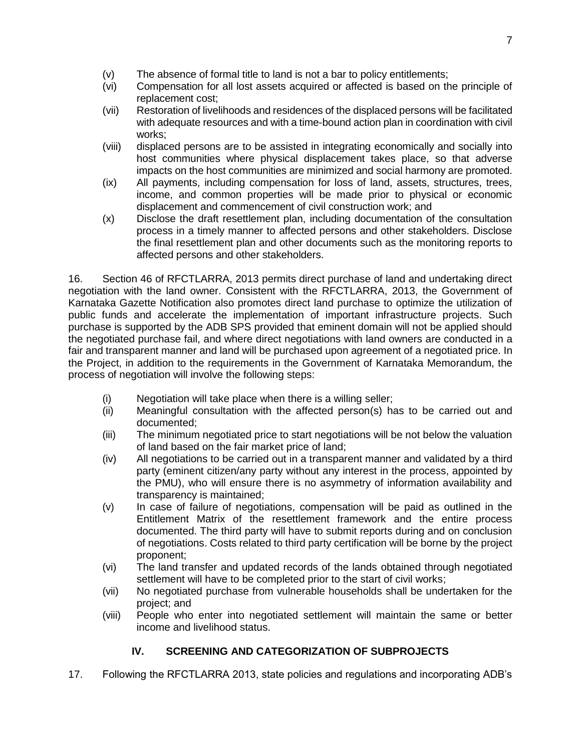- (v) The absence of formal title to land is not a bar to policy entitlements;
- (vi) Compensation for all lost assets acquired or affected is based on the principle of replacement cost;
- (vii) Restoration of livelihoods and residences of the displaced persons will be facilitated with adequate resources and with a time-bound action plan in coordination with civil works;
- (viii) displaced persons are to be assisted in integrating economically and socially into host communities where physical displacement takes place, so that adverse impacts on the host communities are minimized and social harmony are promoted.
- (ix) All payments, including compensation for loss of land, assets, structures, trees, income, and common properties will be made prior to physical or economic displacement and commencement of civil construction work; and
- (x) Disclose the draft resettlement plan, including documentation of the consultation process in a timely manner to affected persons and other stakeholders. Disclose the final resettlement plan and other documents such as the monitoring reports to affected persons and other stakeholders.

16. Section 46 of RFCTLARRA, 2013 permits direct purchase of land and undertaking direct negotiation with the land owner. Consistent with the RFCTLARRA, 2013, the Government of Karnataka Gazette Notification also promotes direct land purchase to optimize the utilization of public funds and accelerate the implementation of important infrastructure projects. Such purchase is supported by the ADB SPS provided that eminent domain will not be applied should the negotiated purchase fail, and where direct negotiations with land owners are conducted in a fair and transparent manner and land will be purchased upon agreement of a negotiated price. In the Project, in addition to the requirements in the Government of Karnataka Memorandum, the process of negotiation will involve the following steps:

- (i) Negotiation will take place when there is a willing seller;
- (ii) Meaningful consultation with the affected person(s) has to be carried out and documented;
- (iii) The minimum negotiated price to start negotiations will be not below the valuation of land based on the fair market price of land;
- (iv) All negotiations to be carried out in a transparent manner and validated by a third party (eminent citizen/any party without any interest in the process, appointed by the PMU), who will ensure there is no asymmetry of information availability and transparency is maintained;
- (v) In case of failure of negotiations, compensation will be paid as outlined in the Entitlement Matrix of the resettlement framework and the entire process documented. The third party will have to submit reports during and on conclusion of negotiations. Costs related to third party certification will be borne by the project proponent;
- (vi) The land transfer and updated records of the lands obtained through negotiated settlement will have to be completed prior to the start of civil works;
- (vii) No negotiated purchase from vulnerable households shall be undertaken for the project; and
- (viii) People who enter into negotiated settlement will maintain the same or better income and livelihood status.

# **IV. SCREENING AND CATEGORIZATION OF SUBPROJECTS**

<span id="page-10-0"></span>17. Following the RFCTLARRA 2013, state policies and regulations and incorporating ADB's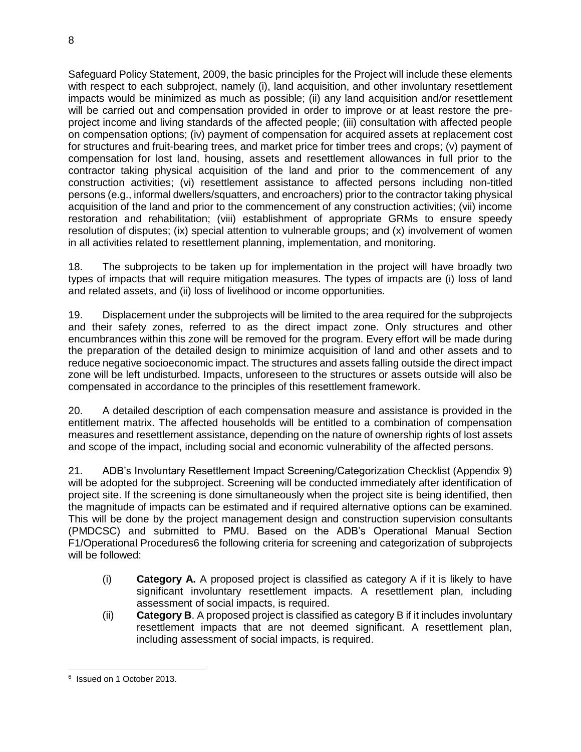Safeguard Policy Statement, 2009, the basic principles for the Project will include these elements with respect to each subproject, namely (i), land acquisition, and other involuntary resettlement impacts would be minimized as much as possible; (ii) any land acquisition and/or resettlement will be carried out and compensation provided in order to improve or at least restore the preproject income and living standards of the affected people; (iii) consultation with affected people on compensation options; (iv) payment of compensation for acquired assets at replacement cost for structures and fruit-bearing trees, and market price for timber trees and crops; (v) payment of compensation for lost land, housing, assets and resettlement allowances in full prior to the contractor taking physical acquisition of the land and prior to the commencement of any construction activities; (vi) resettlement assistance to affected persons including non-titled persons (e.g., informal dwellers/squatters, and encroachers) prior to the contractor taking physical acquisition of the land and prior to the commencement of any construction activities; (vii) income restoration and rehabilitation; (viii) establishment of appropriate GRMs to ensure speedy resolution of disputes; (ix) special attention to vulnerable groups; and (x) involvement of women in all activities related to resettlement planning, implementation, and monitoring.

18. The subprojects to be taken up for implementation in the project will have broadly two types of impacts that will require mitigation measures. The types of impacts are (i) loss of land and related assets, and (ii) loss of livelihood or income opportunities.

19. Displacement under the subprojects will be limited to the area required for the subprojects and their safety zones, referred to as the direct impact zone. Only structures and other encumbrances within this zone will be removed for the program. Every effort will be made during the preparation of the detailed design to minimize acquisition of land and other assets and to reduce negative socioeconomic impact. The structures and assets falling outside the direct impact zone will be left undisturbed. Impacts, unforeseen to the structures or assets outside will also be compensated in accordance to the principles of this resettlement framework.

20. A detailed description of each compensation measure and assistance is provided in the entitlement matrix. The affected households will be entitled to a combination of compensation measures and resettlement assistance, depending on the nature of ownership rights of lost assets and scope of the impact, including social and economic vulnerability of the affected persons.

21. ADB's Involuntary Resettlement Impact Screening/Categorization Checklist (Appendix 9) will be adopted for the subproject. Screening will be conducted immediately after identification of project site. If the screening is done simultaneously when the project site is being identified, then the magnitude of impacts can be estimated and if required alternative options can be examined. This will be done by the project management design and construction supervision consultants (PMDCSC) and submitted to PMU. Based on the ADB's Operational Manual Section F1/Operational Procedures6 the following criteria for screening and categorization of subprojects will be followed:

- (i) **Category A.** A proposed project is classified as category A if it is likely to have significant involuntary resettlement impacts. A resettlement plan, including assessment of social impacts, is required.
- (ii) **Category B**. A proposed project is classified as category B if it includes involuntary resettlement impacts that are not deemed significant. A resettlement plan, including assessment of social impacts, is required.

 6 Issued on 1 October 2013.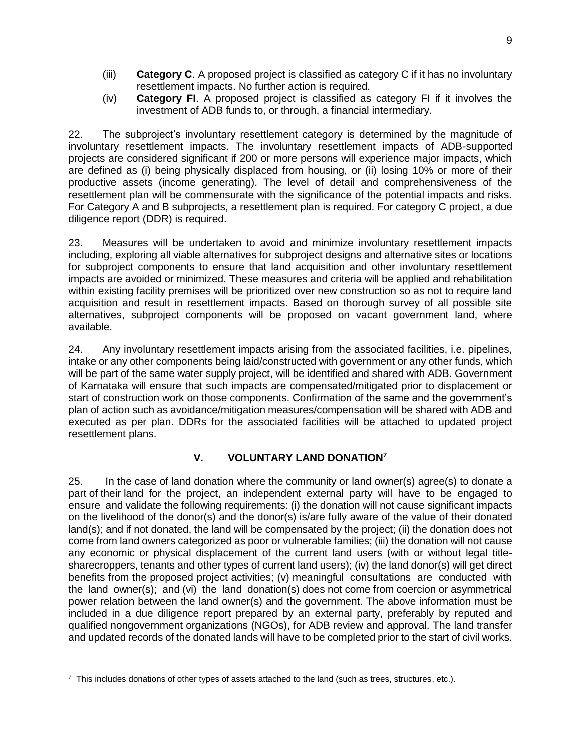- (iii) **Category C**. A proposed project is classified as category C if it has no involuntary resettlement impacts. No further action is required.
- (iv) **Category FI**. A proposed project is classified as category FI if it involves the investment of ADB funds to, or through, a financial intermediary.

22. The subproject's involuntary resettlement category is determined by the magnitude of involuntary resettlement impacts. The involuntary resettlement impacts of ADB-supported projects are considered significant if 200 or more persons will experience major impacts, which are defined as (i) being physically displaced from housing, or (ii) losing 10% or more of their productive assets (income generating). The level of detail and comprehensiveness of the resettlement plan will be commensurate with the significance of the potential impacts and risks. For Category A and B subprojects, a resettlement plan is required. For category C project, a due diligence report (DDR) is required.

23. Measures will be undertaken to avoid and minimize involuntary resettlement impacts including, exploring all viable alternatives for subproject designs and alternative sites or locations for subproject components to ensure that land acquisition and other involuntary resettlement impacts are avoided or minimized. These measures and criteria will be applied and rehabilitation within existing facility premises will be prioritized over new construction so as not to require land acquisition and result in resettlement impacts. Based on thorough survey of all possible site alternatives, subproject components will be proposed on vacant government land, where available.

24. Any involuntary resettlement impacts arising from the associated facilities, i.e. pipelines, intake or any other components being laid/constructed with government or any other funds, which will be part of the same water supply project, will be identified and shared with ADB. Government of Karnataka will ensure that such impacts are compensated/mitigated prior to displacement or start of construction work on those components. Confirmation of the same and the government's plan of action such as avoidance/mitigation measures/compensation will be shared with ADB and executed as per plan. DDRs for the associated facilities will be attached to updated project resettlement plans.

#### **V. VOLUNTARY LAND DONATION<sup>7</sup>**

<span id="page-12-0"></span>25. In the case of land donation where the community or land owner(s) agree(s) to donate a part of their land for the project, an independent external party will have to be engaged to ensure and validate the following requirements: (i) the donation will not cause significant impacts on the livelihood of the donor(s) and the donor(s) is/are fully aware of the value of their donated land(s); and if not donated, the land will be compensated by the project; (ii) the donation does not come from land owners categorized as poor or vulnerable families; (iii) the donation will not cause any economic or physical displacement of the current land users (with or without legal titlesharecroppers, tenants and other types of current land users); (iv) the land donor(s) will get direct benefits from the proposed project activities; (v) meaningful consultations are conducted with the land owner(s); and (vi) the land donation(s) does not come from coercion or asymmetrical power relation between the land owner(s) and the government. The above information must be included in a due diligence report prepared by an external party, preferably by reputed and qualified nongovernment organizations (NGOs), for ADB review and approval. The land transfer and updated records of the donated lands will have to be completed prior to the start of civil works.

 $\frac{7}{1}$  This includes donations of other types of assets attached to the land (such as trees, structures, etc.).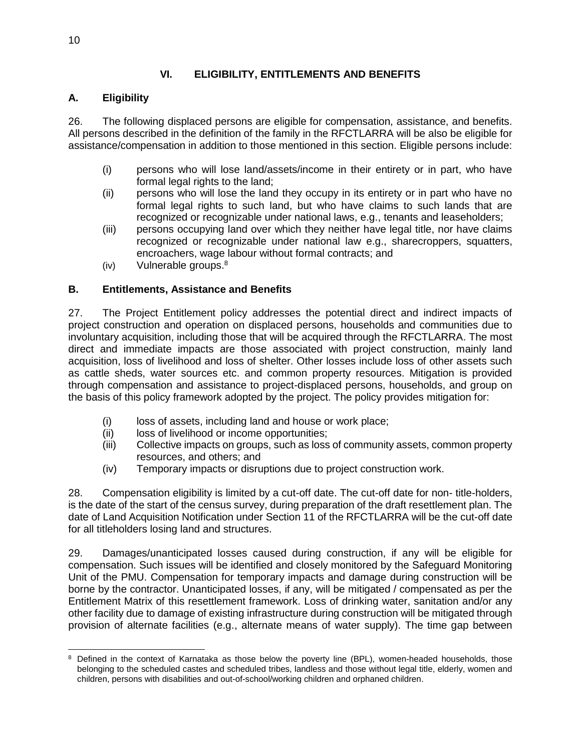# **VI. ELIGIBILITY, ENTITLEMENTS AND BENEFITS**

# <span id="page-13-1"></span><span id="page-13-0"></span>**A. Eligibility**

26. The following displaced persons are eligible for compensation, assistance, and benefits. All persons described in the definition of the family in the RFCTLARRA will be also be eligible for assistance/compensation in addition to those mentioned in this section. Eligible persons include:

- (i) persons who will lose land/assets/income in their entirety or in part, who have formal legal rights to the land;
- (ii) persons who will lose the land they occupy in its entirety or in part who have no formal legal rights to such land, but who have claims to such lands that are recognized or recognizable under national laws, e.g., tenants and leaseholders;
- (iii) persons occupying land over which they neither have legal title, nor have claims recognized or recognizable under national law e.g., sharecroppers, squatters, encroachers, wage labour without formal contracts; and
- $(iv)$  Vulnerable groups. $8$

## <span id="page-13-2"></span>**B. Entitlements, Assistance and Benefits**

27. The Project Entitlement policy addresses the potential direct and indirect impacts of project construction and operation on displaced persons, households and communities due to involuntary acquisition, including those that will be acquired through the RFCTLARRA. The most direct and immediate impacts are those associated with project construction, mainly land acquisition, loss of livelihood and loss of shelter. Other losses include loss of other assets such as cattle sheds, water sources etc. and common property resources. Mitigation is provided through compensation and assistance to project-displaced persons, households, and group on the basis of this policy framework adopted by the project. The policy provides mitigation for:

- (i) loss of assets, including land and house or work place;
- (ii) loss of livelihood or income opportunities;
- (iii) Collective impacts on groups, such as loss of community assets, common property resources, and others; and
- (iv) Temporary impacts or disruptions due to project construction work.

28. Compensation eligibility is limited by a cut-off date. The cut-off date for non- title-holders, is the date of the start of the census survey, during preparation of the draft resettlement plan. The date of Land Acquisition Notification under Section 11 of the RFCTLARRA will be the cut-off date for all titleholders losing land and structures.

29. Damages/unanticipated losses caused during construction, if any will be eligible for compensation. Such issues will be identified and closely monitored by the Safeguard Monitoring Unit of the PMU. Compensation for temporary impacts and damage during construction will be borne by the contractor. Unanticipated losses, if any, will be mitigated / compensated as per the Entitlement Matrix of this resettlement framework. Loss of drinking water, sanitation and/or any other facility due to damage of existing infrastructure during construction will be mitigated through provision of alternate facilities (e.g., alternate means of water supply). The time gap between

 Defined in the context of Karnataka as those below the poverty line (BPL), women-headed households, those belonging to the scheduled castes and scheduled tribes, landless and those without legal title, elderly, women and children, persons with disabilities and out-of-school/working children and orphaned children.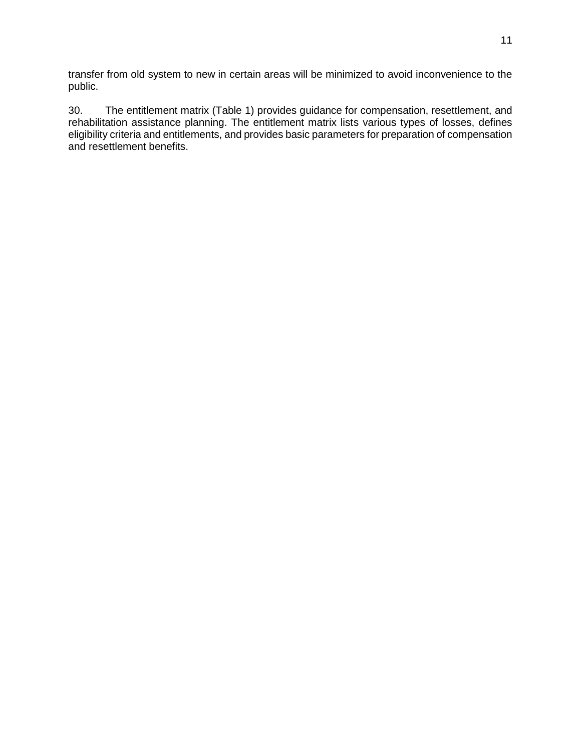transfer from old system to new in certain areas will be minimized to avoid inconvenience to the public.

30. The entitlement matrix (Table 1) provides guidance for compensation, resettlement, and rehabilitation assistance planning. The entitlement matrix lists various types of losses, defines eligibility criteria and entitlements, and provides basic parameters for preparation of compensation and resettlement benefits.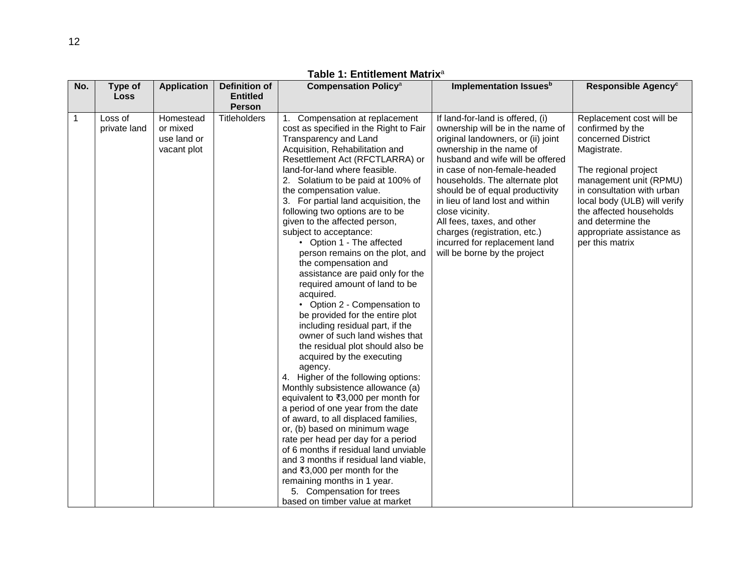| No.         | Type of                 | <b>Application</b>                                  | Definition of       | <b>Compensation Policy<sup>a</sup></b>                                                                                                                                                                                                                                                                                                                                                                                                                                                                                                                                                                                                                                                                                                                                                                                                                                                                                                                                                                                                                                                                                                                                                                                                                               | Implementation Issuesb                                                                                                                                                                                                                                                                                                                                                                                                                                               | Responsible Agency <sup>c</sup>                                                                                                                                                                                                                                                                   |
|-------------|-------------------------|-----------------------------------------------------|---------------------|----------------------------------------------------------------------------------------------------------------------------------------------------------------------------------------------------------------------------------------------------------------------------------------------------------------------------------------------------------------------------------------------------------------------------------------------------------------------------------------------------------------------------------------------------------------------------------------------------------------------------------------------------------------------------------------------------------------------------------------------------------------------------------------------------------------------------------------------------------------------------------------------------------------------------------------------------------------------------------------------------------------------------------------------------------------------------------------------------------------------------------------------------------------------------------------------------------------------------------------------------------------------|----------------------------------------------------------------------------------------------------------------------------------------------------------------------------------------------------------------------------------------------------------------------------------------------------------------------------------------------------------------------------------------------------------------------------------------------------------------------|---------------------------------------------------------------------------------------------------------------------------------------------------------------------------------------------------------------------------------------------------------------------------------------------------|
|             | <b>Loss</b>             |                                                     | <b>Entitled</b>     |                                                                                                                                                                                                                                                                                                                                                                                                                                                                                                                                                                                                                                                                                                                                                                                                                                                                                                                                                                                                                                                                                                                                                                                                                                                                      |                                                                                                                                                                                                                                                                                                                                                                                                                                                                      |                                                                                                                                                                                                                                                                                                   |
|             |                         |                                                     | <b>Person</b>       |                                                                                                                                                                                                                                                                                                                                                                                                                                                                                                                                                                                                                                                                                                                                                                                                                                                                                                                                                                                                                                                                                                                                                                                                                                                                      |                                                                                                                                                                                                                                                                                                                                                                                                                                                                      |                                                                                                                                                                                                                                                                                                   |
| $\mathbf 1$ | Loss of<br>private land | Homestead<br>or mixed<br>use land or<br>vacant plot | <b>Titleholders</b> | Compensation at replacement<br>1.<br>cost as specified in the Right to Fair<br>Transparency and Land<br>Acquisition, Rehabilitation and<br>Resettlement Act (RFCTLARRA) or<br>land-for-land where feasible.<br>2. Solatium to be paid at 100% of<br>the compensation value.<br>3. For partial land acquisition, the<br>following two options are to be<br>given to the affected person,<br>subject to acceptance:<br>• Option 1 - The affected<br>person remains on the plot, and<br>the compensation and<br>assistance are paid only for the<br>required amount of land to be<br>acquired.<br>• Option 2 - Compensation to<br>be provided for the entire plot<br>including residual part, if the<br>owner of such land wishes that<br>the residual plot should also be<br>acquired by the executing<br>agency.<br>4. Higher of the following options:<br>Monthly subsistence allowance (a)<br>equivalent to ₹3,000 per month for<br>a period of one year from the date<br>of award, to all displaced families,<br>or, (b) based on minimum wage<br>rate per head per day for a period<br>of 6 months if residual land unviable<br>and 3 months if residual land viable,<br>and ₹3,000 per month for the<br>remaining months in 1 year.<br>5. Compensation for trees | If land-for-land is offered, (i)<br>ownership will be in the name of<br>original landowners, or (ii) joint<br>ownership in the name of<br>husband and wife will be offered<br>in case of non-female-headed<br>households. The alternate plot<br>should be of equal productivity<br>in lieu of land lost and within<br>close vicinity.<br>All fees, taxes, and other<br>charges (registration, etc.)<br>incurred for replacement land<br>will be borne by the project | Replacement cost will be<br>confirmed by the<br>concerned District<br>Magistrate.<br>The regional project<br>management unit (RPMU)<br>in consultation with urban<br>local body (ULB) will verify<br>the affected households<br>and determine the<br>appropriate assistance as<br>per this matrix |
|             |                         |                                                     |                     | based on timber value at market                                                                                                                                                                                                                                                                                                                                                                                                                                                                                                                                                                                                                                                                                                                                                                                                                                                                                                                                                                                                                                                                                                                                                                                                                                      |                                                                                                                                                                                                                                                                                                                                                                                                                                                                      |                                                                                                                                                                                                                                                                                                   |

**Table 1: Entitlement Matrix**<sup>a</sup>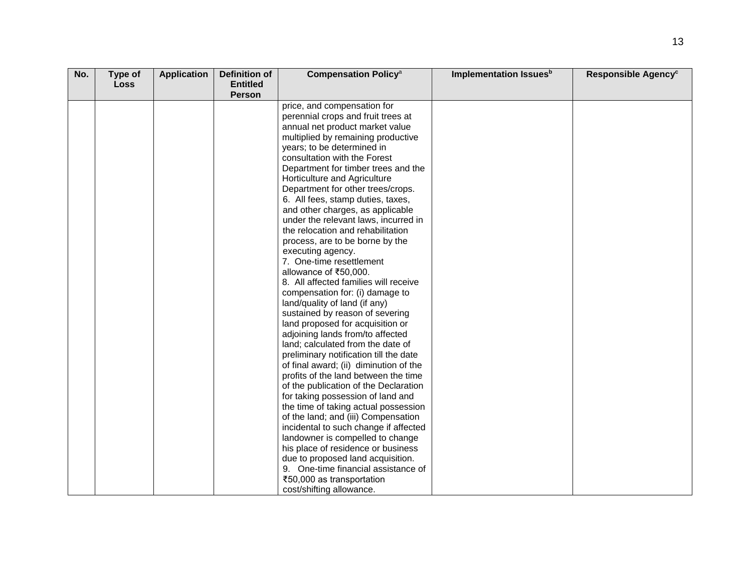| No. | Type of     | <b>Application</b> | Definition of   | <b>Compensation Policy<sup>a</sup></b> | Implementation Issues <sup>b</sup> | Responsible Agency <sup>c</sup> |
|-----|-------------|--------------------|-----------------|----------------------------------------|------------------------------------|---------------------------------|
|     | <b>Loss</b> |                    | <b>Entitled</b> |                                        |                                    |                                 |
|     |             |                    | Person          |                                        |                                    |                                 |
|     |             |                    |                 | price, and compensation for            |                                    |                                 |
|     |             |                    |                 | perennial crops and fruit trees at     |                                    |                                 |
|     |             |                    |                 | annual net product market value        |                                    |                                 |
|     |             |                    |                 | multiplied by remaining productive     |                                    |                                 |
|     |             |                    |                 | years; to be determined in             |                                    |                                 |
|     |             |                    |                 | consultation with the Forest           |                                    |                                 |
|     |             |                    |                 | Department for timber trees and the    |                                    |                                 |
|     |             |                    |                 | Horticulture and Agriculture           |                                    |                                 |
|     |             |                    |                 | Department for other trees/crops.      |                                    |                                 |
|     |             |                    |                 | 6. All fees, stamp duties, taxes,      |                                    |                                 |
|     |             |                    |                 | and other charges, as applicable       |                                    |                                 |
|     |             |                    |                 | under the relevant laws, incurred in   |                                    |                                 |
|     |             |                    |                 | the relocation and rehabilitation      |                                    |                                 |
|     |             |                    |                 | process, are to be borne by the        |                                    |                                 |
|     |             |                    |                 | executing agency.                      |                                    |                                 |
|     |             |                    |                 | 7. One-time resettlement               |                                    |                                 |
|     |             |                    |                 | allowance of ₹50,000.                  |                                    |                                 |
|     |             |                    |                 | 8. All affected families will receive  |                                    |                                 |
|     |             |                    |                 | compensation for: (i) damage to        |                                    |                                 |
|     |             |                    |                 | land/quality of land (if any)          |                                    |                                 |
|     |             |                    |                 | sustained by reason of severing        |                                    |                                 |
|     |             |                    |                 | land proposed for acquisition or       |                                    |                                 |
|     |             |                    |                 | adjoining lands from/to affected       |                                    |                                 |
|     |             |                    |                 | land; calculated from the date of      |                                    |                                 |
|     |             |                    |                 | preliminary notification till the date |                                    |                                 |
|     |             |                    |                 | of final award; (ii) diminution of the |                                    |                                 |
|     |             |                    |                 | profits of the land between the time   |                                    |                                 |
|     |             |                    |                 | of the publication of the Declaration  |                                    |                                 |
|     |             |                    |                 | for taking possession of land and      |                                    |                                 |
|     |             |                    |                 | the time of taking actual possession   |                                    |                                 |
|     |             |                    |                 | of the land; and (iii) Compensation    |                                    |                                 |
|     |             |                    |                 | incidental to such change if affected  |                                    |                                 |
|     |             |                    |                 | landowner is compelled to change       |                                    |                                 |
|     |             |                    |                 | his place of residence or business     |                                    |                                 |
|     |             |                    |                 | due to proposed land acquisition.      |                                    |                                 |
|     |             |                    |                 | 9. One-time financial assistance of    |                                    |                                 |
|     |             |                    |                 | ₹50,000 as transportation              |                                    |                                 |
|     |             |                    |                 | cost/shifting allowance.               |                                    |                                 |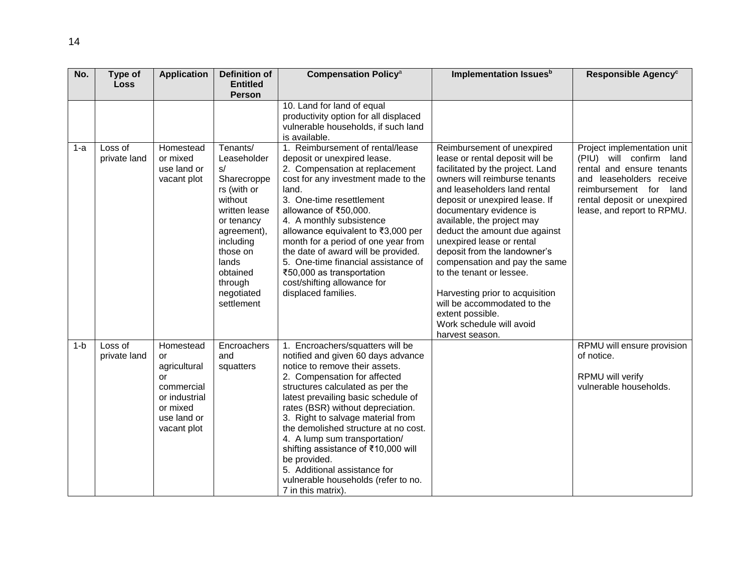| No.   | Type of<br><b>Loss</b>  | <b>Application</b>                                                                                             | <b>Definition of</b><br><b>Entitled</b>                                                                                                                                                                   | <b>Compensation Policy<sup>a</sup></b>                                                                                                                                                                                                                                                                                                                                                                                                                                                                                     | Implementation Issues <sup>b</sup>                                                                                                                                                                                                                                                                                                                                                                                                                                                                                                                            | Responsible Agency <sup>c</sup>                                                                                                                                                                        |
|-------|-------------------------|----------------------------------------------------------------------------------------------------------------|-----------------------------------------------------------------------------------------------------------------------------------------------------------------------------------------------------------|----------------------------------------------------------------------------------------------------------------------------------------------------------------------------------------------------------------------------------------------------------------------------------------------------------------------------------------------------------------------------------------------------------------------------------------------------------------------------------------------------------------------------|---------------------------------------------------------------------------------------------------------------------------------------------------------------------------------------------------------------------------------------------------------------------------------------------------------------------------------------------------------------------------------------------------------------------------------------------------------------------------------------------------------------------------------------------------------------|--------------------------------------------------------------------------------------------------------------------------------------------------------------------------------------------------------|
|       |                         |                                                                                                                | <b>Person</b>                                                                                                                                                                                             |                                                                                                                                                                                                                                                                                                                                                                                                                                                                                                                            |                                                                                                                                                                                                                                                                                                                                                                                                                                                                                                                                                               |                                                                                                                                                                                                        |
|       |                         |                                                                                                                |                                                                                                                                                                                                           | 10. Land for land of equal<br>productivity option for all displaced<br>vulnerable households, if such land<br>is available.                                                                                                                                                                                                                                                                                                                                                                                                |                                                                                                                                                                                                                                                                                                                                                                                                                                                                                                                                                               |                                                                                                                                                                                                        |
| 1-a   | Loss of<br>private land | Homestead<br>or mixed<br>use land or<br>vacant plot                                                            | Tenants/<br>Leaseholder<br>s/<br>Sharecroppe<br>rs (with or<br>without<br>written lease<br>or tenancy<br>agreement),<br>including<br>those on<br>lands<br>obtained<br>through<br>negotiated<br>settlement | 1. Reimbursement of rental/lease<br>deposit or unexpired lease.<br>2. Compensation at replacement<br>cost for any investment made to the<br>land.<br>3. One-time resettlement<br>allowance of ₹50,000.<br>4. A monthly subsistence<br>allowance equivalent to ₹3,000 per<br>month for a period of one year from<br>the date of award will be provided.<br>5. One-time financial assistance of<br>₹50,000 as transportation<br>cost/shifting allowance for<br>displaced families.                                           | Reimbursement of unexpired<br>lease or rental deposit will be<br>facilitated by the project. Land<br>owners will reimburse tenants<br>and leaseholders land rental<br>deposit or unexpired lease. If<br>documentary evidence is<br>available, the project may<br>deduct the amount due against<br>unexpired lease or rental<br>deposit from the landowner's<br>compensation and pay the same<br>to the tenant or lessee.<br>Harvesting prior to acquisition<br>will be accommodated to the<br>extent possible.<br>Work schedule will avoid<br>harvest season. | Project implementation unit<br>(PIU) will confirm land<br>rental and ensure tenants<br>and leaseholders receive<br>reimbursement for land<br>rental deposit or unexpired<br>lease, and report to RPMU. |
| $1-b$ | Loss of<br>private land | Homestead<br>or<br>agricultural<br>or<br>commercial<br>or industrial<br>or mixed<br>use land or<br>vacant plot | Encroachers<br>and<br>squatters                                                                                                                                                                           | 1. Encroachers/squatters will be<br>notified and given 60 days advance<br>notice to remove their assets.<br>2. Compensation for affected<br>structures calculated as per the<br>latest prevailing basic schedule of<br>rates (BSR) without depreciation.<br>3. Right to salvage material from<br>the demolished structure at no cost.<br>4. A lump sum transportation/<br>shifting assistance of ₹10,000 will<br>be provided.<br>5. Additional assistance for<br>vulnerable households (refer to no.<br>7 in this matrix). |                                                                                                                                                                                                                                                                                                                                                                                                                                                                                                                                                               | RPMU will ensure provision<br>of notice.<br>RPMU will verify<br>vulnerable households.                                                                                                                 |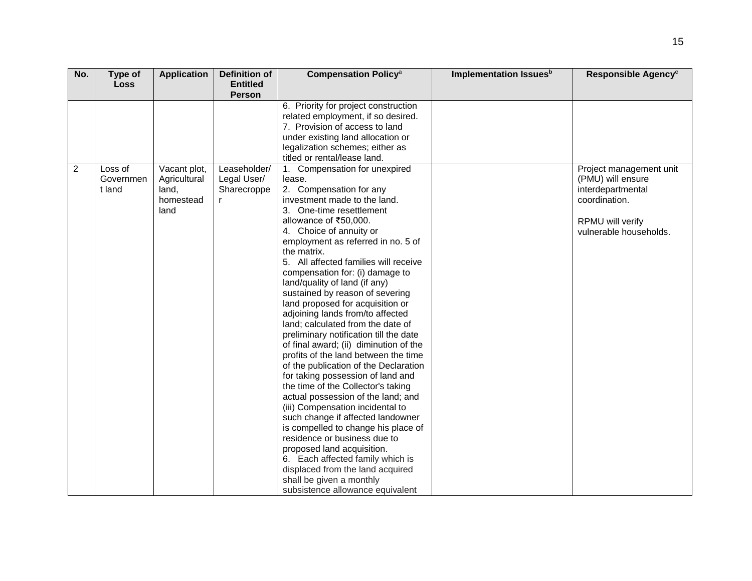| No.            | Type of<br><b>Loss</b> | <b>Application</b> | <b>Definition of</b><br><b>Entitled</b> | <b>Compensation Policy<sup>a</sup></b>                                     | Implementation Issues <sup>b</sup> | Responsible Agency <sup>c</sup> |
|----------------|------------------------|--------------------|-----------------------------------------|----------------------------------------------------------------------------|------------------------------------|---------------------------------|
|                |                        |                    | <b>Person</b>                           |                                                                            |                                    |                                 |
|                |                        |                    |                                         | 6. Priority for project construction<br>related employment, if so desired. |                                    |                                 |
|                |                        |                    |                                         | 7. Provision of access to land                                             |                                    |                                 |
|                |                        |                    |                                         | under existing land allocation or                                          |                                    |                                 |
|                |                        |                    |                                         | legalization schemes; either as                                            |                                    |                                 |
|                |                        |                    |                                         | titled or rental/lease land.                                               |                                    |                                 |
| $\overline{2}$ | Loss of                | Vacant plot,       | Leaseholder/                            | 1. Compensation for unexpired                                              |                                    | Project management unit         |
|                | Governmen              | Agricultural       | Legal User/                             | lease.                                                                     |                                    | (PMU) will ensure               |
|                | t land                 | land,              | Sharecroppe                             | 2. Compensation for any                                                    |                                    | interdepartmental               |
|                |                        | homestead          |                                         | investment made to the land.                                               |                                    | coordination.                   |
|                |                        | land               |                                         | 3. One-time resettlement                                                   |                                    |                                 |
|                |                        |                    |                                         | allowance of ₹50,000.                                                      |                                    | RPMU will verify                |
|                |                        |                    |                                         | 4. Choice of annuity or                                                    |                                    | vulnerable households.          |
|                |                        |                    |                                         | employment as referred in no. 5 of                                         |                                    |                                 |
|                |                        |                    |                                         | the matrix.                                                                |                                    |                                 |
|                |                        |                    |                                         | 5. All affected families will receive                                      |                                    |                                 |
|                |                        |                    |                                         | compensation for: (i) damage to                                            |                                    |                                 |
|                |                        |                    |                                         | land/quality of land (if any)                                              |                                    |                                 |
|                |                        |                    |                                         | sustained by reason of severing                                            |                                    |                                 |
|                |                        |                    |                                         | land proposed for acquisition or                                           |                                    |                                 |
|                |                        |                    |                                         | adjoining lands from/to affected                                           |                                    |                                 |
|                |                        |                    |                                         | land; calculated from the date of                                          |                                    |                                 |
|                |                        |                    |                                         | preliminary notification till the date                                     |                                    |                                 |
|                |                        |                    |                                         | of final award; (ii) diminution of the                                     |                                    |                                 |
|                |                        |                    |                                         | profits of the land between the time                                       |                                    |                                 |
|                |                        |                    |                                         | of the publication of the Declaration                                      |                                    |                                 |
|                |                        |                    |                                         | for taking possession of land and                                          |                                    |                                 |
|                |                        |                    |                                         | the time of the Collector's taking                                         |                                    |                                 |
|                |                        |                    |                                         | actual possession of the land; and                                         |                                    |                                 |
|                |                        |                    |                                         | (iii) Compensation incidental to                                           |                                    |                                 |
|                |                        |                    |                                         | such change if affected landowner                                          |                                    |                                 |
|                |                        |                    |                                         | is compelled to change his place of                                        |                                    |                                 |
|                |                        |                    |                                         | residence or business due to                                               |                                    |                                 |
|                |                        |                    |                                         | proposed land acquisition.                                                 |                                    |                                 |
|                |                        |                    |                                         | 6. Each affected family which is                                           |                                    |                                 |
|                |                        |                    |                                         | displaced from the land acquired                                           |                                    |                                 |
|                |                        |                    |                                         | shall be given a monthly                                                   |                                    |                                 |
|                |                        |                    |                                         | subsistence allowance equivalent                                           |                                    |                                 |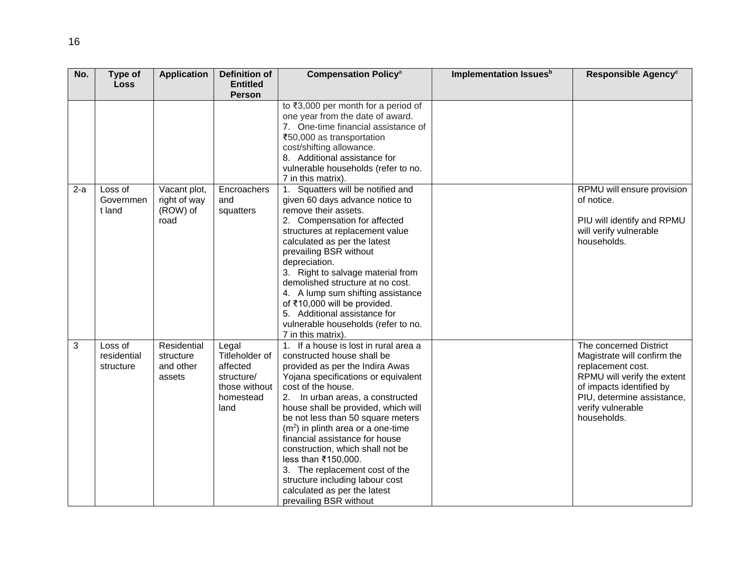| No.   | Type of<br><b>Loss</b>              | <b>Application</b>                               | <b>Definition of</b><br><b>Entitled</b>                                                 | <b>Compensation Policy<sup>a</sup></b>                                                                                                                                                                                                                                                                                                                                                                                                                                                                                                                 | Implementation Issues <sup>b</sup> | Responsible Agency <sup>c</sup>                                                                                                                                                                         |
|-------|-------------------------------------|--------------------------------------------------|-----------------------------------------------------------------------------------------|--------------------------------------------------------------------------------------------------------------------------------------------------------------------------------------------------------------------------------------------------------------------------------------------------------------------------------------------------------------------------------------------------------------------------------------------------------------------------------------------------------------------------------------------------------|------------------------------------|---------------------------------------------------------------------------------------------------------------------------------------------------------------------------------------------------------|
|       |                                     |                                                  | Person                                                                                  |                                                                                                                                                                                                                                                                                                                                                                                                                                                                                                                                                        |                                    |                                                                                                                                                                                                         |
|       |                                     |                                                  |                                                                                         | to ₹3,000 per month for a period of<br>one year from the date of award.<br>7. One-time financial assistance of<br>₹50,000 as transportation<br>cost/shifting allowance.<br>8. Additional assistance for<br>vulnerable households (refer to no.<br>7 in this matrix).                                                                                                                                                                                                                                                                                   |                                    |                                                                                                                                                                                                         |
| $2-a$ | Loss of<br>Governmen<br>t land      | Vacant plot,<br>right of way<br>(ROW) of<br>road | Encroachers<br>and<br>squatters                                                         | 1. Squatters will be notified and<br>given 60 days advance notice to<br>remove their assets.<br>2. Compensation for affected<br>structures at replacement value<br>calculated as per the latest<br>prevailing BSR without<br>depreciation.<br>3. Right to salvage material from<br>demolished structure at no cost.<br>4. A lump sum shifting assistance<br>of ₹10,000 will be provided.<br>5. Additional assistance for<br>vulnerable households (refer to no.<br>7 in this matrix).                                                                  |                                    | RPMU will ensure provision<br>of notice.<br>PIU will identify and RPMU<br>will verify vulnerable<br>households.                                                                                         |
| 3     | Loss of<br>residential<br>structure | Residential<br>structure<br>and other<br>assets  | Legal<br>Titleholder of<br>affected<br>structure/<br>those without<br>homestead<br>land | 1. If a house is lost in rural area a<br>constructed house shall be<br>provided as per the Indira Awas<br>Yojana specifications or equivalent<br>cost of the house.<br>2. In urban areas, a constructed<br>house shall be provided, which will<br>be not less than 50 square meters<br>$(m2)$ in plinth area or a one-time<br>financial assistance for house<br>construction, which shall not be<br>less than ₹150,000.<br>3. The replacement cost of the<br>structure including labour cost<br>calculated as per the latest<br>prevailing BSR without |                                    | The concerned District<br>Magistrate will confirm the<br>replacement cost.<br>RPMU will verify the extent<br>of impacts identified by<br>PIU, determine assistance,<br>verify vulnerable<br>households. |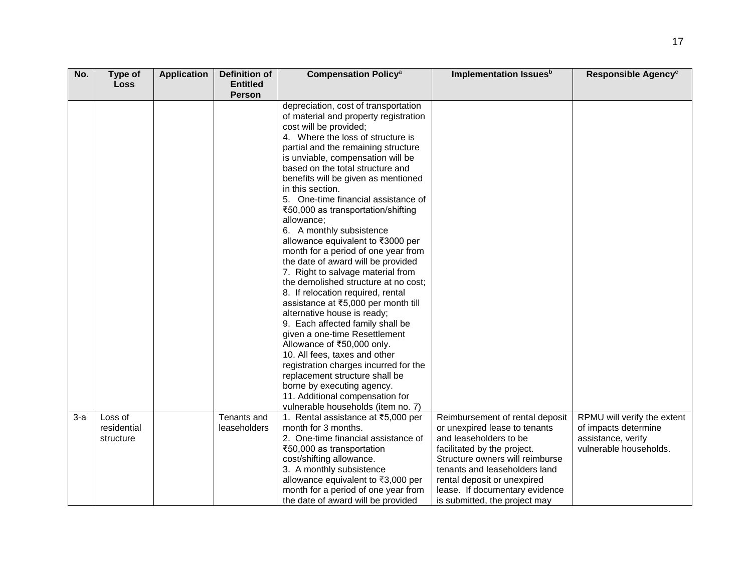| No.   | Type of     | <b>Application</b> | Definition of   | <b>Compensation Policy<sup>a</sup></b>                                        | Implementation Issues <sup>b</sup> | Responsible Agency <sup>c</sup> |
|-------|-------------|--------------------|-----------------|-------------------------------------------------------------------------------|------------------------------------|---------------------------------|
|       | <b>Loss</b> |                    | <b>Entitled</b> |                                                                               |                                    |                                 |
|       |             |                    | Person          |                                                                               |                                    |                                 |
|       |             |                    |                 | depreciation, cost of transportation<br>of material and property registration |                                    |                                 |
|       |             |                    |                 | cost will be provided;                                                        |                                    |                                 |
|       |             |                    |                 | 4. Where the loss of structure is                                             |                                    |                                 |
|       |             |                    |                 | partial and the remaining structure                                           |                                    |                                 |
|       |             |                    |                 | is unviable, compensation will be                                             |                                    |                                 |
|       |             |                    |                 | based on the total structure and                                              |                                    |                                 |
|       |             |                    |                 | benefits will be given as mentioned                                           |                                    |                                 |
|       |             |                    |                 | in this section.                                                              |                                    |                                 |
|       |             |                    |                 | 5. One-time financial assistance of                                           |                                    |                                 |
|       |             |                    |                 | ₹50,000 as transportation/shifting                                            |                                    |                                 |
|       |             |                    |                 | allowance;                                                                    |                                    |                                 |
|       |             |                    |                 | 6. A monthly subsistence                                                      |                                    |                                 |
|       |             |                    |                 | allowance equivalent to ₹3000 per                                             |                                    |                                 |
|       |             |                    |                 | month for a period of one year from                                           |                                    |                                 |
|       |             |                    |                 | the date of award will be provided                                            |                                    |                                 |
|       |             |                    |                 | 7. Right to salvage material from                                             |                                    |                                 |
|       |             |                    |                 | the demolished structure at no cost;                                          |                                    |                                 |
|       |             |                    |                 | 8. If relocation required, rental                                             |                                    |                                 |
|       |             |                    |                 | assistance at ₹5,000 per month till                                           |                                    |                                 |
|       |             |                    |                 | alternative house is ready;                                                   |                                    |                                 |
|       |             |                    |                 | 9. Each affected family shall be<br>given a one-time Resettlement             |                                    |                                 |
|       |             |                    |                 | Allowance of ₹50,000 only.                                                    |                                    |                                 |
|       |             |                    |                 | 10. All fees, taxes and other                                                 |                                    |                                 |
|       |             |                    |                 | registration charges incurred for the                                         |                                    |                                 |
|       |             |                    |                 | replacement structure shall be                                                |                                    |                                 |
|       |             |                    |                 | borne by executing agency.                                                    |                                    |                                 |
|       |             |                    |                 | 11. Additional compensation for                                               |                                    |                                 |
|       |             |                    |                 | vulnerable households (item no. 7)                                            |                                    |                                 |
| $3-a$ | Loss of     |                    | Tenants and     | 1. Rental assistance at ₹5,000 per                                            | Reimbursement of rental deposit    | RPMU will verify the extent     |
|       | residential |                    | leaseholders    | month for 3 months.                                                           | or unexpired lease to tenants      | of impacts determine            |
|       | structure   |                    |                 | 2. One-time financial assistance of                                           | and leaseholders to be             | assistance, verify              |
|       |             |                    |                 | ₹50,000 as transportation                                                     | facilitated by the project.        | vulnerable households.          |
|       |             |                    |                 | cost/shifting allowance.                                                      | Structure owners will reimburse    |                                 |
|       |             |                    |                 | 3. A monthly subsistence                                                      | tenants and leaseholders land      |                                 |
|       |             |                    |                 | allowance equivalent to ₹3,000 per                                            | rental deposit or unexpired        |                                 |
|       |             |                    |                 | month for a period of one year from                                           | lease. If documentary evidence     |                                 |
|       |             |                    |                 | the date of award will be provided                                            | is submitted, the project may      |                                 |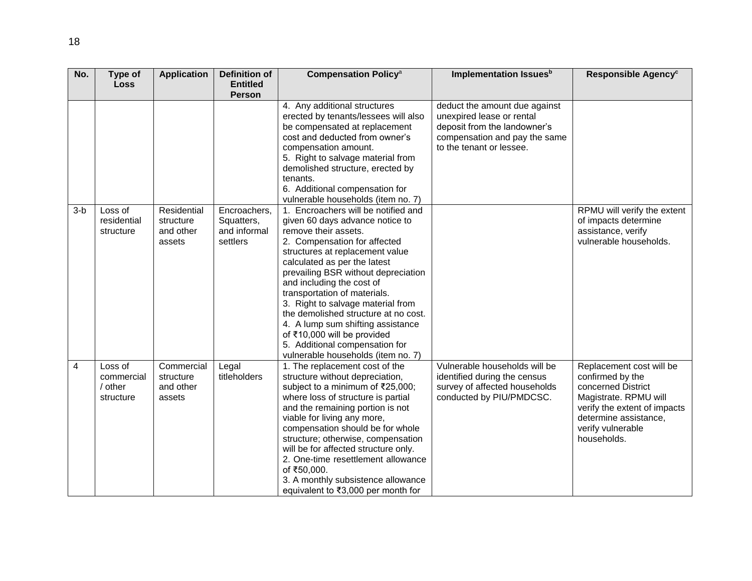| No.   | Type of                                       | <b>Application</b>                              | <b>Definition of</b>                                   | <b>Compensation Policy<sup>a</sup></b>                                                                                                                                                                                                                                                                                                                                                                                                                                                                                         | Implementation Issues <sup>b</sup>                                                                                                                      | Responsible Agency <sup>c</sup>                                                                                                                                                          |
|-------|-----------------------------------------------|-------------------------------------------------|--------------------------------------------------------|--------------------------------------------------------------------------------------------------------------------------------------------------------------------------------------------------------------------------------------------------------------------------------------------------------------------------------------------------------------------------------------------------------------------------------------------------------------------------------------------------------------------------------|---------------------------------------------------------------------------------------------------------------------------------------------------------|------------------------------------------------------------------------------------------------------------------------------------------------------------------------------------------|
|       | <b>Loss</b>                                   |                                                 | <b>Entitled</b>                                        |                                                                                                                                                                                                                                                                                                                                                                                                                                                                                                                                |                                                                                                                                                         |                                                                                                                                                                                          |
|       |                                               |                                                 | <b>Person</b>                                          |                                                                                                                                                                                                                                                                                                                                                                                                                                                                                                                                |                                                                                                                                                         |                                                                                                                                                                                          |
|       |                                               |                                                 |                                                        | 4. Any additional structures<br>erected by tenants/lessees will also<br>be compensated at replacement<br>cost and deducted from owner's<br>compensation amount.<br>5. Right to salvage material from<br>demolished structure, erected by<br>tenants.<br>6. Additional compensation for<br>vulnerable households (item no. 7)                                                                                                                                                                                                   | deduct the amount due against<br>unexpired lease or rental<br>deposit from the landowner's<br>compensation and pay the same<br>to the tenant or lessee. |                                                                                                                                                                                          |
| $3-b$ | Loss of<br>residential<br>structure           | Residential<br>structure<br>and other<br>assets | Encroachers,<br>Squatters,<br>and informal<br>settlers | 1. Encroachers will be notified and<br>given 60 days advance notice to<br>remove their assets.<br>2. Compensation for affected<br>structures at replacement value<br>calculated as per the latest<br>prevailing BSR without depreciation<br>and including the cost of<br>transportation of materials.<br>3. Right to salvage material from<br>the demolished structure at no cost.<br>4. A lump sum shifting assistance<br>of ₹10,000 will be provided<br>5. Additional compensation for<br>vulnerable households (item no. 7) |                                                                                                                                                         | RPMU will verify the extent<br>of impacts determine<br>assistance, verify<br>vulnerable households.                                                                                      |
| 4     | Loss of<br>commercial<br>/ other<br>structure | Commercial<br>structure<br>and other<br>assets  | Legal<br>titleholders                                  | 1. The replacement cost of the<br>structure without depreciation,<br>subject to a minimum of ₹25,000;<br>where loss of structure is partial<br>and the remaining portion is not<br>viable for living any more,<br>compensation should be for whole<br>structure; otherwise, compensation<br>will be for affected structure only.<br>2. One-time resettlement allowance<br>of ₹50,000.<br>3. A monthly subsistence allowance<br>equivalent to ₹3,000 per month for                                                              | Vulnerable households will be<br>identified during the census<br>survey of affected households<br>conducted by PIU/PMDCSC.                              | Replacement cost will be<br>confirmed by the<br>concerned District<br>Magistrate. RPMU will<br>verify the extent of impacts<br>determine assistance,<br>verify vulnerable<br>households. |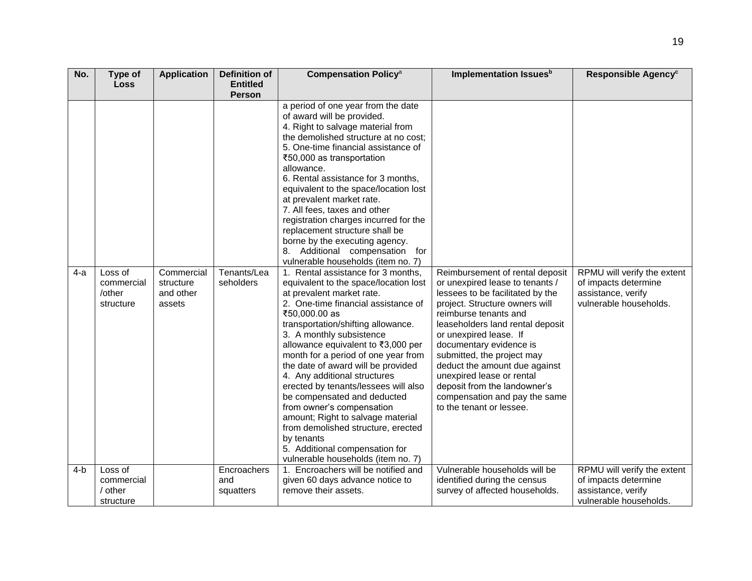| No.   | Type of<br>Loss                              | <b>Application</b>                             | Definition of<br><b>Entitled</b> | <b>Compensation Policy<sup>a</sup></b>                                                                                                                                                                                                                                                                                                                                                                                                                                                                                                                                                                                                                     | Implementation Issues <sup>b</sup>                                                                                                                                                                                                                                                                                                                                                                                                                  | Responsible Agency <sup>c</sup>                                                                     |
|-------|----------------------------------------------|------------------------------------------------|----------------------------------|------------------------------------------------------------------------------------------------------------------------------------------------------------------------------------------------------------------------------------------------------------------------------------------------------------------------------------------------------------------------------------------------------------------------------------------------------------------------------------------------------------------------------------------------------------------------------------------------------------------------------------------------------------|-----------------------------------------------------------------------------------------------------------------------------------------------------------------------------------------------------------------------------------------------------------------------------------------------------------------------------------------------------------------------------------------------------------------------------------------------------|-----------------------------------------------------------------------------------------------------|
|       |                                              |                                                | <b>Person</b>                    |                                                                                                                                                                                                                                                                                                                                                                                                                                                                                                                                                                                                                                                            |                                                                                                                                                                                                                                                                                                                                                                                                                                                     |                                                                                                     |
|       |                                              |                                                |                                  | a period of one year from the date<br>of award will be provided.<br>4. Right to salvage material from<br>the demolished structure at no cost;<br>5. One-time financial assistance of<br>₹50,000 as transportation<br>allowance.<br>6. Rental assistance for 3 months,<br>equivalent to the space/location lost<br>at prevalent market rate.<br>7. All fees, taxes and other<br>registration charges incurred for the<br>replacement structure shall be<br>borne by the executing agency.<br>8. Additional compensation for<br>vulnerable households (item no. 7)                                                                                           |                                                                                                                                                                                                                                                                                                                                                                                                                                                     |                                                                                                     |
| 4-a   | Loss of<br>commercial<br>/other<br>structure | Commercial<br>structure<br>and other<br>assets | Tenants/Lea<br>seholders         | 1. Rental assistance for 3 months,<br>equivalent to the space/location lost<br>at prevalent market rate.<br>2. One-time financial assistance of<br>₹50,000.00 as<br>transportation/shifting allowance.<br>3. A monthly subsistence<br>allowance equivalent to ₹3,000 per<br>month for a period of one year from<br>the date of award will be provided<br>4. Any additional structures<br>erected by tenants/lessees will also<br>be compensated and deducted<br>from owner's compensation<br>amount; Right to salvage material<br>from demolished structure, erected<br>by tenants<br>5. Additional compensation for<br>vulnerable households (item no. 7) | Reimbursement of rental deposit<br>or unexpired lease to tenants /<br>lessees to be facilitated by the<br>project. Structure owners will<br>reimburse tenants and<br>leaseholders land rental deposit<br>or unexpired lease. If<br>documentary evidence is<br>submitted, the project may<br>deduct the amount due against<br>unexpired lease or rental<br>deposit from the landowner's<br>compensation and pay the same<br>to the tenant or lessee. | RPMU will verify the extent<br>of impacts determine<br>assistance, verify<br>vulnerable households. |
| $4-b$ | Loss of                                      |                                                | Encroachers                      | 1. Encroachers will be notified and                                                                                                                                                                                                                                                                                                                                                                                                                                                                                                                                                                                                                        | Vulnerable households will be                                                                                                                                                                                                                                                                                                                                                                                                                       | RPMU will verify the extent                                                                         |
|       | commercial                                   |                                                | and                              | given 60 days advance notice to                                                                                                                                                                                                                                                                                                                                                                                                                                                                                                                                                                                                                            | identified during the census                                                                                                                                                                                                                                                                                                                                                                                                                        | of impacts determine                                                                                |
|       | / other<br>structure                         |                                                | squatters                        | remove their assets.                                                                                                                                                                                                                                                                                                                                                                                                                                                                                                                                                                                                                                       | survey of affected households.                                                                                                                                                                                                                                                                                                                                                                                                                      | assistance, verify<br>vulnerable households.                                                        |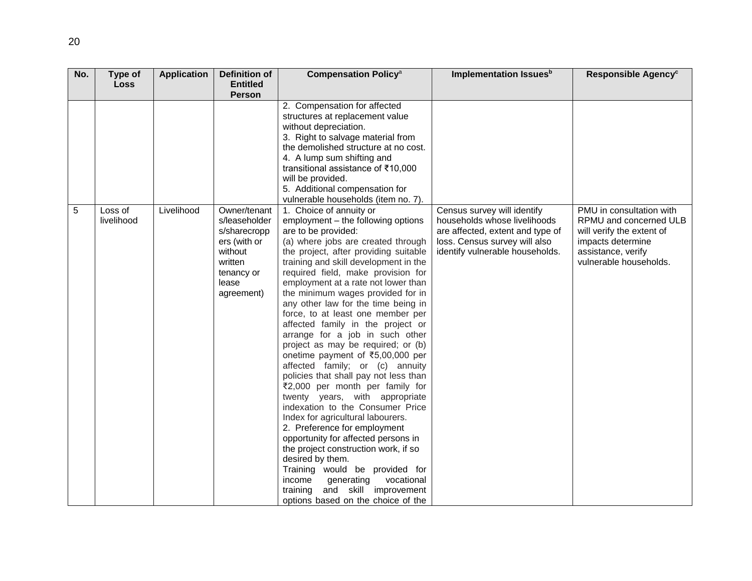| No. | Type of     | <b>Application</b> | Definition of   | <b>Compensation Policy<sup>a</sup></b>                                    | Implementation Issues <sup>b</sup> | Responsible Agency <sup>c</sup> |
|-----|-------------|--------------------|-----------------|---------------------------------------------------------------------------|------------------------------------|---------------------------------|
|     | <b>Loss</b> |                    | <b>Entitled</b> |                                                                           |                                    |                                 |
|     |             |                    | <b>Person</b>   |                                                                           |                                    |                                 |
|     |             |                    |                 | 2. Compensation for affected                                              |                                    |                                 |
|     |             |                    |                 | structures at replacement value<br>without depreciation.                  |                                    |                                 |
|     |             |                    |                 |                                                                           |                                    |                                 |
|     |             |                    |                 | 3. Right to salvage material from<br>the demolished structure at no cost. |                                    |                                 |
|     |             |                    |                 | 4. A lump sum shifting and                                                |                                    |                                 |
|     |             |                    |                 | transitional assistance of ₹10,000                                        |                                    |                                 |
|     |             |                    |                 | will be provided.                                                         |                                    |                                 |
|     |             |                    |                 | 5. Additional compensation for                                            |                                    |                                 |
|     |             |                    |                 | vulnerable households (item no. 7).                                       |                                    |                                 |
| 5   | Loss of     | Livelihood         | Owner/tenant    | 1. Choice of annuity or                                                   | Census survey will identify        | PMU in consultation with        |
|     | livelihood  |                    | s/leaseholder   | employment - the following options                                        | households whose livelihoods       | RPMU and concerned ULB          |
|     |             |                    | s/sharecropp    | are to be provided:                                                       | are affected, extent and type of   | will verify the extent of       |
|     |             |                    | ers (with or    | (a) where jobs are created through                                        | loss. Census survey will also      | impacts determine               |
|     |             |                    | without         | the project, after providing suitable                                     | identify vulnerable households.    | assistance, verify              |
|     |             |                    | written         | training and skill development in the                                     |                                    | vulnerable households.          |
|     |             |                    | tenancy or      | required field, make provision for                                        |                                    |                                 |
|     |             |                    | lease           | employment at a rate not lower than                                       |                                    |                                 |
|     |             |                    | agreement)      | the minimum wages provided for in                                         |                                    |                                 |
|     |             |                    |                 | any other law for the time being in                                       |                                    |                                 |
|     |             |                    |                 | force, to at least one member per                                         |                                    |                                 |
|     |             |                    |                 | affected family in the project or                                         |                                    |                                 |
|     |             |                    |                 | arrange for a job in such other                                           |                                    |                                 |
|     |             |                    |                 | project as may be required; or (b)                                        |                                    |                                 |
|     |             |                    |                 | onetime payment of ₹5,00,000 per                                          |                                    |                                 |
|     |             |                    |                 | affected family; or (c) annuity                                           |                                    |                                 |
|     |             |                    |                 | policies that shall pay not less than                                     |                                    |                                 |
|     |             |                    |                 | ₹2,000 per month per family for                                           |                                    |                                 |
|     |             |                    |                 | twenty years, with appropriate                                            |                                    |                                 |
|     |             |                    |                 | indexation to the Consumer Price                                          |                                    |                                 |
|     |             |                    |                 | Index for agricultural labourers.                                         |                                    |                                 |
|     |             |                    |                 | 2. Preference for employment                                              |                                    |                                 |
|     |             |                    |                 | opportunity for affected persons in                                       |                                    |                                 |
|     |             |                    |                 | the project construction work, if so<br>desired by them.                  |                                    |                                 |
|     |             |                    |                 | Training would be provided for                                            |                                    |                                 |
|     |             |                    |                 | vocational<br>income<br>generating                                        |                                    |                                 |
|     |             |                    |                 |                                                                           |                                    |                                 |
|     |             |                    |                 | options based on the choice of the                                        |                                    |                                 |
|     |             |                    |                 | and skill improvement<br>training                                         |                                    |                                 |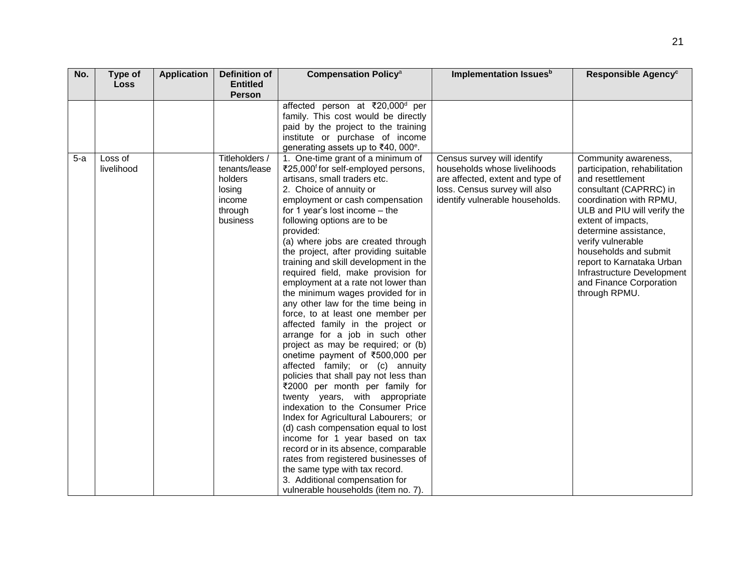| No.   | Type of               | <b>Application</b> | <b>Definition of</b>                                                                  | <b>Compensation Policy<sup>a</sup></b>                                                                                                                                                                                                                                                                                                                                                                                                                                                                                                                                                                                                                                                                                                                                                                                                                                                                                                                                                                                                                                                                                                                                                                                                   | Implementation Issues <sup>b</sup>                                                                                                                                  | Responsible Agency <sup>c</sup>                                                                                                                                                                                                                                                                                                                                   |
|-------|-----------------------|--------------------|---------------------------------------------------------------------------------------|------------------------------------------------------------------------------------------------------------------------------------------------------------------------------------------------------------------------------------------------------------------------------------------------------------------------------------------------------------------------------------------------------------------------------------------------------------------------------------------------------------------------------------------------------------------------------------------------------------------------------------------------------------------------------------------------------------------------------------------------------------------------------------------------------------------------------------------------------------------------------------------------------------------------------------------------------------------------------------------------------------------------------------------------------------------------------------------------------------------------------------------------------------------------------------------------------------------------------------------|---------------------------------------------------------------------------------------------------------------------------------------------------------------------|-------------------------------------------------------------------------------------------------------------------------------------------------------------------------------------------------------------------------------------------------------------------------------------------------------------------------------------------------------------------|
|       | <b>Loss</b>           |                    | <b>Entitled</b><br><b>Person</b>                                                      |                                                                                                                                                                                                                                                                                                                                                                                                                                                                                                                                                                                                                                                                                                                                                                                                                                                                                                                                                                                                                                                                                                                                                                                                                                          |                                                                                                                                                                     |                                                                                                                                                                                                                                                                                                                                                                   |
|       |                       |                    |                                                                                       | affected person at ₹20,000 <sup>d</sup> per<br>family. This cost would be directly<br>paid by the project to the training<br>institute or purchase of income<br>generating assets up to ₹40, 000°.                                                                                                                                                                                                                                                                                                                                                                                                                                                                                                                                                                                                                                                                                                                                                                                                                                                                                                                                                                                                                                       |                                                                                                                                                                     |                                                                                                                                                                                                                                                                                                                                                                   |
| $5-a$ | Loss of<br>livelihood |                    | Titleholders /<br>tenants/lease<br>holders<br>losing<br>income<br>through<br>business | 1. One-time grant of a minimum of<br>₹25,000 <sup>f</sup> for self-employed persons,<br>artisans, small traders etc.<br>2. Choice of annuity or<br>employment or cash compensation<br>for 1 year's lost income $-$ the<br>following options are to be<br>provided:<br>(a) where jobs are created through<br>the project, after providing suitable<br>training and skill development in the<br>required field, make provision for<br>employment at a rate not lower than<br>the minimum wages provided for in<br>any other law for the time being in<br>force, to at least one member per<br>affected family in the project or<br>arrange for a job in such other<br>project as may be required; or (b)<br>onetime payment of ₹500,000 per<br>affected family; or (c) annuity<br>policies that shall pay not less than<br>₹2000 per month per family for<br>twenty years, with appropriate<br>indexation to the Consumer Price<br>Index for Agricultural Labourers; or<br>(d) cash compensation equal to lost<br>income for 1 year based on tax<br>record or in its absence, comparable<br>rates from registered businesses of<br>the same type with tax record.<br>3. Additional compensation for<br>vulnerable households (item no. 7). | Census survey will identify<br>households whose livelihoods<br>are affected, extent and type of<br>loss. Census survey will also<br>identify vulnerable households. | Community awareness,<br>participation, rehabilitation<br>and resettlement<br>consultant (CAPRRC) in<br>coordination with RPMU,<br>ULB and PIU will verify the<br>extent of impacts,<br>determine assistance,<br>verify vulnerable<br>households and submit<br>report to Karnataka Urban<br>Infrastructure Development<br>and Finance Corporation<br>through RPMU. |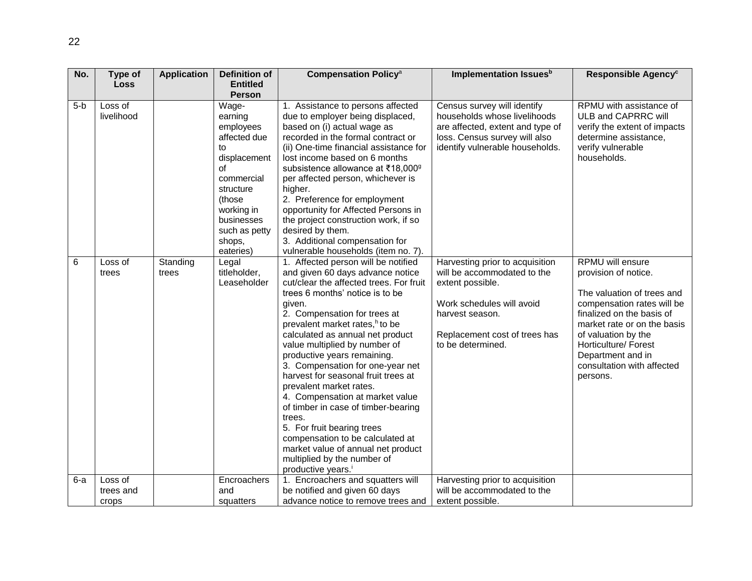| No.   | Type of               | <b>Application</b> | Definition of    | <b>Compensation Policy<sup>a</sup></b>                                | Implementation Issues <sup>b</sup>                          | Responsible Agency <sup>c</sup>                          |
|-------|-----------------------|--------------------|------------------|-----------------------------------------------------------------------|-------------------------------------------------------------|----------------------------------------------------------|
|       | Loss                  |                    | <b>Entitled</b>  |                                                                       |                                                             |                                                          |
|       |                       |                    | <b>Person</b>    |                                                                       |                                                             | RPMU with assistance of                                  |
| $5-b$ | Loss of<br>livelihood |                    | Wage-<br>earning | 1. Assistance to persons affected<br>due to employer being displaced, | Census survey will identify<br>households whose livelihoods | ULB and CAPRRC will                                      |
|       |                       |                    | employees        | based on (i) actual wage as                                           | are affected, extent and type of                            | verify the extent of impacts                             |
|       |                       |                    | affected due     | recorded in the formal contract or                                    | loss. Census survey will also                               | determine assistance,                                    |
|       |                       |                    | to               | (ii) One-time financial assistance for                                | identify vulnerable households.                             | verify vulnerable                                        |
|       |                       |                    | displacement     | lost income based on 6 months                                         |                                                             | households.                                              |
|       |                       |                    | οf               | subsistence allowance at ₹18,000 <sup>9</sup>                         |                                                             |                                                          |
|       |                       |                    | commercial       | per affected person, whichever is                                     |                                                             |                                                          |
|       |                       |                    | structure        | higher.                                                               |                                                             |                                                          |
|       |                       |                    | (those           | 2. Preference for employment                                          |                                                             |                                                          |
|       |                       |                    | working in       | opportunity for Affected Persons in                                   |                                                             |                                                          |
|       |                       |                    | businesses       | the project construction work, if so                                  |                                                             |                                                          |
|       |                       |                    | such as petty    | desired by them.                                                      |                                                             |                                                          |
|       |                       |                    | shops,           | 3. Additional compensation for                                        |                                                             |                                                          |
|       |                       |                    | eateries)        | vulnerable households (item no. 7).                                   |                                                             |                                                          |
| 6     | Loss of               | Standing           | Legal            | 1. Affected person will be notified                                   | Harvesting prior to acquisition                             | <b>RPMU</b> will ensure                                  |
|       | trees                 | trees              | titleholder,     | and given 60 days advance notice                                      | will be accommodated to the                                 | provision of notice.                                     |
|       |                       |                    | Leaseholder      | cut/clear the affected trees. For fruit                               | extent possible.                                            |                                                          |
|       |                       |                    |                  | trees 6 months' notice is to be                                       | Work schedules will avoid                                   | The valuation of trees and<br>compensation rates will be |
|       |                       |                    |                  | given.<br>2. Compensation for trees at                                | harvest season.                                             | finalized on the basis of                                |
|       |                       |                    |                  | prevalent market rates, <sup>h</sup> to be                            |                                                             | market rate or on the basis                              |
|       |                       |                    |                  | calculated as annual net product                                      | Replacement cost of trees has                               | of valuation by the                                      |
|       |                       |                    |                  | value multiplied by number of                                         | to be determined.                                           | Horticulture/ Forest                                     |
|       |                       |                    |                  | productive years remaining.                                           |                                                             | Department and in                                        |
|       |                       |                    |                  | 3. Compensation for one-year net                                      |                                                             | consultation with affected                               |
|       |                       |                    |                  | harvest for seasonal fruit trees at                                   |                                                             | persons.                                                 |
|       |                       |                    |                  | prevalent market rates.                                               |                                                             |                                                          |
|       |                       |                    |                  | 4. Compensation at market value                                       |                                                             |                                                          |
|       |                       |                    |                  | of timber in case of timber-bearing                                   |                                                             |                                                          |
|       |                       |                    |                  | trees.                                                                |                                                             |                                                          |
|       |                       |                    |                  | 5. For fruit bearing trees                                            |                                                             |                                                          |
|       |                       |                    |                  | compensation to be calculated at                                      |                                                             |                                                          |
|       |                       |                    |                  | market value of annual net product                                    |                                                             |                                                          |
|       |                       |                    |                  | multiplied by the number of                                           |                                                             |                                                          |
|       |                       |                    |                  | productive years. <sup>i</sup>                                        |                                                             |                                                          |
| $6-a$ | Loss of               |                    | Encroachers      | 1. Encroachers and squatters will                                     | Harvesting prior to acquisition                             |                                                          |
|       | trees and             |                    | and              | be notified and given 60 days                                         | will be accommodated to the                                 |                                                          |
|       | crops                 |                    | squatters        | advance notice to remove trees and                                    | extent possible.                                            |                                                          |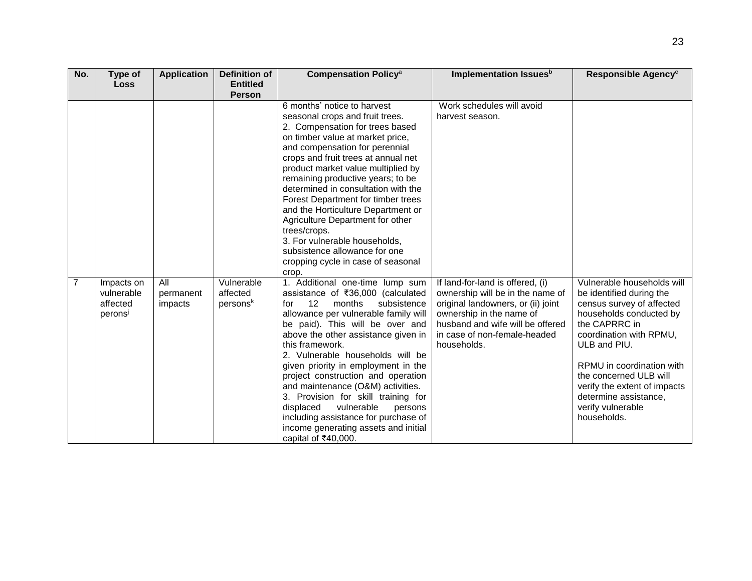| No. | Type of                | <b>Application</b>   | <b>Definition of</b>   | <b>Compensation Policy<sup>a</sup></b>                                  | Implementation Issues <sup>b</sup>                                     | Responsible Agency <sup>c</sup>                       |
|-----|------------------------|----------------------|------------------------|-------------------------------------------------------------------------|------------------------------------------------------------------------|-------------------------------------------------------|
|     | <b>Loss</b>            |                      | <b>Entitled</b>        |                                                                         |                                                                        |                                                       |
|     |                        |                      | <b>Person</b>          |                                                                         |                                                                        |                                                       |
|     |                        |                      |                        | 6 months' notice to harvest                                             | Work schedules will avoid                                              |                                                       |
|     |                        |                      |                        | seasonal crops and fruit trees.<br>2. Compensation for trees based      | harvest season.                                                        |                                                       |
|     |                        |                      |                        | on timber value at market price,                                        |                                                                        |                                                       |
|     |                        |                      |                        | and compensation for perennial                                          |                                                                        |                                                       |
|     |                        |                      |                        | crops and fruit trees at annual net                                     |                                                                        |                                                       |
|     |                        |                      |                        | product market value multiplied by                                      |                                                                        |                                                       |
|     |                        |                      |                        | remaining productive years; to be                                       |                                                                        |                                                       |
|     |                        |                      |                        | determined in consultation with the                                     |                                                                        |                                                       |
|     |                        |                      |                        | Forest Department for timber trees                                      |                                                                        |                                                       |
|     |                        |                      |                        | and the Horticulture Department or                                      |                                                                        |                                                       |
|     |                        |                      |                        | Agriculture Department for other                                        |                                                                        |                                                       |
|     |                        |                      |                        | trees/crops.                                                            |                                                                        |                                                       |
|     |                        |                      |                        | 3. For vulnerable households,                                           |                                                                        |                                                       |
|     |                        |                      |                        | subsistence allowance for one                                           |                                                                        |                                                       |
|     |                        |                      |                        | cropping cycle in case of seasonal                                      |                                                                        |                                                       |
|     |                        |                      |                        | crop.                                                                   |                                                                        |                                                       |
| 7   | Impacts on             | All                  | Vulnerable<br>affected | 1. Additional one-time lump sum                                         | If land-for-land is offered, (i)                                       | Vulnerable households will                            |
|     | vulnerable<br>affected | permanent<br>impacts | persons <sup>k</sup>   | assistance of ₹36,000 (calculated<br>12<br>months<br>subsistence<br>for | ownership will be in the name of<br>original landowners, or (ii) joint | be identified during the<br>census survey of affected |
|     | peronsi                |                      |                        | allowance per vulnerable family will                                    | ownership in the name of                                               | households conducted by                               |
|     |                        |                      |                        | be paid). This will be over and                                         | husband and wife will be offered                                       | the CAPRRC in                                         |
|     |                        |                      |                        | above the other assistance given in                                     | in case of non-female-headed                                           | coordination with RPMU,                               |
|     |                        |                      |                        | this framework.                                                         | households.                                                            | ULB and PIU.                                          |
|     |                        |                      |                        | 2. Vulnerable households will be                                        |                                                                        |                                                       |
|     |                        |                      |                        | given priority in employment in the                                     |                                                                        | RPMU in coordination with                             |
|     |                        |                      |                        | project construction and operation                                      |                                                                        | the concerned ULB will                                |
|     |                        |                      |                        | and maintenance (O&M) activities.                                       |                                                                        | verify the extent of impacts                          |
|     |                        |                      |                        | 3. Provision for skill training for                                     |                                                                        | determine assistance,                                 |
|     |                        |                      |                        | vulnerable<br>displaced<br>persons                                      |                                                                        | verify vulnerable                                     |
|     |                        |                      |                        | including assistance for purchase of                                    |                                                                        | households.                                           |
|     |                        |                      |                        | income generating assets and initial                                    |                                                                        |                                                       |
|     |                        |                      |                        | capital of ₹40,000.                                                     |                                                                        |                                                       |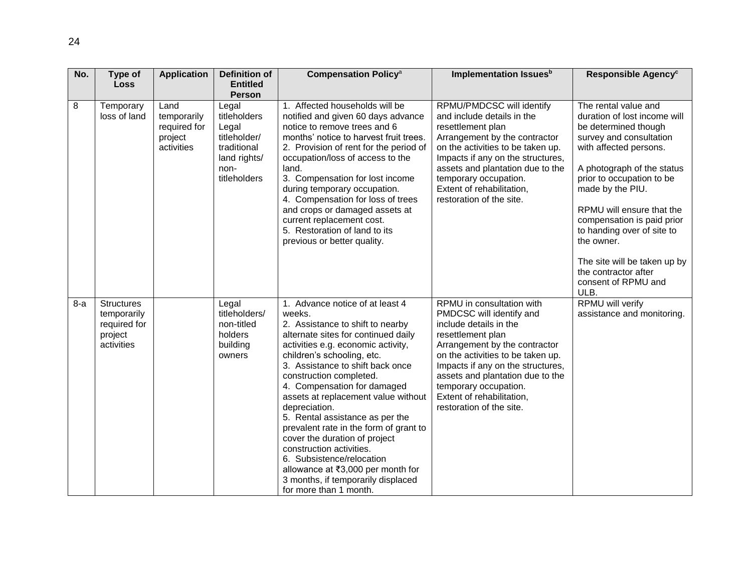| No.   | Type of<br>Loss                                                           | <b>Application</b>                                           | Definition of<br><b>Entitled</b><br><b>Person</b>                                                     | <b>Compensation Policy<sup>a</sup></b>                                                                                                                                                                                                                                                                                                                                                                                                                                                                                                                                                                                     | Implementation Issues <sup>b</sup>                                                                                                                                                                                                                                                                                                    | Responsible Agency <sup>c</sup>                                                                                                                                                                                                                                                                                                                                                                                |
|-------|---------------------------------------------------------------------------|--------------------------------------------------------------|-------------------------------------------------------------------------------------------------------|----------------------------------------------------------------------------------------------------------------------------------------------------------------------------------------------------------------------------------------------------------------------------------------------------------------------------------------------------------------------------------------------------------------------------------------------------------------------------------------------------------------------------------------------------------------------------------------------------------------------------|---------------------------------------------------------------------------------------------------------------------------------------------------------------------------------------------------------------------------------------------------------------------------------------------------------------------------------------|----------------------------------------------------------------------------------------------------------------------------------------------------------------------------------------------------------------------------------------------------------------------------------------------------------------------------------------------------------------------------------------------------------------|
| 8     | Temporary<br>loss of land                                                 | Land<br>temporarily<br>required for<br>project<br>activities | Legal<br>titleholders<br>Legal<br>titleholder/<br>traditional<br>land rights/<br>non-<br>titleholders | 1. Affected households will be<br>notified and given 60 days advance<br>notice to remove trees and 6<br>months' notice to harvest fruit trees.<br>2. Provision of rent for the period of<br>occupation/loss of access to the<br>land.<br>3. Compensation for lost income<br>during temporary occupation.<br>4. Compensation for loss of trees<br>and crops or damaged assets at<br>current replacement cost.<br>5. Restoration of land to its<br>previous or better quality.                                                                                                                                               | RPMU/PMDCSC will identify<br>and include details in the<br>resettlement plan<br>Arrangement by the contractor<br>on the activities to be taken up.<br>Impacts if any on the structures,<br>assets and plantation due to the<br>temporary occupation.<br>Extent of rehabilitation,<br>restoration of the site.                         | The rental value and<br>duration of lost income will<br>be determined though<br>survey and consultation<br>with affected persons.<br>A photograph of the status<br>prior to occupation to be<br>made by the PIU.<br>RPMU will ensure that the<br>compensation is paid prior<br>to handing over of site to<br>the owner.<br>The site will be taken up by<br>the contractor after<br>consent of RPMU and<br>ULB. |
| $8-a$ | <b>Structures</b><br>temporarily<br>required for<br>project<br>activities |                                                              | Legal<br>titleholders/<br>non-titled<br>holders<br>building<br>owners                                 | 1. Advance notice of at least 4<br>weeks.<br>2. Assistance to shift to nearby<br>alternate sites for continued daily<br>activities e.g. economic activity,<br>children's schooling, etc.<br>3. Assistance to shift back once<br>construction completed.<br>4. Compensation for damaged<br>assets at replacement value without<br>depreciation.<br>5. Rental assistance as per the<br>prevalent rate in the form of grant to<br>cover the duration of project<br>construction activities.<br>6. Subsistence/relocation<br>allowance at ₹3,000 per month for<br>3 months, if temporarily displaced<br>for more than 1 month. | RPMU in consultation with<br>PMDCSC will identify and<br>include details in the<br>resettlement plan<br>Arrangement by the contractor<br>on the activities to be taken up.<br>Impacts if any on the structures,<br>assets and plantation due to the<br>temporary occupation.<br>Extent of rehabilitation,<br>restoration of the site. | <b>RPMU</b> will verify<br>assistance and monitoring.                                                                                                                                                                                                                                                                                                                                                          |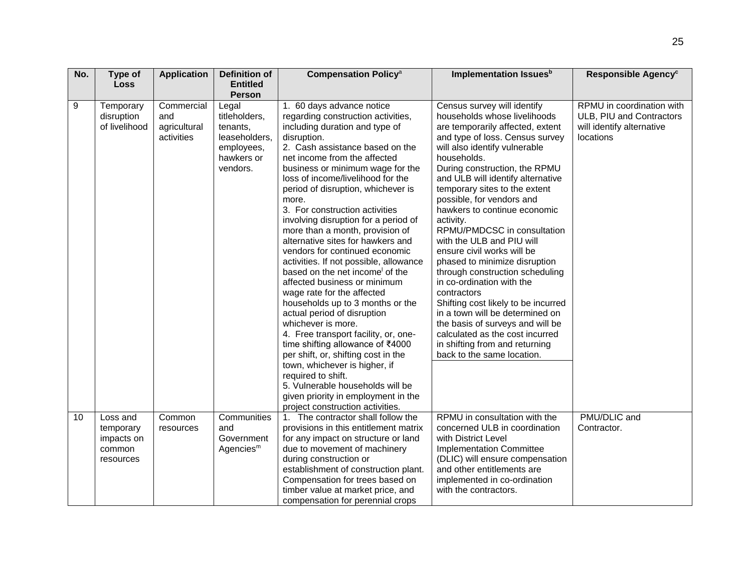| No. | Type of<br><b>Loss</b>                                     | <b>Application</b>                              | Definition of<br><b>Entitled</b>                                                            | <b>Compensation Policy<sup>a</sup></b>                                                                                                                                                                                                                                                                                                                                                                                                                                                                                                                                                                                                                                                                                                                                                                                                                                                                                                                                                                                      | Implementation Issues <sup>b</sup>                                                                                                                                                                                                                                                                                                                                                                                                                                                                                                                                                                                                                                                                                                                                                             | Responsible Agency <sup>c</sup>                                                                 |
|-----|------------------------------------------------------------|-------------------------------------------------|---------------------------------------------------------------------------------------------|-----------------------------------------------------------------------------------------------------------------------------------------------------------------------------------------------------------------------------------------------------------------------------------------------------------------------------------------------------------------------------------------------------------------------------------------------------------------------------------------------------------------------------------------------------------------------------------------------------------------------------------------------------------------------------------------------------------------------------------------------------------------------------------------------------------------------------------------------------------------------------------------------------------------------------------------------------------------------------------------------------------------------------|------------------------------------------------------------------------------------------------------------------------------------------------------------------------------------------------------------------------------------------------------------------------------------------------------------------------------------------------------------------------------------------------------------------------------------------------------------------------------------------------------------------------------------------------------------------------------------------------------------------------------------------------------------------------------------------------------------------------------------------------------------------------------------------------|-------------------------------------------------------------------------------------------------|
|     |                                                            |                                                 | <b>Person</b>                                                                               |                                                                                                                                                                                                                                                                                                                                                                                                                                                                                                                                                                                                                                                                                                                                                                                                                                                                                                                                                                                                                             |                                                                                                                                                                                                                                                                                                                                                                                                                                                                                                                                                                                                                                                                                                                                                                                                |                                                                                                 |
| 9   | Temporary<br>disruption<br>of livelihood                   | Commercial<br>and<br>agricultural<br>activities | Legal<br>titleholders,<br>tenants,<br>leaseholders.<br>employees,<br>hawkers or<br>vendors. | 1. 60 days advance notice<br>regarding construction activities,<br>including duration and type of<br>disruption.<br>2. Cash assistance based on the<br>net income from the affected<br>business or minimum wage for the<br>loss of income/livelihood for the<br>period of disruption, whichever is<br>more.<br>3. For construction activities<br>involving disruption for a period of<br>more than a month, provision of<br>alternative sites for hawkers and<br>vendors for continued economic<br>activities. If not possible, allowance<br>based on the net income of the<br>affected business or minimum<br>wage rate for the affected<br>households up to 3 months or the<br>actual period of disruption<br>whichever is more.<br>4. Free transport facility, or, one-<br>time shifting allowance of ₹4000<br>per shift, or, shifting cost in the<br>town, whichever is higher, if<br>required to shift.<br>5. Vulnerable households will be<br>given priority in employment in the<br>project construction activities. | Census survey will identify<br>households whose livelihoods<br>are temporarily affected, extent<br>and type of loss. Census survey<br>will also identify vulnerable<br>households.<br>During construction, the RPMU<br>and ULB will identify alternative<br>temporary sites to the extent<br>possible, for vendors and<br>hawkers to continue economic<br>activity.<br>RPMU/PMDCSC in consultation<br>with the ULB and PIU will<br>ensure civil works will be<br>phased to minimize disruption<br>through construction scheduling<br>in co-ordination with the<br>contractors<br>Shifting cost likely to be incurred<br>in a town will be determined on<br>the basis of surveys and will be<br>calculated as the cost incurred<br>in shifting from and returning<br>back to the same location. | RPMU in coordination with<br>ULB, PIU and Contractors<br>will identify alternative<br>locations |
| 10  | Loss and<br>temporary<br>impacts on<br>common<br>resources | Common<br>resources                             | Communities<br>and<br>Government<br>Agencies <sup>m</sup>                                   | 1. The contractor shall follow the<br>provisions in this entitlement matrix<br>for any impact on structure or land<br>due to movement of machinery<br>during construction or<br>establishment of construction plant.<br>Compensation for trees based on<br>timber value at market price, and<br>compensation for perennial crops                                                                                                                                                                                                                                                                                                                                                                                                                                                                                                                                                                                                                                                                                            | RPMU in consultation with the<br>concerned ULB in coordination<br>with District Level<br><b>Implementation Committee</b><br>(DLIC) will ensure compensation<br>and other entitlements are<br>implemented in co-ordination<br>with the contractors.                                                                                                                                                                                                                                                                                                                                                                                                                                                                                                                                             | PMU/DLIC and<br>Contractor.                                                                     |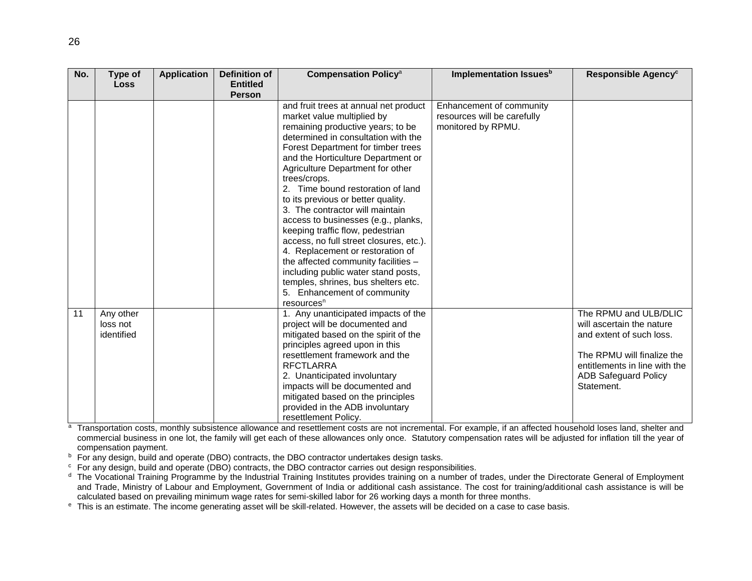| No. | Type of                             | <b>Application</b> | <b>Definition of</b> | <b>Compensation Policy<sup>a</sup></b>                                                                                                                                                                                                                                                                                                                                                                                                                                                                                                                                                                                                                                                                      | Implementation Issues <sup>b</sup>                                            | Responsible Agency <sup>c</sup>                                                                                                                                                            |
|-----|-------------------------------------|--------------------|----------------------|-------------------------------------------------------------------------------------------------------------------------------------------------------------------------------------------------------------------------------------------------------------------------------------------------------------------------------------------------------------------------------------------------------------------------------------------------------------------------------------------------------------------------------------------------------------------------------------------------------------------------------------------------------------------------------------------------------------|-------------------------------------------------------------------------------|--------------------------------------------------------------------------------------------------------------------------------------------------------------------------------------------|
|     | <b>Loss</b>                         |                    | <b>Entitled</b>      |                                                                                                                                                                                                                                                                                                                                                                                                                                                                                                                                                                                                                                                                                                             |                                                                               |                                                                                                                                                                                            |
|     |                                     |                    | <b>Person</b>        |                                                                                                                                                                                                                                                                                                                                                                                                                                                                                                                                                                                                                                                                                                             |                                                                               |                                                                                                                                                                                            |
|     |                                     |                    |                      | and fruit trees at annual net product<br>market value multiplied by<br>remaining productive years; to be<br>determined in consultation with the<br>Forest Department for timber trees<br>and the Horticulture Department or<br>Agriculture Department for other<br>trees/crops.<br>2. Time bound restoration of land<br>to its previous or better quality.<br>3. The contractor will maintain<br>access to businesses (e.g., planks,<br>keeping traffic flow, pedestrian<br>access, no full street closures, etc.).<br>4. Replacement or restoration of<br>the affected community facilities -<br>including public water stand posts,<br>temples, shrines, bus shelters etc.<br>5. Enhancement of community | Enhancement of community<br>resources will be carefully<br>monitored by RPMU. |                                                                                                                                                                                            |
| 11  | Any other<br>loss not<br>identified |                    |                      | resources <sup>n</sup><br>1. Any unanticipated impacts of the<br>project will be documented and<br>mitigated based on the spirit of the<br>principles agreed upon in this<br>resettlement framework and the<br><b>RFCTLARRA</b><br>2. Unanticipated involuntary<br>impacts will be documented and<br>mitigated based on the principles<br>provided in the ADB involuntary<br>resettlement Policy.                                                                                                                                                                                                                                                                                                           |                                                                               | The RPMU and ULB/DLIC<br>will ascertain the nature<br>and extent of such loss.<br>The RPMU will finalize the<br>entitlements in line with the<br><b>ADB Safeguard Policy</b><br>Statement. |

a Transportation costs, monthly subsistence allowance and resettlement costs are not incremental. For example, if an affected household loses land, shelter and commercial business in one lot, the family will get each of these allowances only once. Statutory compensation rates will be adjusted for inflation till the year of compensation payment.

 $<sup>b</sup>$  For any design, build and operate (DBO) contracts, the DBO contractor undertakes design tasks.</sup>

<sup>c</sup> For any design, build and operate (DBO) contracts, the DBO contractor carries out design responsibilities.

<sup>d</sup> The Vocational Training Programme by the Industrial Training Institutes provides training on a number of trades, under the Directorate General of Employment and Trade, Ministry of Labour and Employment, Government of India or additional cash assistance. The cost for training/additional cash assistance is will be calculated based on prevailing minimum wage rates for semi-skilled labor for 26 working days a month for three months.

<sup>e</sup> This is an estimate. The income generating asset will be skill-related. However, the assets will be decided on a case to case basis.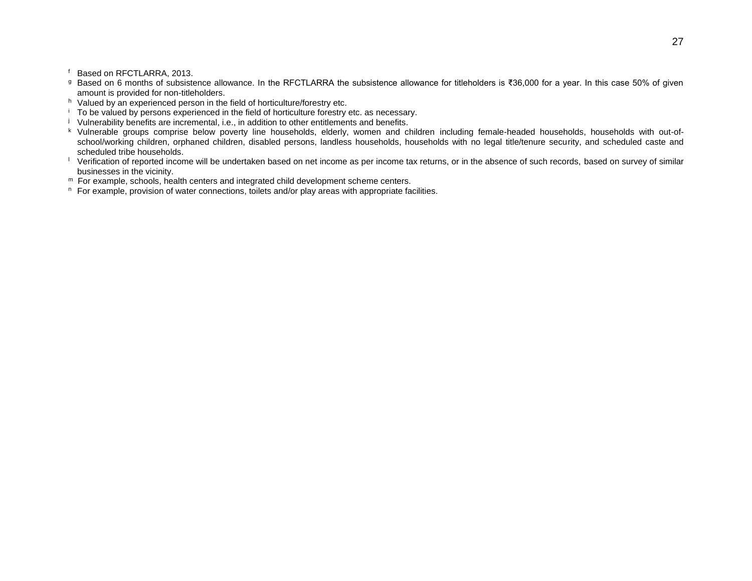f Based on RFCTLARRA, 2013.

- <sup>g</sup> Based on 6 months of subsistence allowance. In the RFCTLARRA the subsistence allowance for titleholders is ₹36,000 for a year. In this case 50% of given amount is provided for non-titleholders.
- h Valued by an experienced person in the field of horticulture/forestry etc.
- <sup>i</sup> To be valued by persons experienced in the field of horticulture forestry etc. as necessary.
- j Vulnerability benefits are incremental, i.e., in addition to other entitlements and benefits.
- k Vulnerable groups comprise below poverty line households, elderly, women and children including female-headed households, households with out-ofschool/working children, orphaned children, disabled persons, landless households, households with no legal title/tenure security, and scheduled caste and scheduled tribe households.
- $\perp$  Verification of reported income will be undertaken based on net income as per income tax returns, or in the absence of such records, based on survey of similar businesses in the vicinity.
- m For example, schools, health centers and integrated child development scheme centers.
- $n$  For example, provision of water connections, toilets and/or play areas with appropriate facilities.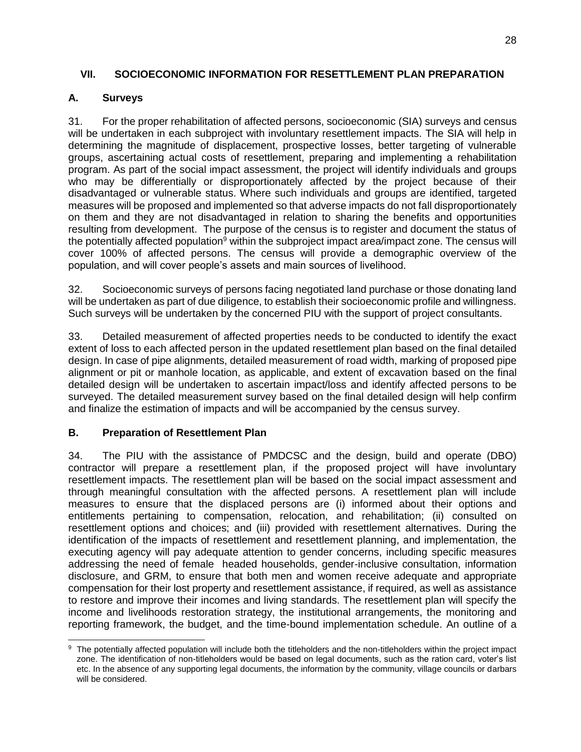## <span id="page-31-0"></span>**VII. SOCIOECONOMIC INFORMATION FOR RESETTLEMENT PLAN PREPARATION**

# <span id="page-31-1"></span>**A. Surveys**

31. For the proper rehabilitation of affected persons, socioeconomic (SIA) surveys and census will be undertaken in each subproject with involuntary resettlement impacts. The SIA will help in determining the magnitude of displacement, prospective losses, better targeting of vulnerable groups, ascertaining actual costs of resettlement, preparing and implementing a rehabilitation program. As part of the social impact assessment, the project will identify individuals and groups who may be differentially or disproportionately affected by the project because of their disadvantaged or vulnerable status. Where such individuals and groups are identified, targeted measures will be proposed and implemented so that adverse impacts do not fall disproportionately on them and they are not disadvantaged in relation to sharing the benefits and opportunities resulting from development. The purpose of the census is to register and document the status of the potentially affected population<sup>9</sup> within the subproject impact area/impact zone. The census will cover 100% of affected persons. The census will provide a demographic overview of the population, and will cover people's assets and main sources of livelihood.

32. Socioeconomic surveys of persons facing negotiated land purchase or those donating land will be undertaken as part of due diligence, to establish their socioeconomic profile and willingness. Such surveys will be undertaken by the concerned PIU with the support of project consultants.

33. Detailed measurement of affected properties needs to be conducted to identify the exact extent of loss to each affected person in the updated resettlement plan based on the final detailed design. In case of pipe alignments, detailed measurement of road width, marking of proposed pipe alignment or pit or manhole location, as applicable, and extent of excavation based on the final detailed design will be undertaken to ascertain impact/loss and identify affected persons to be surveyed. The detailed measurement survey based on the final detailed design will help confirm and finalize the estimation of impacts and will be accompanied by the census survey.

## <span id="page-31-2"></span>**B. Preparation of Resettlement Plan**

34. The PIU with the assistance of PMDCSC and the design, build and operate (DBO) contractor will prepare a resettlement plan, if the proposed project will have involuntary resettlement impacts. The resettlement plan will be based on the social impact assessment and through meaningful consultation with the affected persons. A resettlement plan will include measures to ensure that the displaced persons are (i) informed about their options and entitlements pertaining to compensation, relocation, and rehabilitation; (ii) consulted on resettlement options and choices; and (iii) provided with resettlement alternatives. During the identification of the impacts of resettlement and resettlement planning, and implementation, the executing agency will pay adequate attention to gender concerns, including specific measures addressing the need of female headed households, gender-inclusive consultation, information disclosure, and GRM, to ensure that both men and women receive adequate and appropriate compensation for their lost property and resettlement assistance, if required, as well as assistance to restore and improve their incomes and living standards. The resettlement plan will specify the income and livelihoods restoration strategy, the institutional arrangements, the monitoring and reporting framework, the budget, and the time-bound implementation schedule. An outline of a

 $\overline{a}$ <sup>9</sup> The potentially affected population will include both the titleholders and the non-titleholders within the project impact zone. The identification of non-titleholders would be based on legal documents, such as the ration card, voter's list etc. In the absence of any supporting legal documents, the information by the community, village councils or darbars will be considered.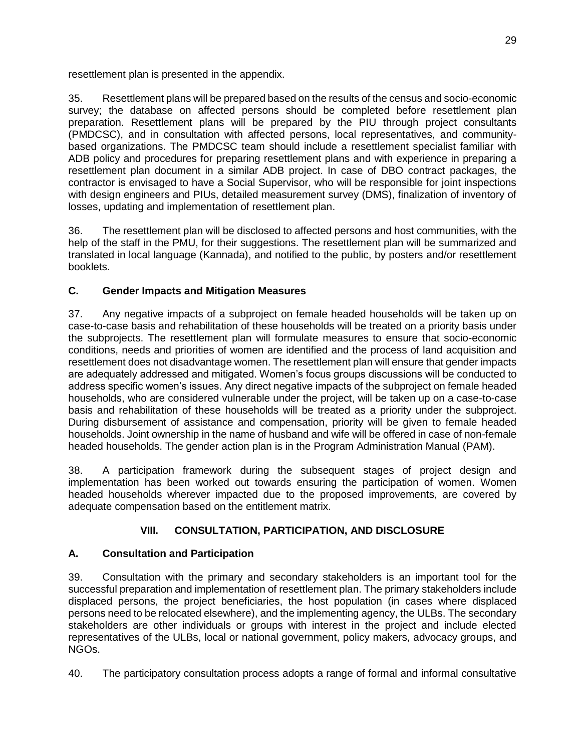resettlement plan is presented in the appendix.

35. Resettlement plans will be prepared based on the results of the census and socio-economic survey; the database on affected persons should be completed before resettlement plan preparation. Resettlement plans will be prepared by the PIU through project consultants (PMDCSC), and in consultation with affected persons, local representatives, and communitybased organizations. The PMDCSC team should include a resettlement specialist familiar with ADB policy and procedures for preparing resettlement plans and with experience in preparing a resettlement plan document in a similar ADB project. In case of DBO contract packages, the contractor is envisaged to have a Social Supervisor, who will be responsible for joint inspections with design engineers and PIUs, detailed measurement survey (DMS), finalization of inventory of losses, updating and implementation of resettlement plan.

36. The resettlement plan will be disclosed to affected persons and host communities, with the help of the staff in the PMU, for their suggestions. The resettlement plan will be summarized and translated in local language (Kannada), and notified to the public, by posters and/or resettlement booklets.

# <span id="page-32-0"></span>**C. Gender Impacts and Mitigation Measures**

37. Any negative impacts of a subproject on female headed households will be taken up on case-to-case basis and rehabilitation of these households will be treated on a priority basis under the subprojects. The resettlement plan will formulate measures to ensure that socio-economic conditions, needs and priorities of women are identified and the process of land acquisition and resettlement does not disadvantage women. The resettlement plan will ensure that gender impacts are adequately addressed and mitigated. Women's focus groups discussions will be conducted to address specific women's issues. Any direct negative impacts of the subproject on female headed households, who are considered vulnerable under the project, will be taken up on a case-to-case basis and rehabilitation of these households will be treated as a priority under the subproject. During disbursement of assistance and compensation, priority will be given to female headed households. Joint ownership in the name of husband and wife will be offered in case of non-female headed households. The gender action plan is in the Program Administration Manual (PAM).

38. A participation framework during the subsequent stages of project design and implementation has been worked out towards ensuring the participation of women. Women headed households wherever impacted due to the proposed improvements, are covered by adequate compensation based on the entitlement matrix.

# **VIII. CONSULTATION, PARTICIPATION, AND DISCLOSURE**

## <span id="page-32-2"></span><span id="page-32-1"></span>**A. Consultation and Participation**

39. Consultation with the primary and secondary stakeholders is an important tool for the successful preparation and implementation of resettlement plan. The primary stakeholders include displaced persons, the project beneficiaries, the host population (in cases where displaced persons need to be relocated elsewhere), and the implementing agency, the ULBs. The secondary stakeholders are other individuals or groups with interest in the project and include elected representatives of the ULBs, local or national government, policy makers, advocacy groups, and NGOs.

40. The participatory consultation process adopts a range of formal and informal consultative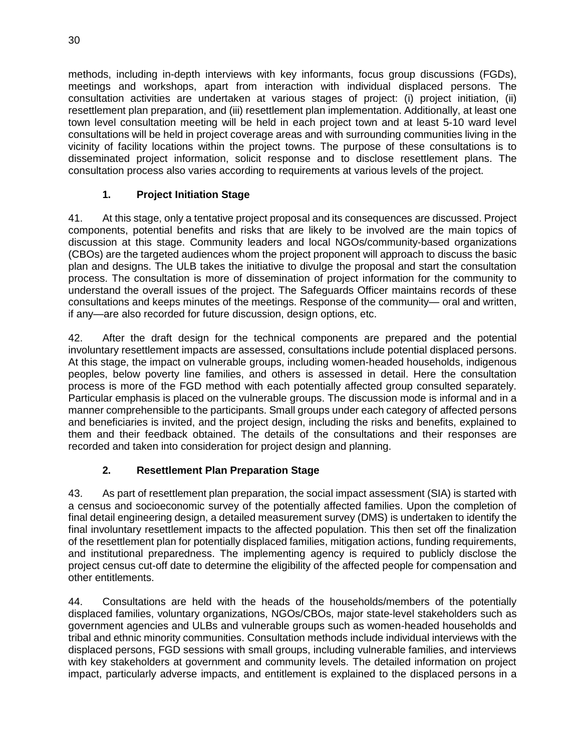methods, including in-depth interviews with key informants, focus group discussions (FGDs), meetings and workshops, apart from interaction with individual displaced persons. The consultation activities are undertaken at various stages of project: (i) project initiation, (ii) resettlement plan preparation, and (iii) resettlement plan implementation. Additionally, at least one town level consultation meeting will be held in each project town and at least 5-10 ward level consultations will be held in project coverage areas and with surrounding communities living in the vicinity of facility locations within the project towns. The purpose of these consultations is to disseminated project information, solicit response and to disclose resettlement plans. The consultation process also varies according to requirements at various levels of the project.

## **1. Project Initiation Stage**

41. At this stage, only a tentative project proposal and its consequences are discussed. Project components, potential benefits and risks that are likely to be involved are the main topics of discussion at this stage. Community leaders and local NGOs/community-based organizations (CBOs) are the targeted audiences whom the project proponent will approach to discuss the basic plan and designs. The ULB takes the initiative to divulge the proposal and start the consultation process. The consultation is more of dissemination of project information for the community to understand the overall issues of the project. The Safeguards Officer maintains records of these consultations and keeps minutes of the meetings. Response of the community— oral and written, if any—are also recorded for future discussion, design options, etc.

42. After the draft design for the technical components are prepared and the potential involuntary resettlement impacts are assessed, consultations include potential displaced persons. At this stage, the impact on vulnerable groups, including women-headed households, indigenous peoples, below poverty line families, and others is assessed in detail. Here the consultation process is more of the FGD method with each potentially affected group consulted separately. Particular emphasis is placed on the vulnerable groups. The discussion mode is informal and in a manner comprehensible to the participants. Small groups under each category of affected persons and beneficiaries is invited, and the project design, including the risks and benefits, explained to them and their feedback obtained. The details of the consultations and their responses are recorded and taken into consideration for project design and planning.

# **2. Resettlement Plan Preparation Stage**

43. As part of resettlement plan preparation, the social impact assessment (SIA) is started with a census and socioeconomic survey of the potentially affected families. Upon the completion of final detail engineering design, a detailed measurement survey (DMS) is undertaken to identify the final involuntary resettlement impacts to the affected population. This then set off the finalization of the resettlement plan for potentially displaced families, mitigation actions, funding requirements, and institutional preparedness. The implementing agency is required to publicly disclose the project census cut-off date to determine the eligibility of the affected people for compensation and other entitlements.

44. Consultations are held with the heads of the households/members of the potentially displaced families, voluntary organizations, NGOs/CBOs, major state-level stakeholders such as government agencies and ULBs and vulnerable groups such as women-headed households and tribal and ethnic minority communities. Consultation methods include individual interviews with the displaced persons, FGD sessions with small groups, including vulnerable families, and interviews with key stakeholders at government and community levels. The detailed information on project impact, particularly adverse impacts, and entitlement is explained to the displaced persons in a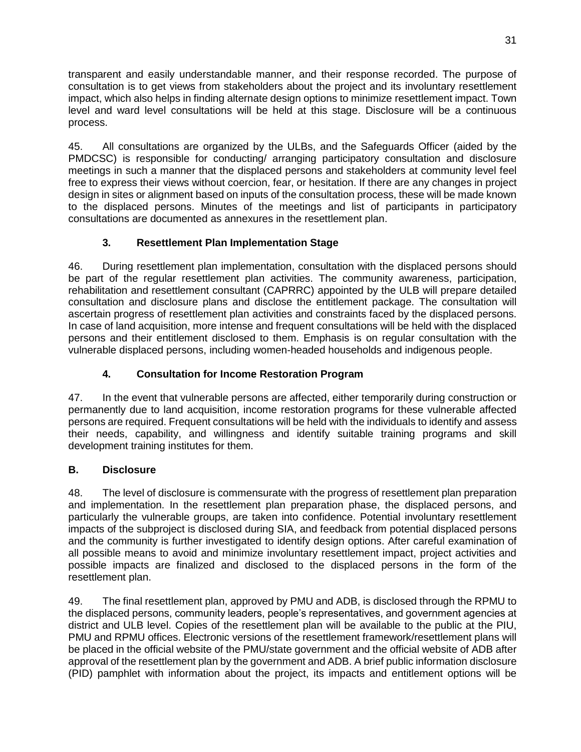transparent and easily understandable manner, and their response recorded. The purpose of consultation is to get views from stakeholders about the project and its involuntary resettlement impact, which also helps in finding alternate design options to minimize resettlement impact. Town level and ward level consultations will be held at this stage. Disclosure will be a continuous process.

45. All consultations are organized by the ULBs, and the Safeguards Officer (aided by the PMDCSC) is responsible for conducting/ arranging participatory consultation and disclosure meetings in such a manner that the displaced persons and stakeholders at community level feel free to express their views without coercion, fear, or hesitation. If there are any changes in project design in sites or alignment based on inputs of the consultation process, these will be made known to the displaced persons. Minutes of the meetings and list of participants in participatory consultations are documented as annexures in the resettlement plan.

# **3. Resettlement Plan Implementation Stage**

46. During resettlement plan implementation, consultation with the displaced persons should be part of the regular resettlement plan activities. The community awareness, participation, rehabilitation and resettlement consultant (CAPRRC) appointed by the ULB will prepare detailed consultation and disclosure plans and disclose the entitlement package. The consultation will ascertain progress of resettlement plan activities and constraints faced by the displaced persons. In case of land acquisition, more intense and frequent consultations will be held with the displaced persons and their entitlement disclosed to them. Emphasis is on regular consultation with the vulnerable displaced persons, including women-headed households and indigenous people.

# **4. Consultation for Income Restoration Program**

47. In the event that vulnerable persons are affected, either temporarily during construction or permanently due to land acquisition, income restoration programs for these vulnerable affected persons are required. Frequent consultations will be held with the individuals to identify and assess their needs, capability, and willingness and identify suitable training programs and skill development training institutes for them.

## <span id="page-34-0"></span>**B. Disclosure**

48. The level of disclosure is commensurate with the progress of resettlement plan preparation and implementation. In the resettlement plan preparation phase, the displaced persons, and particularly the vulnerable groups, are taken into confidence. Potential involuntary resettlement impacts of the subproject is disclosed during SIA, and feedback from potential displaced persons and the community is further investigated to identify design options. After careful examination of all possible means to avoid and minimize involuntary resettlement impact, project activities and possible impacts are finalized and disclosed to the displaced persons in the form of the resettlement plan.

49. The final resettlement plan, approved by PMU and ADB, is disclosed through the RPMU to the displaced persons, community leaders, people's representatives, and government agencies at district and ULB level. Copies of the resettlement plan will be available to the public at the PIU, PMU and RPMU offices. Electronic versions of the resettlement framework/resettlement plans will be placed in the official website of the PMU/state government and the official website of ADB after approval of the resettlement plan by the government and ADB. A brief public information disclosure (PID) pamphlet with information about the project, its impacts and entitlement options will be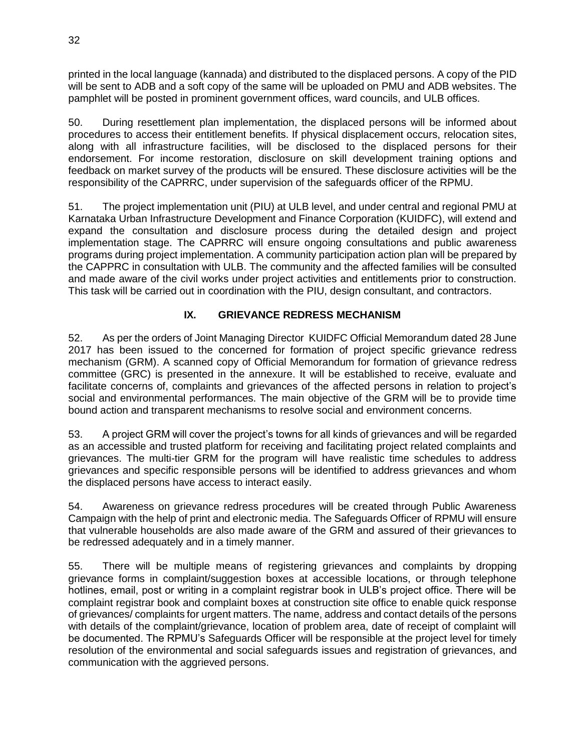printed in the local language (kannada) and distributed to the displaced persons. A copy of the PID will be sent to ADB and a soft copy of the same will be uploaded on PMU and ADB websites. The pamphlet will be posted in prominent government offices, ward councils, and ULB offices.

50. During resettlement plan implementation, the displaced persons will be informed about procedures to access their entitlement benefits. If physical displacement occurs, relocation sites, along with all infrastructure facilities, will be disclosed to the displaced persons for their endorsement. For income restoration, disclosure on skill development training options and feedback on market survey of the products will be ensured. These disclosure activities will be the responsibility of the CAPRRC, under supervision of the safeguards officer of the RPMU.

51. The project implementation unit (PIU) at ULB level, and under central and regional PMU at Karnataka Urban Infrastructure Development and Finance Corporation (KUIDFC), will extend and expand the consultation and disclosure process during the detailed design and project implementation stage. The CAPRRC will ensure ongoing consultations and public awareness programs during project implementation. A community participation action plan will be prepared by the CAPPRC in consultation with ULB. The community and the affected families will be consulted and made aware of the civil works under project activities and entitlements prior to construction. This task will be carried out in coordination with the PIU, design consultant, and contractors.

# **IX. GRIEVANCE REDRESS MECHANISM**

<span id="page-35-0"></span>52. As per the orders of Joint Managing Director KUIDFC Official Memorandum dated 28 June 2017 has been issued to the concerned for formation of project specific grievance redress mechanism (GRM). A scanned copy of Official Memorandum for formation of grievance redress committee (GRC) is presented in the annexure. It will be established to receive, evaluate and facilitate concerns of, complaints and grievances of the affected persons in relation to project's social and environmental performances. The main objective of the GRM will be to provide time bound action and transparent mechanisms to resolve social and environment concerns.

53. A project GRM will cover the project's towns for all kinds of grievances and will be regarded as an accessible and trusted platform for receiving and facilitating project related complaints and grievances. The multi-tier GRM for the program will have realistic time schedules to address grievances and specific responsible persons will be identified to address grievances and whom the displaced persons have access to interact easily.

54. Awareness on grievance redress procedures will be created through Public Awareness Campaign with the help of print and electronic media. The Safeguards Officer of RPMU will ensure that vulnerable households are also made aware of the GRM and assured of their grievances to be redressed adequately and in a timely manner.

55. There will be multiple means of registering grievances and complaints by dropping grievance forms in complaint/suggestion boxes at accessible locations, or through telephone hotlines, email, post or writing in a complaint registrar book in ULB's project office. There will be complaint registrar book and complaint boxes at construction site office to enable quick response of grievances/ complaints for urgent matters. The name, address and contact details of the persons with details of the complaint/grievance, location of problem area, date of receipt of complaint will be documented. The RPMU's Safeguards Officer will be responsible at the project level for timely resolution of the environmental and social safeguards issues and registration of grievances, and communication with the aggrieved persons.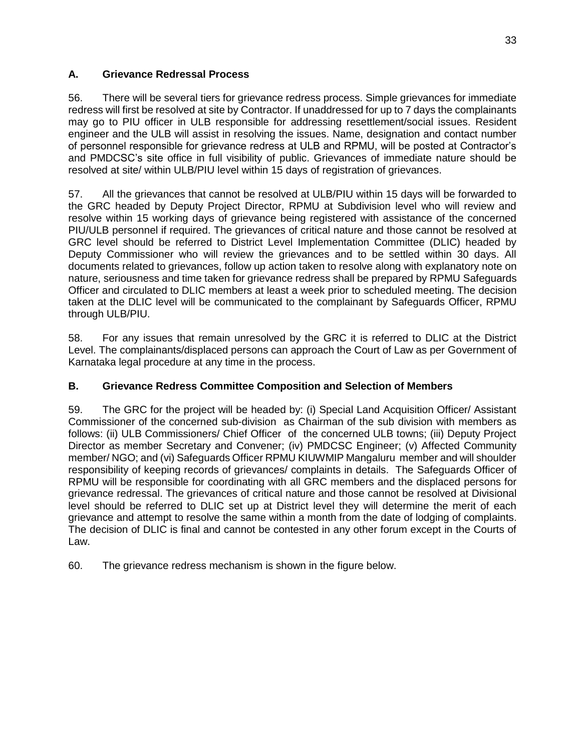# **A. Grievance Redressal Process**

56. There will be several tiers for grievance redress process. Simple grievances for immediate redress will first be resolved at site by Contractor. If unaddressed for up to 7 days the complainants may go to PIU officer in ULB responsible for addressing resettlement/social issues. Resident engineer and the ULB will assist in resolving the issues. Name, designation and contact number of personnel responsible for grievance redress at ULB and RPMU, will be posted at Contractor's and PMDCSC's site office in full visibility of public. Grievances of immediate nature should be resolved at site/ within ULB/PIU level within 15 days of registration of grievances.

57. All the grievances that cannot be resolved at ULB/PIU within 15 days will be forwarded to the GRC headed by Deputy Project Director, RPMU at Subdivision level who will review and resolve within 15 working days of grievance being registered with assistance of the concerned PIU/ULB personnel if required. The grievances of critical nature and those cannot be resolved at GRC level should be referred to District Level Implementation Committee (DLIC) headed by Deputy Commissioner who will review the grievances and to be settled within 30 days. All documents related to grievances, follow up action taken to resolve along with explanatory note on nature, seriousness and time taken for grievance redress shall be prepared by RPMU Safeguards Officer and circulated to DLIC members at least a week prior to scheduled meeting. The decision taken at the DLIC level will be communicated to the complainant by Safeguards Officer, RPMU through ULB/PIU.

58. For any issues that remain unresolved by the GRC it is referred to DLIC at the District Level. The complainants/displaced persons can approach the Court of Law as per Government of Karnataka legal procedure at any time in the process.

# **B. Grievance Redress Committee Composition and Selection of Members**

59. The GRC for the project will be headed by: (i) Special Land Acquisition Officer/ Assistant Commissioner of the concerned sub-division as Chairman of the sub division with members as follows: (ii) ULB Commissioners/ Chief Officer of the concerned ULB towns; (iii) Deputy Project Director as member Secretary and Convener; (iv) PMDCSC Engineer; (v) Affected Community member/ NGO; and (vi) Safeguards Officer RPMU KIUWMIP Mangaluru member and will shoulder responsibility of keeping records of grievances/ complaints in details. The Safeguards Officer of RPMU will be responsible for coordinating with all GRC members and the displaced persons for grievance redressal. The grievances of critical nature and those cannot be resolved at Divisional level should be referred to DLIC set up at District level they will determine the merit of each grievance and attempt to resolve the same within a month from the date of lodging of complaints. The decision of DLIC is final and cannot be contested in any other forum except in the Courts of Law.

60. The grievance redress mechanism is shown in the figure below.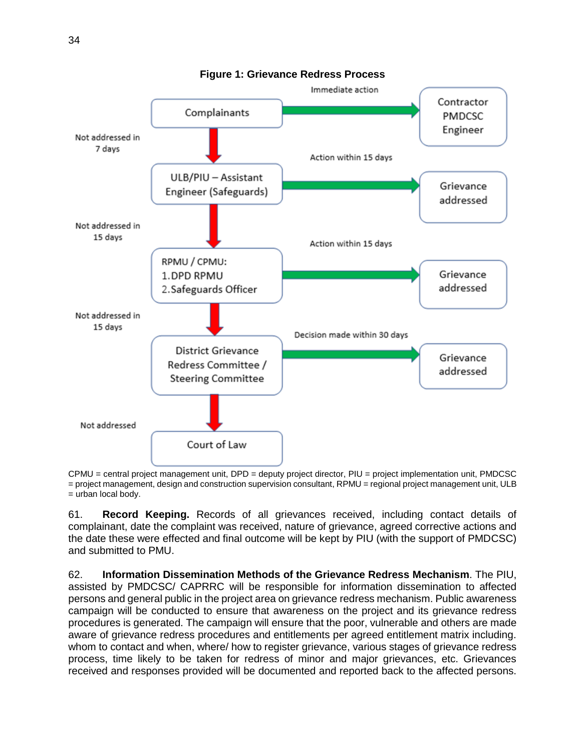

**Figure 1: Grievance Redress Process**

CPMU = central project management unit, DPD = deputy project director, PIU = project implementation unit, PMDCSC = project management, design and construction supervision consultant, RPMU = regional project management unit, ULB = urban local body.

61. **Record Keeping.** Records of all grievances received, including contact details of complainant, date the complaint was received, nature of grievance, agreed corrective actions and the date these were effected and final outcome will be kept by PIU (with the support of PMDCSC) and submitted to PMU.

62. **Information Dissemination Methods of the Grievance Redress Mechanism**. The PIU, assisted by PMDCSC/ CAPRRC will be responsible for information dissemination to affected persons and general public in the project area on grievance redress mechanism. Public awareness campaign will be conducted to ensure that awareness on the project and its grievance redress procedures is generated. The campaign will ensure that the poor, vulnerable and others are made aware of grievance redress procedures and entitlements per agreed entitlement matrix including. whom to contact and when, where/ how to register grievance, various stages of grievance redress process, time likely to be taken for redress of minor and major grievances, etc. Grievances received and responses provided will be documented and reported back to the affected persons.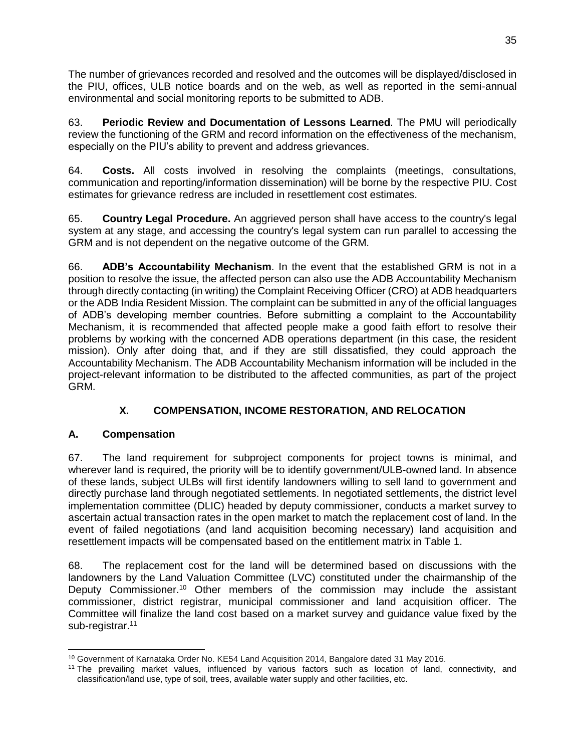The number of grievances recorded and resolved and the outcomes will be displayed/disclosed in the PIU, offices, ULB notice boards and on the web, as well as reported in the semi-annual environmental and social monitoring reports to be submitted to ADB.

63. **Periodic Review and Documentation of Lessons Learned**. The PMU will periodically review the functioning of the GRM and record information on the effectiveness of the mechanism, especially on the PIU's ability to prevent and address grievances.

64. **Costs.** All costs involved in resolving the complaints (meetings, consultations, communication and reporting/information dissemination) will be borne by the respective PIU. Cost estimates for grievance redress are included in resettlement cost estimates.

65. **Country Legal Procedure.** An aggrieved person shall have access to the country's legal system at any stage, and accessing the country's legal system can run parallel to accessing the GRM and is not dependent on the negative outcome of the GRM.

66. **ADB's Accountability Mechanism**. In the event that the established GRM is not in a position to resolve the issue, the affected person can also use the ADB Accountability Mechanism through directly contacting (in writing) the Complaint Receiving Officer (CRO) at ADB headquarters or the ADB India Resident Mission. The complaint can be submitted in any of the official languages of ADB's developing member countries. Before submitting a complaint to the Accountability Mechanism, it is recommended that affected people make a good faith effort to resolve their problems by working with the concerned ADB operations department (in this case, the resident mission). Only after doing that, and if they are still dissatisfied, they could approach the Accountability Mechanism. The ADB Accountability Mechanism information will be included in the project-relevant information to be distributed to the affected communities, as part of the project GRM.

# **X. COMPENSATION, INCOME RESTORATION, AND RELOCATION**

# **A. Compensation**

67. The land requirement for subproject components for project towns is minimal, and wherever land is required, the priority will be to identify government/ULB-owned land. In absence of these lands, subject ULBs will first identify landowners willing to sell land to government and directly purchase land through negotiated settlements. In negotiated settlements, the district level implementation committee (DLIC) headed by deputy commissioner, conducts a market survey to ascertain actual transaction rates in the open market to match the replacement cost of land. In the event of failed negotiations (and land acquisition becoming necessary) land acquisition and resettlement impacts will be compensated based on the entitlement matrix in Table 1.

68. The replacement cost for the land will be determined based on discussions with the landowners by the Land Valuation Committee (LVC) constituted under the chairmanship of the Deputy Commissioner.<sup>10</sup> Other members of the commission may include the assistant commissioner, district registrar, municipal commissioner and land acquisition officer. The Committee will finalize the land cost based on a market survey and guidance value fixed by the sub-registrar.<sup>11</sup>

 <sup>10</sup> Government of Karnataka Order No. KE54 Land Acquisition 2014, Bangalore dated 31 May 2016.

<sup>&</sup>lt;sup>11</sup> The prevailing market values, influenced by various factors such as location of land, connectivity, and classification/land use, type of soil, trees, available water supply and other facilities, etc.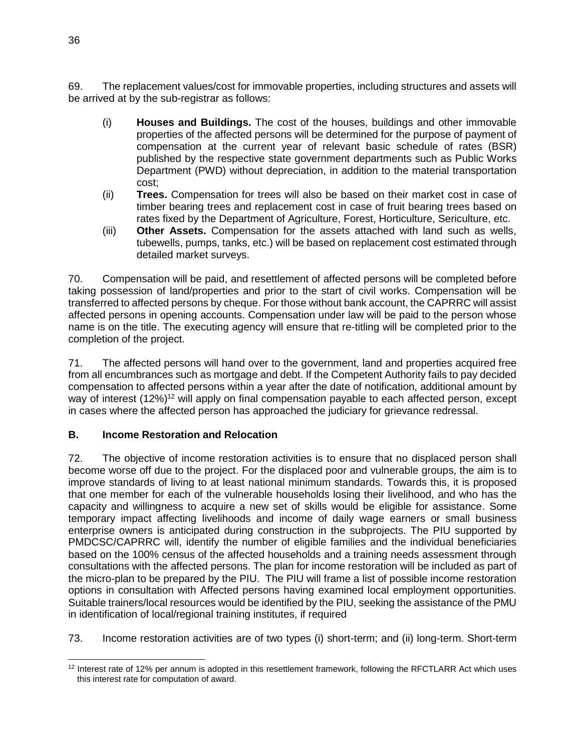69. The replacement values/cost for immovable properties, including structures and assets will be arrived at by the sub-registrar as follows:

- (i) **Houses and Buildings.** The cost of the houses, buildings and other immovable properties of the affected persons will be determined for the purpose of payment of compensation at the current year of relevant basic schedule of rates (BSR) published by the respective state government departments such as Public Works Department (PWD) without depreciation, in addition to the material transportation cost;
- (ii) **Trees.** Compensation for trees will also be based on their market cost in case of timber bearing trees and replacement cost in case of fruit bearing trees based on rates fixed by the Department of Agriculture, Forest, Horticulture, Sericulture, etc.
- (iii) **Other Assets.** Compensation for the assets attached with land such as wells, tubewells, pumps, tanks, etc.) will be based on replacement cost estimated through detailed market surveys.

70. Compensation will be paid, and resettlement of affected persons will be completed before taking possession of land/properties and prior to the start of civil works. Compensation will be transferred to affected persons by cheque. For those without bank account, the CAPRRC will assist affected persons in opening accounts. Compensation under law will be paid to the person whose name is on the title. The executing agency will ensure that re-titling will be completed prior to the completion of the project.

71. The affected persons will hand over to the government, land and properties acquired free from all encumbrances such as mortgage and debt. If the Competent Authority fails to pay decided compensation to affected persons within a year after the date of notification, additional amount by way of interest (12%)<sup>12</sup> will apply on final compensation payable to each affected person, except in cases where the affected person has approached the judiciary for grievance redressal.

# **B. Income Restoration and Relocation**

72. The objective of income restoration activities is to ensure that no displaced person shall become worse off due to the project. For the displaced poor and vulnerable groups, the aim is to improve standards of living to at least national minimum standards. Towards this, it is proposed that one member for each of the vulnerable households losing their livelihood, and who has the capacity and willingness to acquire a new set of skills would be eligible for assistance. Some temporary impact affecting livelihoods and income of daily wage earners or small business enterprise owners is anticipated during construction in the subprojects. The PIU supported by PMDCSC/CAPRRC will, identify the number of eligible families and the individual beneficiaries based on the 100% census of the affected households and a training needs assessment through consultations with the affected persons. The plan for income restoration will be included as part of the micro-plan to be prepared by the PIU. The PIU will frame a list of possible income restoration options in consultation with Affected persons having examined local employment opportunities. Suitable trainers/local resources would be identified by the PIU, seeking the assistance of the PMU in identification of local/regional training institutes, if required

73. Income restoration activities are of two types (i) short-term; and (ii) long-term. Short-term

 $\overline{a}$ <sup>12</sup> Interest rate of 12% per annum is adopted in this resettlement framework, following the RFCTLARR Act which uses this interest rate for computation of award.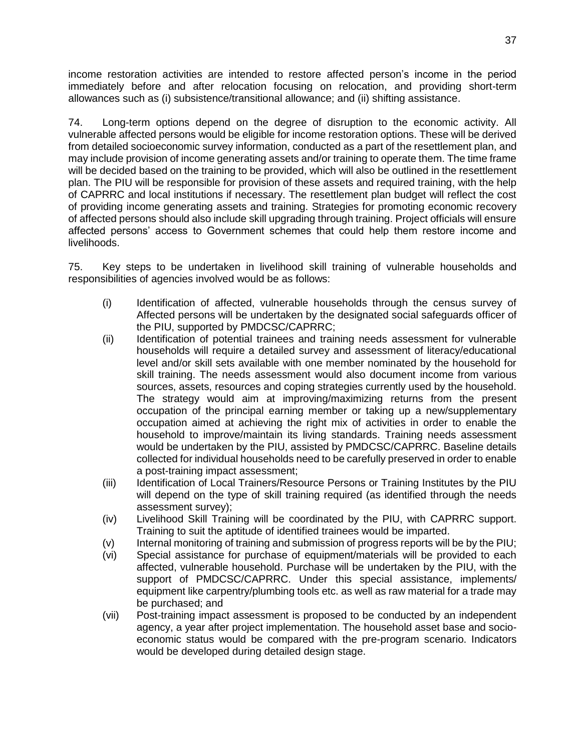income restoration activities are intended to restore affected person's income in the period immediately before and after relocation focusing on relocation, and providing short-term allowances such as (i) subsistence/transitional allowance; and (ii) shifting assistance.

74. Long-term options depend on the degree of disruption to the economic activity. All vulnerable affected persons would be eligible for income restoration options. These will be derived from detailed socioeconomic survey information, conducted as a part of the resettlement plan, and may include provision of income generating assets and/or training to operate them. The time frame will be decided based on the training to be provided, which will also be outlined in the resettlement plan. The PIU will be responsible for provision of these assets and required training, with the help of CAPRRC and local institutions if necessary. The resettlement plan budget will reflect the cost of providing income generating assets and training. Strategies for promoting economic recovery of affected persons should also include skill upgrading through training. Project officials will ensure affected persons' access to Government schemes that could help them restore income and livelihoods.

75. Key steps to be undertaken in livelihood skill training of vulnerable households and responsibilities of agencies involved would be as follows:

- (i) Identification of affected, vulnerable households through the census survey of Affected persons will be undertaken by the designated social safeguards officer of the PIU, supported by PMDCSC/CAPRRC;
- (ii) Identification of potential trainees and training needs assessment for vulnerable households will require a detailed survey and assessment of literacy/educational level and/or skill sets available with one member nominated by the household for skill training. The needs assessment would also document income from various sources, assets, resources and coping strategies currently used by the household. The strategy would aim at improving/maximizing returns from the present occupation of the principal earning member or taking up a new/supplementary occupation aimed at achieving the right mix of activities in order to enable the household to improve/maintain its living standards. Training needs assessment would be undertaken by the PIU, assisted by PMDCSC/CAPRRC. Baseline details collected for individual households need to be carefully preserved in order to enable a post-training impact assessment;
- (iii) Identification of Local Trainers/Resource Persons or Training Institutes by the PIU will depend on the type of skill training required (as identified through the needs assessment survey);
- (iv) Livelihood Skill Training will be coordinated by the PIU, with CAPRRC support. Training to suit the aptitude of identified trainees would be imparted.
- (v) Internal monitoring of training and submission of progress reports will be by the PIU;
- (vi) Special assistance for purchase of equipment/materials will be provided to each affected, vulnerable household. Purchase will be undertaken by the PIU, with the support of PMDCSC/CAPRRC. Under this special assistance, implements/ equipment like carpentry/plumbing tools etc. as well as raw material for a trade may be purchased; and
- (vii) Post-training impact assessment is proposed to be conducted by an independent agency, a year after project implementation. The household asset base and socioeconomic status would be compared with the pre-program scenario. Indicators would be developed during detailed design stage.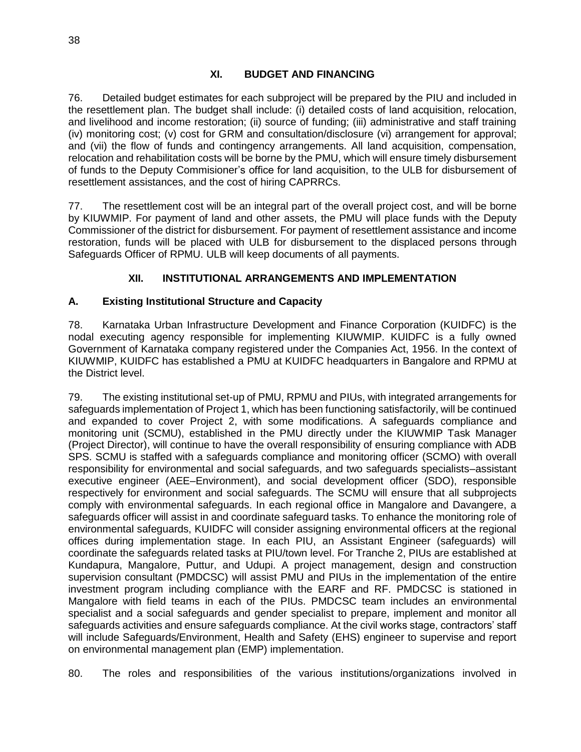76. Detailed budget estimates for each subproject will be prepared by the PIU and included in the resettlement plan. The budget shall include: (i) detailed costs of land acquisition, relocation, and livelihood and income restoration; (ii) source of funding; (iii) administrative and staff training (iv) monitoring cost; (v) cost for GRM and consultation/disclosure (vi) arrangement for approval; and (vii) the flow of funds and contingency arrangements. All land acquisition, compensation, relocation and rehabilitation costs will be borne by the PMU, which will ensure timely disbursement of funds to the Deputy Commisioner's office for land acquisition, to the ULB for disbursement of resettlement assistances, and the cost of hiring CAPRRCs.

77. The resettlement cost will be an integral part of the overall project cost, and will be borne by KIUWMIP. For payment of land and other assets, the PMU will place funds with the Deputy Commissioner of the district for disbursement. For payment of resettlement assistance and income restoration, funds will be placed with ULB for disbursement to the displaced persons through Safeguards Officer of RPMU. ULB will keep documents of all payments.

# **XII. INSTITUTIONAL ARRANGEMENTS AND IMPLEMENTATION**

# **A. Existing Institutional Structure and Capacity**

78. Karnataka Urban Infrastructure Development and Finance Corporation (KUIDFC) is the nodal executing agency responsible for implementing KIUWMIP. KUIDFC is a fully owned Government of Karnataka company registered under the Companies Act, 1956. In the context of KIUWMIP, KUIDFC has established a PMU at KUIDFC headquarters in Bangalore and RPMU at the District level.

79. The existing institutional set-up of PMU, RPMU and PIUs, with integrated arrangements for safeguards implementation of Project 1, which has been functioning satisfactorily, will be continued and expanded to cover Project 2, with some modifications. A safeguards compliance and monitoring unit (SCMU), established in the PMU directly under the KIUWMIP Task Manager (Project Director), will continue to have the overall responsibility of ensuring compliance with ADB SPS. SCMU is staffed with a safeguards compliance and monitoring officer (SCMO) with overall responsibility for environmental and social safeguards, and two safeguards specialists–assistant executive engineer (AEE–Environment), and social development officer (SDO), responsible respectively for environment and social safeguards. The SCMU will ensure that all subprojects comply with environmental safeguards. In each regional office in Mangalore and Davangere, a safeguards officer will assist in and coordinate safeguard tasks. To enhance the monitoring role of environmental safeguards, KUIDFC will consider assigning environmental officers at the regional offices during implementation stage. In each PIU, an Assistant Engineer (safeguards) will coordinate the safeguards related tasks at PIU/town level. For Tranche 2, PIUs are established at Kundapura, Mangalore, Puttur, and Udupi. A project management, design and construction supervision consultant (PMDCSC) will assist PMU and PIUs in the implementation of the entire investment program including compliance with the EARF and RF. PMDCSC is stationed in Mangalore with field teams in each of the PIUs. PMDCSC team includes an environmental specialist and a social safeguards and gender specialist to prepare, implement and monitor all safeguards activities and ensure safeguards compliance. At the civil works stage, contractors' staff will include Safeguards/Environment, Health and Safety (EHS) engineer to supervise and report on environmental management plan (EMP) implementation.

80. The roles and responsibilities of the various institutions/organizations involved in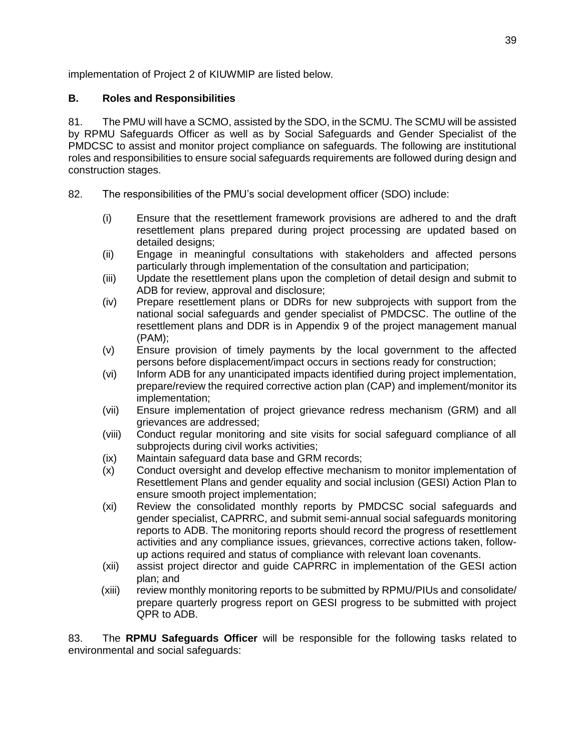implementation of Project 2 of KIUWMIP are listed below.

# **B. Roles and Responsibilities**

81. The PMU will have a SCMO, assisted by the SDO, in the SCMU. The SCMU will be assisted by RPMU Safeguards Officer as well as by Social Safeguards and Gender Specialist of the PMDCSC to assist and monitor project compliance on safeguards. The following are institutional roles and responsibilities to ensure social safeguards requirements are followed during design and construction stages.

- 82. The responsibilities of the PMU's social development officer (SDO) include:
	- (i) Ensure that the resettlement framework provisions are adhered to and the draft resettlement plans prepared during project processing are updated based on detailed designs;
	- (ii) Engage in meaningful consultations with stakeholders and affected persons particularly through implementation of the consultation and participation;
	- (iii) Update the resettlement plans upon the completion of detail design and submit to ADB for review, approval and disclosure;
	- (iv) Prepare resettlement plans or DDRs for new subprojects with support from the national social safeguards and gender specialist of PMDCSC. The outline of the resettlement plans and DDR is in Appendix 9 of the project management manual (PAM);
	- (v) Ensure provision of timely payments by the local government to the affected persons before displacement/impact occurs in sections ready for construction;
	- (vi) Inform ADB for any unanticipated impacts identified during project implementation, prepare/review the required corrective action plan (CAP) and implement/monitor its implementation;
	- (vii) Ensure implementation of project grievance redress mechanism (GRM) and all grievances are addressed;
	- (viii) Conduct regular monitoring and site visits for social safeguard compliance of all subprojects during civil works activities;
	- (ix) Maintain safeguard data base and GRM records;
	- (x) Conduct oversight and develop effective mechanism to monitor implementation of Resettlement Plans and gender equality and social inclusion (GESI) Action Plan to ensure smooth project implementation;
	- (xi) Review the consolidated monthly reports by PMDCSC social safeguards and gender specialist, CAPRRC, and submit semi-annual social safeguards monitoring reports to ADB. The monitoring reports should record the progress of resettlement activities and any compliance issues, grievances, corrective actions taken, followup actions required and status of compliance with relevant loan covenants.
	- (xii) assist project director and guide CAPRRC in implementation of the GESI action plan; and
	- (xiii) review monthly monitoring reports to be submitted by RPMU/PIUs and consolidate/ prepare quarterly progress report on GESI progress to be submitted with project QPR to ADB.

83. The **RPMU Safeguards Officer** will be responsible for the following tasks related to environmental and social safeguards: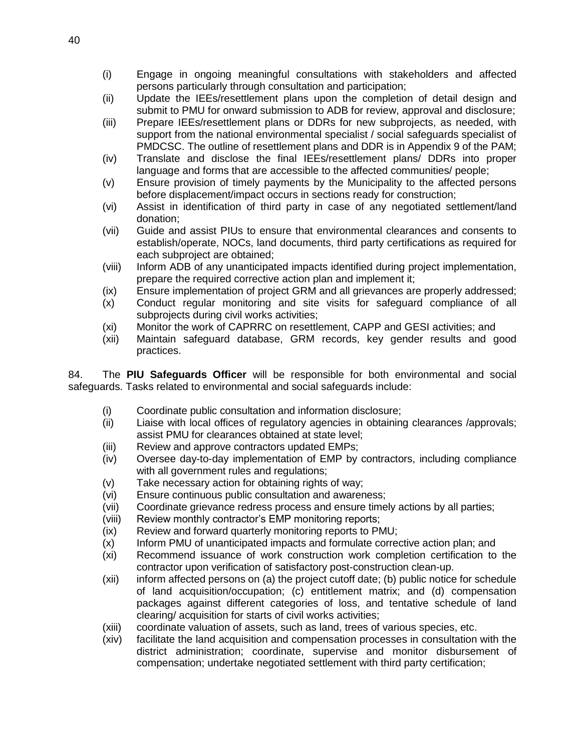- (i) Engage in ongoing meaningful consultations with stakeholders and affected persons particularly through consultation and participation;
- (ii) Update the IEEs/resettlement plans upon the completion of detail design and submit to PMU for onward submission to ADB for review, approval and disclosure;
- (iii) Prepare IEEs/resettlement plans or DDRs for new subprojects, as needed, with support from the national environmental specialist / social safeguards specialist of PMDCSC. The outline of resettlement plans and DDR is in Appendix 9 of the PAM;
- (iv) Translate and disclose the final IEEs/resettlement plans/ DDRs into proper language and forms that are accessible to the affected communities/ people;
- (v) Ensure provision of timely payments by the Municipality to the affected persons before displacement/impact occurs in sections ready for construction;
- (vi) Assist in identification of third party in case of any negotiated settlement/land donation;
- (vii) Guide and assist PIUs to ensure that environmental clearances and consents to establish/operate, NOCs, land documents, third party certifications as required for each subproject are obtained;
- (viii) Inform ADB of any unanticipated impacts identified during project implementation, prepare the required corrective action plan and implement it;
- (ix) Ensure implementation of project GRM and all grievances are properly addressed;
- (x) Conduct regular monitoring and site visits for safeguard compliance of all subprojects during civil works activities;
- (xi) Monitor the work of CAPRRC on resettlement, CAPP and GESI activities; and
- (xii) Maintain safeguard database, GRM records, key gender results and good practices.

84. The **PIU Safeguards Officer** will be responsible for both environmental and social safeguards. Tasks related to environmental and social safeguards include:

- (i) Coordinate public consultation and information disclosure;
- (ii) Liaise with local offices of regulatory agencies in obtaining clearances /approvals; assist PMU for clearances obtained at state level;
- (iii) Review and approve contractors updated EMPs;
- (iv) Oversee day-to-day implementation of EMP by contractors, including compliance with all government rules and regulations;
- (v) Take necessary action for obtaining rights of way;
- (vi) Ensure continuous public consultation and awareness;
- (vii) Coordinate grievance redress process and ensure timely actions by all parties;
- (viii) Review monthly contractor's EMP monitoring reports;
- (ix) Review and forward quarterly monitoring reports to PMU;
- (x) Inform PMU of unanticipated impacts and formulate corrective action plan; and
- (xi) Recommend issuance of work construction work completion certification to the contractor upon verification of satisfactory post-construction clean-up.
- (xii) inform affected persons on (a) the project cutoff date; (b) public notice for schedule of land acquisition/occupation; (c) entitlement matrix; and (d) compensation packages against different categories of loss, and tentative schedule of land clearing/ acquisition for starts of civil works activities;
- (xiii) coordinate valuation of assets, such as land, trees of various species, etc.
- (xiv) facilitate the land acquisition and compensation processes in consultation with the district administration; coordinate, supervise and monitor disbursement of compensation; undertake negotiated settlement with third party certification;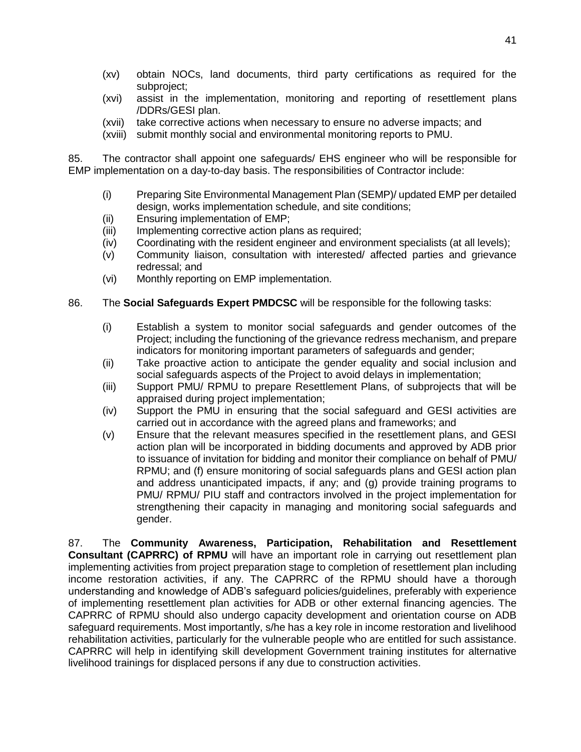- (xv) obtain NOCs, land documents, third party certifications as required for the subproject;
- (xvi) assist in the implementation, monitoring and reporting of resettlement plans /DDRs/GESI plan.
- (xvii) take corrective actions when necessary to ensure no adverse impacts; and
- (xviii) submit monthly social and environmental monitoring reports to PMU.

85. The contractor shall appoint one safeguards/ EHS engineer who will be responsible for EMP implementation on a day-to-day basis. The responsibilities of Contractor include:

- (i) Preparing Site Environmental Management Plan (SEMP)/ updated EMP per detailed design, works implementation schedule, and site conditions;
- (ii) Ensuring implementation of EMP;
- (iii) Implementing corrective action plans as required;
- (iv) Coordinating with the resident engineer and environment specialists (at all levels);
- (v) Community liaison, consultation with interested/ affected parties and grievance redressal; and
- (vi) Monthly reporting on EMP implementation.
- 86. The **Social Safeguards Expert PMDCSC** will be responsible for the following tasks:
	- (i) Establish a system to monitor social safeguards and gender outcomes of the Project; including the functioning of the grievance redress mechanism, and prepare indicators for monitoring important parameters of safeguards and gender;
	- (ii) Take proactive action to anticipate the gender equality and social inclusion and social safeguards aspects of the Project to avoid delays in implementation;
	- (iii) Support PMU/ RPMU to prepare Resettlement Plans, of subprojects that will be appraised during project implementation;
	- (iv) Support the PMU in ensuring that the social safeguard and GESI activities are carried out in accordance with the agreed plans and frameworks; and
	- (v) Ensure that the relevant measures specified in the resettlement plans, and GESI action plan will be incorporated in bidding documents and approved by ADB prior to issuance of invitation for bidding and monitor their compliance on behalf of PMU/ RPMU; and (f) ensure monitoring of social safeguards plans and GESI action plan and address unanticipated impacts, if any; and (g) provide training programs to PMU/ RPMU/ PIU staff and contractors involved in the project implementation for strengthening their capacity in managing and monitoring social safeguards and gender.

87. The **Community Awareness, Participation, Rehabilitation and Resettlement Consultant (CAPRRC) of RPMU** will have an important role in carrying out resettlement plan implementing activities from project preparation stage to completion of resettlement plan including income restoration activities, if any. The CAPRRC of the RPMU should have a thorough understanding and knowledge of ADB's safeguard policies/guidelines, preferably with experience of implementing resettlement plan activities for ADB or other external financing agencies. The CAPRRC of RPMU should also undergo capacity development and orientation course on ADB safeguard requirements. Most importantly, s/he has a key role in income restoration and livelihood rehabilitation activities, particularly for the vulnerable people who are entitled for such assistance. CAPRRC will help in identifying skill development Government training institutes for alternative livelihood trainings for displaced persons if any due to construction activities.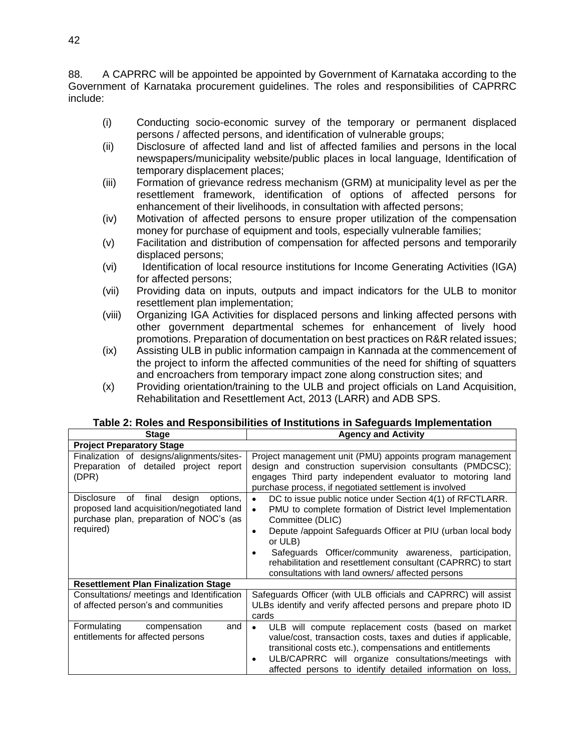88. A CAPRRC will be appointed be appointed by Government of Karnataka according to the Government of Karnataka procurement guidelines. The roles and responsibilities of CAPRRC include:

- (i) Conducting socio-economic survey of the temporary or permanent displaced persons / affected persons, and identification of vulnerable groups;
- (ii) Disclosure of affected land and list of affected families and persons in the local newspapers/municipality website/public places in local language, Identification of temporary displacement places;
- (iii) Formation of grievance redress mechanism (GRM) at municipality level as per the resettlement framework, identification of options of affected persons for enhancement of their livelihoods, in consultation with affected persons;
- (iv) Motivation of affected persons to ensure proper utilization of the compensation money for purchase of equipment and tools, especially vulnerable families;
- (v) Facilitation and distribution of compensation for affected persons and temporarily displaced persons;
- (vi) Identification of local resource institutions for Income Generating Activities (IGA) for affected persons;
- (vii) Providing data on inputs, outputs and impact indicators for the ULB to monitor resettlement plan implementation;
- (viii) Organizing IGA Activities for displaced persons and linking affected persons with other government departmental schemes for enhancement of lively hood promotions. Preparation of documentation on best practices on R&R related issues;
- (ix) Assisting ULB in public information campaign in Kannada at the commencement of the project to inform the affected communities of the need for shifting of squatters and encroachers from temporary impact zone along construction sites; and
- (x) Providing orientation/training to the ULB and project officials on Land Acquisition, Rehabilitation and Resettlement Act, 2013 (LARR) and ADB SPS.

| <b>Stage</b>                                                                                                                                                | <b>Agency and Activity</b>                                                                                                                                                                                                                                                                                                                                                                                                                 |
|-------------------------------------------------------------------------------------------------------------------------------------------------------------|--------------------------------------------------------------------------------------------------------------------------------------------------------------------------------------------------------------------------------------------------------------------------------------------------------------------------------------------------------------------------------------------------------------------------------------------|
| <b>Project Preparatory Stage</b>                                                                                                                            |                                                                                                                                                                                                                                                                                                                                                                                                                                            |
| Finalization of designs/alignments/sites-<br>Preparation of detailed project report<br>(DPR)                                                                | Project management unit (PMU) appoints program management<br>design and construction supervision consultants (PMDCSC);<br>engages Third party independent evaluator to motoring land<br>purchase process, if negotiated settlement is involved                                                                                                                                                                                             |
| final<br>design<br><b>Disclosure</b><br>of<br>options.<br>proposed land acquisition/negotiated land<br>purchase plan, preparation of NOC's (as<br>required) | DC to issue public notice under Section 4(1) of RFCTLARR.<br>$\bullet$<br>PMU to complete formation of District level Implementation<br>$\bullet$<br>Committee (DLIC)<br>Depute /appoint Safeguards Officer at PIU (urban local body<br>$\bullet$<br>or ULB)<br>Safeguards Officer/community awareness, participation,<br>rehabilitation and resettlement consultant (CAPRRC) to start<br>consultations with land owners/ affected persons |
| <b>Resettlement Plan Finalization Stage</b>                                                                                                                 |                                                                                                                                                                                                                                                                                                                                                                                                                                            |
| Consultations/ meetings and Identification<br>of affected person's and communities                                                                          | Safeguards Officer (with ULB officials and CAPRRC) will assist<br>ULBs identify and verify affected persons and prepare photo ID<br>cards                                                                                                                                                                                                                                                                                                  |
| Formulating<br>compensation<br>and<br>entitlements for affected persons                                                                                     | ULB will compute replacement costs (based on market<br>$\bullet$<br>value/cost, transaction costs, taxes and duties if applicable,<br>transitional costs etc.), compensations and entitlements<br>ULB/CAPRRC will organize consultations/meetings with<br>$\bullet$<br>affected persons to identify detailed information on loss,                                                                                                          |

| Table 2: Roles and Responsibilities of Institutions in Safeguards Implementation |  |  |
|----------------------------------------------------------------------------------|--|--|
|                                                                                  |  |  |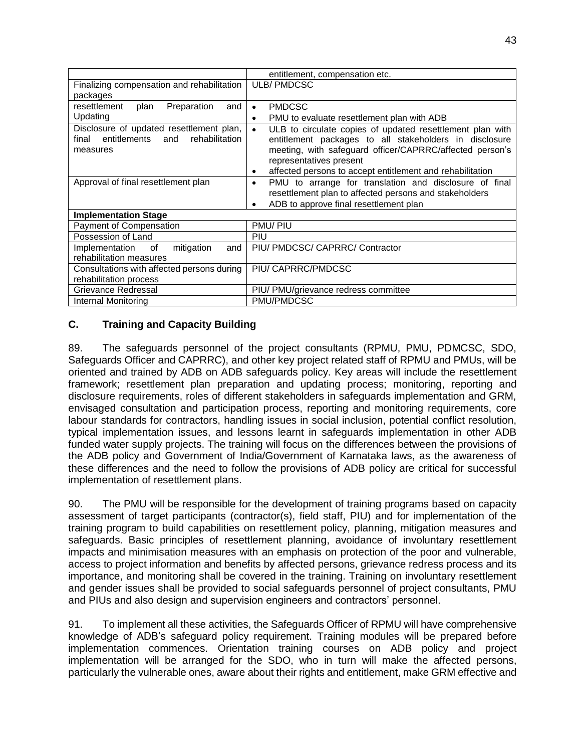|                                                | entitlement, compensation etc.                                 |
|------------------------------------------------|----------------------------------------------------------------|
| Finalizing compensation and rehabilitation     | <b>ULB/PMDCSC</b>                                              |
| packages                                       |                                                                |
| resettlement<br>Preparation<br>and<br>plan     | <b>PMDCSC</b><br>$\bullet$                                     |
| Updating                                       | PMU to evaluate resettlement plan with ADB                     |
| Disclosure of updated resettlement plan,       | ULB to circulate copies of updated resettlement plan with      |
| entitlements<br>rehabilitation<br>and<br>final | entitlement packages to all stakeholders in disclosure         |
| measures                                       | meeting, with safeguard officer/CAPRRC/affected person's       |
|                                                | representatives present                                        |
|                                                | affected persons to accept entitlement and rehabilitation<br>٠ |
| Approval of final resettlement plan            | PMU to arrange for translation and disclosure of final<br>٠    |
|                                                | resettlement plan to affected persons and stakeholders         |
|                                                | ADB to approve final resettlement plan                         |
| <b>Implementation Stage</b>                    |                                                                |
| Payment of Compensation                        | PMU/PIU                                                        |
| Possession of Land                             | PIU                                                            |
| and<br>mitigation<br>Implementation<br>of      | PIU/ PMDCSC/ CAPRRC/ Contractor                                |
| rehabilitation measures                        |                                                                |
| Consultations with affected persons during     | PIU/ CAPRRC/PMDCSC                                             |
| rehabilitation process                         |                                                                |
| Grievance Redressal                            | PIU/ PMU/grievance redress committee                           |
| Internal Monitoring                            | PMU/PMDCSC                                                     |

# **C. Training and Capacity Building**

89. The safeguards personnel of the project consultants (RPMU, PMU, PDMCSC, SDO, Safeguards Officer and CAPRRC), and other key project related staff of RPMU and PMUs, will be oriented and trained by ADB on ADB safeguards policy. Key areas will include the resettlement framework; resettlement plan preparation and updating process; monitoring, reporting and disclosure requirements, roles of different stakeholders in safeguards implementation and GRM, envisaged consultation and participation process, reporting and monitoring requirements, core labour standards for contractors, handling issues in social inclusion, potential conflict resolution, typical implementation issues, and lessons learnt in safeguards implementation in other ADB funded water supply projects. The training will focus on the differences between the provisions of the ADB policy and Government of India/Government of Karnataka laws, as the awareness of these differences and the need to follow the provisions of ADB policy are critical for successful implementation of resettlement plans.

90. The PMU will be responsible for the development of training programs based on capacity assessment of target participants (contractor(s), field staff, PIU) and for implementation of the training program to build capabilities on resettlement policy, planning, mitigation measures and safeguards. Basic principles of resettlement planning, avoidance of involuntary resettlement impacts and minimisation measures with an emphasis on protection of the poor and vulnerable, access to project information and benefits by affected persons, grievance redress process and its importance, and monitoring shall be covered in the training. Training on involuntary resettlement and gender issues shall be provided to social safeguards personnel of project consultants, PMU and PIUs and also design and supervision engineers and contractors' personnel.

91. To implement all these activities, the Safeguards Officer of RPMU will have comprehensive knowledge of ADB's safeguard policy requirement. Training modules will be prepared before implementation commences. Orientation training courses on ADB policy and project implementation will be arranged for the SDO, who in turn will make the affected persons, particularly the vulnerable ones, aware about their rights and entitlement, make GRM effective and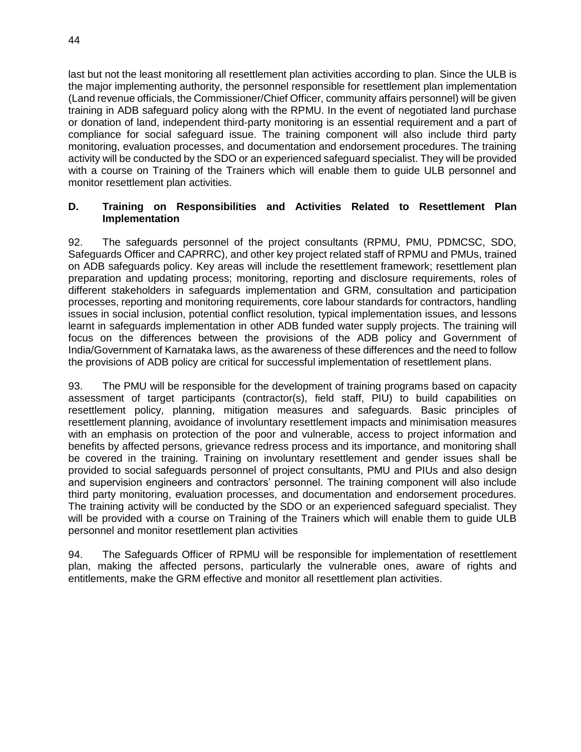last but not the least monitoring all resettlement plan activities according to plan. Since the ULB is the major implementing authority, the personnel responsible for resettlement plan implementation (Land revenue officials, the Commissioner/Chief Officer, community affairs personnel) will be given training in ADB safeguard policy along with the RPMU. In the event of negotiated land purchase or donation of land, independent third-party monitoring is an essential requirement and a part of compliance for social safeguard issue. The training component will also include third party monitoring, evaluation processes, and documentation and endorsement procedures. The training activity will be conducted by the SDO or an experienced safeguard specialist. They will be provided with a course on Training of the Trainers which will enable them to guide ULB personnel and monitor resettlement plan activities.

#### **D. Training on Responsibilities and Activities Related to Resettlement Plan Implementation**

92. The safeguards personnel of the project consultants (RPMU, PMU, PDMCSC, SDO, Safeguards Officer and CAPRRC), and other key project related staff of RPMU and PMUs, trained on ADB safeguards policy. Key areas will include the resettlement framework; resettlement plan preparation and updating process; monitoring, reporting and disclosure requirements, roles of different stakeholders in safeguards implementation and GRM, consultation and participation processes, reporting and monitoring requirements, core labour standards for contractors, handling issues in social inclusion, potential conflict resolution, typical implementation issues, and lessons learnt in safeguards implementation in other ADB funded water supply projects. The training will focus on the differences between the provisions of the ADB policy and Government of India/Government of Karnataka laws, as the awareness of these differences and the need to follow the provisions of ADB policy are critical for successful implementation of resettlement plans.

93. The PMU will be responsible for the development of training programs based on capacity assessment of target participants (contractor(s), field staff, PIU) to build capabilities on resettlement policy, planning, mitigation measures and safeguards. Basic principles of resettlement planning, avoidance of involuntary resettlement impacts and minimisation measures with an emphasis on protection of the poor and vulnerable, access to project information and benefits by affected persons, grievance redress process and its importance, and monitoring shall be covered in the training. Training on involuntary resettlement and gender issues shall be provided to social safeguards personnel of project consultants, PMU and PIUs and also design and supervision engineers and contractors' personnel. The training component will also include third party monitoring, evaluation processes, and documentation and endorsement procedures. The training activity will be conducted by the SDO or an experienced safeguard specialist. They will be provided with a course on Training of the Trainers which will enable them to quide ULB personnel and monitor resettlement plan activities

94. The Safeguards Officer of RPMU will be responsible for implementation of resettlement plan, making the affected persons, particularly the vulnerable ones, aware of rights and entitlements, make the GRM effective and monitor all resettlement plan activities.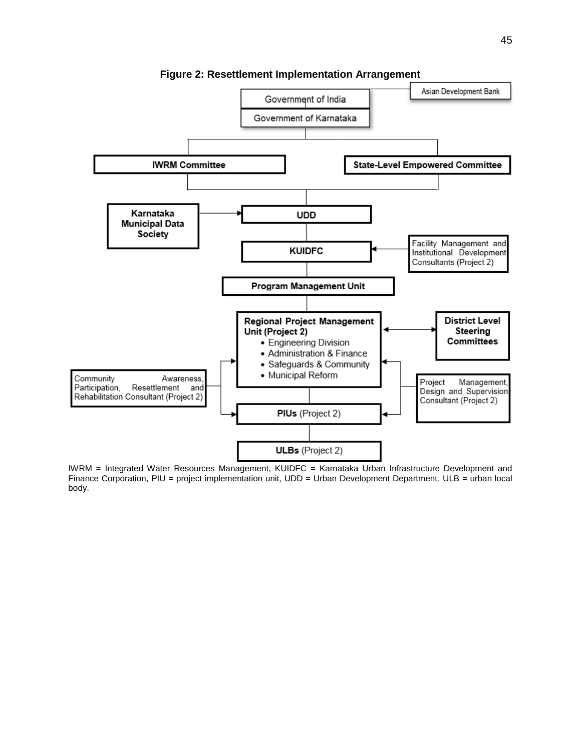

**Figure 2: Resettlement Implementation Arrangement**

IWRM = Integrated Water Resources Management, KUIDFC = Karnataka Urban Infrastructure Development and Finance Corporation, PIU = project implementation unit, UDD = Urban Development Department, ULB = urban local body.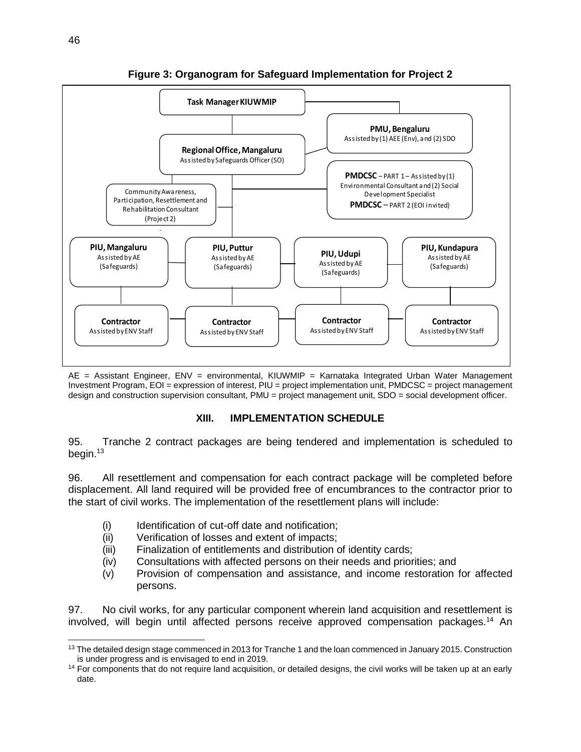

**Figure 3: Organogram for Safeguard Implementation for Project 2**

AE = Assistant Engineer, ENV = environmental, KIUWMIP = Karnataka Integrated Urban Water Management Investment Program, EOI = expression of interest, PIU = project implementation unit, PMDCSC = project management design and construction supervision consultant, PMU = project management unit, SDO = social development officer.

#### **XIII. IMPLEMENTATION SCHEDULE**

95. Tranche 2 contract packages are being tendered and implementation is scheduled to begin. 13

96. All resettlement and compensation for each contract package will be completed before displacement. All land required will be provided free of encumbrances to the contractor prior to the start of civil works. The implementation of the resettlement plans will include:

- (i) Identification of cut-off date and notification;
- (ii) Verification of losses and extent of impacts;
- (iii) Finalization of entitlements and distribution of identity cards;
- (iv) Consultations with affected persons on their needs and priorities; and
- (v) Provision of compensation and assistance, and income restoration for affected persons.

97. No civil works, for any particular component wherein land acquisition and resettlement is involved, will begin until affected persons receive approved compensation packages.<sup>14</sup> An

 $\overline{a}$ <sup>13</sup> The detailed design stage commenced in 2013 for Tranche 1 and the loan commenced in January 2015. Construction is under progress and is envisaged to end in 2019.

 $14$  For components that do not require land acquisition, or detailed designs, the civil works will be taken up at an early date.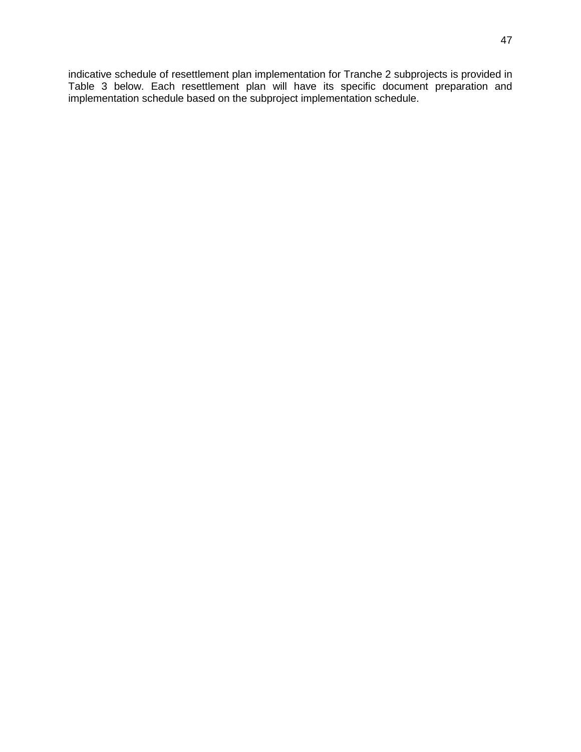indicative schedule of resettlement plan implementation for Tranche 2 subprojects is provided in Table 3 below. Each resettlement plan will have its specific document preparation and implementation schedule based on the subproject implementation schedule.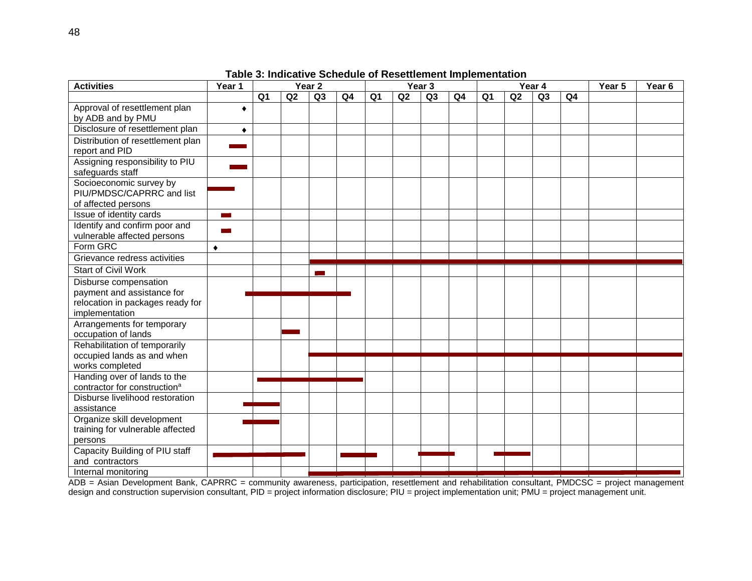| <b>Activities</b>                                                           | Year 4<br>Year 1<br>Year 2<br>Year 3 |                |    | Year 5         | Year <sub>6</sub> |                |    |    |    |                |    |                |    |  |  |
|-----------------------------------------------------------------------------|--------------------------------------|----------------|----|----------------|-------------------|----------------|----|----|----|----------------|----|----------------|----|--|--|
|                                                                             |                                      | Q <sub>1</sub> | Q2 | Q <sub>3</sub> | Q <sub>4</sub>    | Q <sub>1</sub> | Q2 | Q3 | Q4 | Q <sub>1</sub> | Q2 | Q <sub>3</sub> | Q4 |  |  |
| Approval of resettlement plan                                               | ٠                                    |                |    |                |                   |                |    |    |    |                |    |                |    |  |  |
| by ADB and by PMU                                                           |                                      |                |    |                |                   |                |    |    |    |                |    |                |    |  |  |
| Disclosure of resettlement plan                                             | ٠                                    |                |    |                |                   |                |    |    |    |                |    |                |    |  |  |
| Distribution of resettlement plan                                           |                                      |                |    |                |                   |                |    |    |    |                |    |                |    |  |  |
| report and PID                                                              |                                      |                |    |                |                   |                |    |    |    |                |    |                |    |  |  |
| Assigning responsibility to PIU                                             |                                      |                |    |                |                   |                |    |    |    |                |    |                |    |  |  |
| safeguards staff                                                            |                                      |                |    |                |                   |                |    |    |    |                |    |                |    |  |  |
| Socioeconomic survey by                                                     |                                      |                |    |                |                   |                |    |    |    |                |    |                |    |  |  |
| PIU/PMDSC/CAPRRC and list                                                   |                                      |                |    |                |                   |                |    |    |    |                |    |                |    |  |  |
| of affected persons                                                         |                                      |                |    |                |                   |                |    |    |    |                |    |                |    |  |  |
| Issue of identity cards                                                     | an an                                |                |    |                |                   |                |    |    |    |                |    |                |    |  |  |
| Identify and confirm poor and                                               |                                      |                |    |                |                   |                |    |    |    |                |    |                |    |  |  |
| vulnerable affected persons                                                 |                                      |                |    |                |                   |                |    |    |    |                |    |                |    |  |  |
| Form GRC                                                                    | ٠                                    |                |    |                |                   |                |    |    |    |                |    |                |    |  |  |
| Grievance redress activities                                                |                                      |                |    |                |                   |                |    |    |    |                |    |                |    |  |  |
| <b>Start of Civil Work</b>                                                  |                                      |                |    |                |                   |                |    |    |    |                |    |                |    |  |  |
| Disburse compensation                                                       |                                      |                |    |                |                   |                |    |    |    |                |    |                |    |  |  |
| payment and assistance for                                                  |                                      |                |    |                |                   |                |    |    |    |                |    |                |    |  |  |
| relocation in packages ready for                                            |                                      |                |    |                |                   |                |    |    |    |                |    |                |    |  |  |
| implementation                                                              |                                      |                |    |                |                   |                |    |    |    |                |    |                |    |  |  |
| Arrangements for temporary                                                  |                                      |                |    |                |                   |                |    |    |    |                |    |                |    |  |  |
| occupation of lands                                                         |                                      |                |    |                |                   |                |    |    |    |                |    |                |    |  |  |
| Rehabilitation of temporarily                                               |                                      |                |    |                |                   |                |    |    |    |                |    |                |    |  |  |
| occupied lands as and when                                                  |                                      |                |    |                |                   |                |    |    |    |                |    |                |    |  |  |
| works completed                                                             |                                      |                |    |                |                   |                |    |    |    |                |    |                |    |  |  |
| Handing over of lands to the                                                |                                      |                |    |                |                   |                |    |    |    |                |    |                |    |  |  |
| contractor for construction <sup>a</sup><br>Disburse livelihood restoration |                                      |                |    |                |                   |                |    |    |    |                |    |                |    |  |  |
| assistance                                                                  |                                      |                |    |                |                   |                |    |    |    |                |    |                |    |  |  |
| Organize skill development                                                  |                                      |                |    |                |                   |                |    |    |    |                |    |                |    |  |  |
| training for vulnerable affected                                            |                                      |                |    |                |                   |                |    |    |    |                |    |                |    |  |  |
| persons                                                                     |                                      |                |    |                |                   |                |    |    |    |                |    |                |    |  |  |
| Capacity Building of PIU staff                                              |                                      |                |    |                |                   |                |    |    |    |                |    |                |    |  |  |
| and contractors                                                             |                                      |                |    |                |                   |                |    |    |    |                |    |                |    |  |  |
| Internal monitoring                                                         |                                      |                |    |                |                   |                |    |    |    |                |    |                |    |  |  |

**Table 3: Indicative Schedule of Resettlement Implementation**

ADB = Asian Development Bank, CAPRRC = community awareness, participation, resettlement and rehabilitation consultant, PMDCSC = project management design and construction supervision consultant, PID = project information disclosure; PIU = project implementation unit; PMU = project management unit.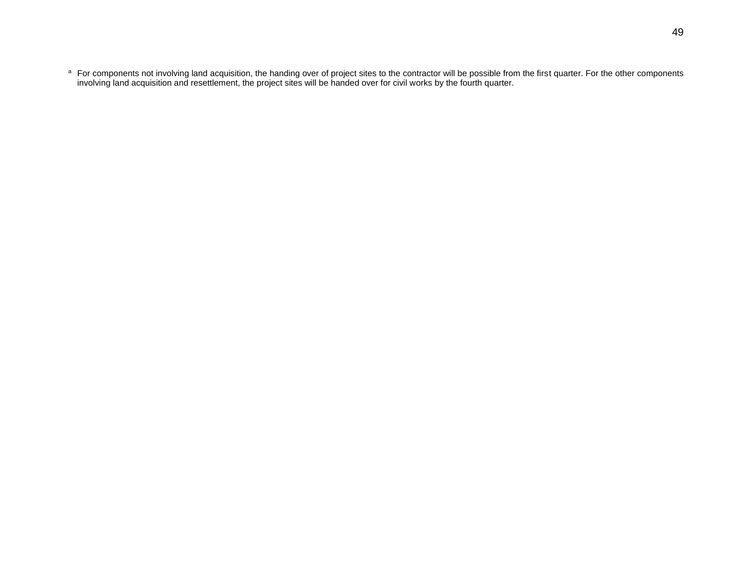a For components not involving land acquisition, the handing over of project sites to the contractor will be possible from the first quarter. For the other components involving land acquisition and resettlement, the project sites will be handed over for civil works by the fourth quarter.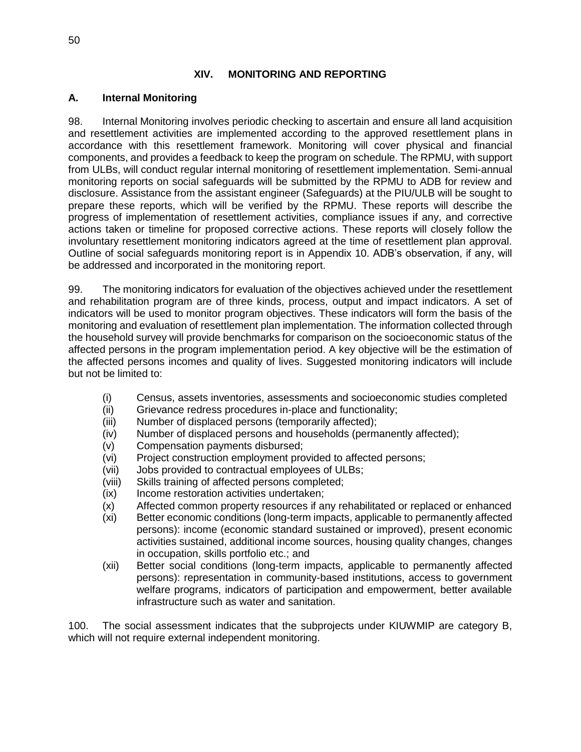## **XIV. MONITORING AND REPORTING**

## **A. Internal Monitoring**

98. Internal Monitoring involves periodic checking to ascertain and ensure all land acquisition and resettlement activities are implemented according to the approved resettlement plans in accordance with this resettlement framework. Monitoring will cover physical and financial components, and provides a feedback to keep the program on schedule. The RPMU, with support from ULBs, will conduct regular internal monitoring of resettlement implementation. Semi-annual monitoring reports on social safeguards will be submitted by the RPMU to ADB for review and disclosure. Assistance from the assistant engineer (Safeguards) at the PIU/ULB will be sought to prepare these reports, which will be verified by the RPMU. These reports will describe the progress of implementation of resettlement activities, compliance issues if any, and corrective actions taken or timeline for proposed corrective actions. These reports will closely follow the involuntary resettlement monitoring indicators agreed at the time of resettlement plan approval. Outline of social safeguards monitoring report is in Appendix 10. ADB's observation, if any, will be addressed and incorporated in the monitoring report.

99. The monitoring indicators for evaluation of the objectives achieved under the resettlement and rehabilitation program are of three kinds, process, output and impact indicators. A set of indicators will be used to monitor program objectives. These indicators will form the basis of the monitoring and evaluation of resettlement plan implementation. The information collected through the household survey will provide benchmarks for comparison on the socioeconomic status of the affected persons in the program implementation period. A key objective will be the estimation of the affected persons incomes and quality of lives. Suggested monitoring indicators will include but not be limited to:

- (i) Census, assets inventories, assessments and socioeconomic studies completed
- (ii) Grievance redress procedures in-place and functionality;
- (iii) Number of displaced persons (temporarily affected);
- (iv) Number of displaced persons and households (permanently affected);
- (v) Compensation payments disbursed;
- (vi) Project construction employment provided to affected persons;
- (vii) Jobs provided to contractual employees of ULBs;
- (viii) Skills training of affected persons completed;
- (ix) Income restoration activities undertaken;
- (x) Affected common property resources if any rehabilitated or replaced or enhanced
- (xi) Better economic conditions (long-term impacts, applicable to permanently affected persons): income (economic standard sustained or improved), present economic activities sustained, additional income sources, housing quality changes, changes in occupation, skills portfolio etc.; and
- (xii) Better social conditions (long-term impacts, applicable to permanently affected persons): representation in community-based institutions, access to government welfare programs, indicators of participation and empowerment, better available infrastructure such as water and sanitation.

100. The social assessment indicates that the subprojects under KIUWMIP are category B, which will not require external independent monitoring.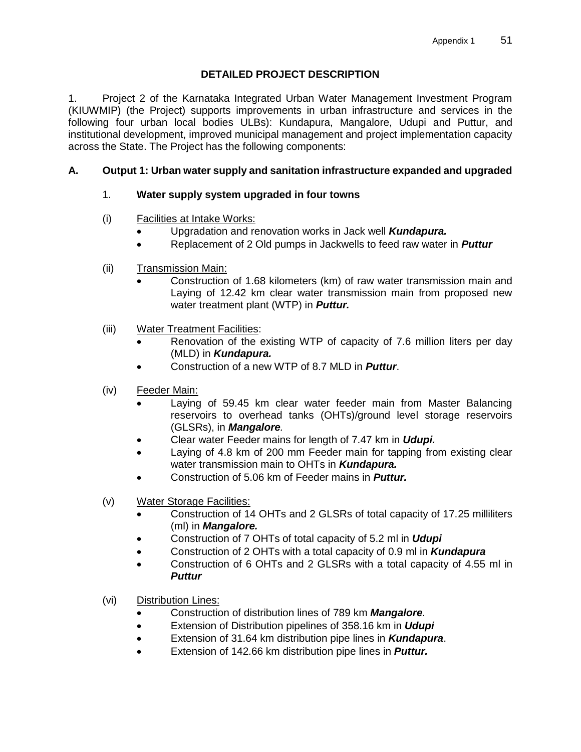## **DETAILED PROJECT DESCRIPTION**

1. Project 2 of the Karnataka Integrated Urban Water Management Investment Program (KIUWMIP) (the Project) supports improvements in urban infrastructure and services in the following four urban local bodies ULBs): Kundapura, Mangalore, Udupi and Puttur, and institutional development, improved municipal management and project implementation capacity across the State. The Project has the following components:

# **A. Output 1: Urban water supply and sanitation infrastructure expanded and upgraded**

## 1. **Water supply system upgraded in four towns**

- (i) Facilities at Intake Works:
	- Upgradation and renovation works in Jack well *Kundapura.*
	- Replacement of 2 Old pumps in Jackwells to feed raw water in *Puttur*
- (ii) Transmission Main:
	- Construction of 1.68 kilometers (km) of raw water transmission main and Laying of 12.42 km clear water transmission main from proposed new water treatment plant (WTP) in *Puttur.*
- (iii) Water Treatment Facilities:
	- Renovation of the existing WTP of capacity of 7.6 million liters per day (MLD) in *Kundapura.*
	- Construction of a new WTP of 8.7 MLD in *Puttur*.
- (iv) Feeder Main:
	- Laying of 59.45 km clear water feeder main from Master Balancing reservoirs to overhead tanks (OHTs)/ground level storage reservoirs (GLSRs), in *Mangalore.*
	- Clear water Feeder mains for length of 7.47 km in *Udupi.*
	- Laying of 4.8 km of 200 mm Feeder main for tapping from existing clear water transmission main to OHTs in *Kundapura.*
	- Construction of 5.06 km of Feeder mains in *Puttur.*
- (v) Water Storage Facilities:
	- Construction of 14 OHTs and 2 GLSRs of total capacity of 17.25 milliliters (ml) in *Mangalore.*
	- Construction of 7 OHTs of total capacity of 5.2 ml in *Udupi*
	- Construction of 2 OHTs with a total capacity of 0.9 ml in *Kundapura*
	- Construction of 6 OHTs and 2 GLSRs with a total capacity of 4.55 ml in *Puttur*
- (vi) Distribution Lines:
	- Construction of distribution lines of 789 km *Mangalore.*
	- Extension of Distribution pipelines of 358.16 km in *Udupi*
	- Extension of 31.64 km distribution pipe lines in *Kundapura*.
	- Extension of 142.66 km distribution pipe lines in *Puttur.*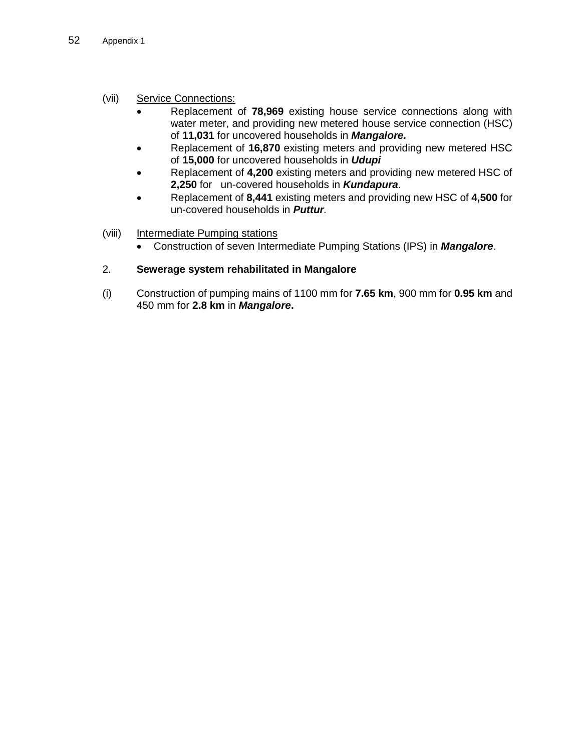## (vii) Service Connections:

- Replacement of **78,969** existing house service connections along with water meter, and providing new metered house service connection (HSC) of **11,031** for uncovered households in *Mangalore.*
- Replacement of **16,870** existing meters and providing new metered HSC of **15,000** for uncovered households in *Udupi*
- Replacement of **4,200** existing meters and providing new metered HSC of **2,250** for un-covered households in *Kundapura*.
- Replacement of **8,441** existing meters and providing new HSC of **4,500** for un-covered households in *Puttur.*
- (viii) Intermediate Pumping stations
	- Construction of seven Intermediate Pumping Stations (IPS) in *Mangalore*.

## 2. **Sewerage system rehabilitated in Mangalore**

(i) Construction of pumping mains of 1100 mm for **7.65 km**, 900 mm for **0.95 km** and 450 mm for **2.8 km** in *Mangalore***.**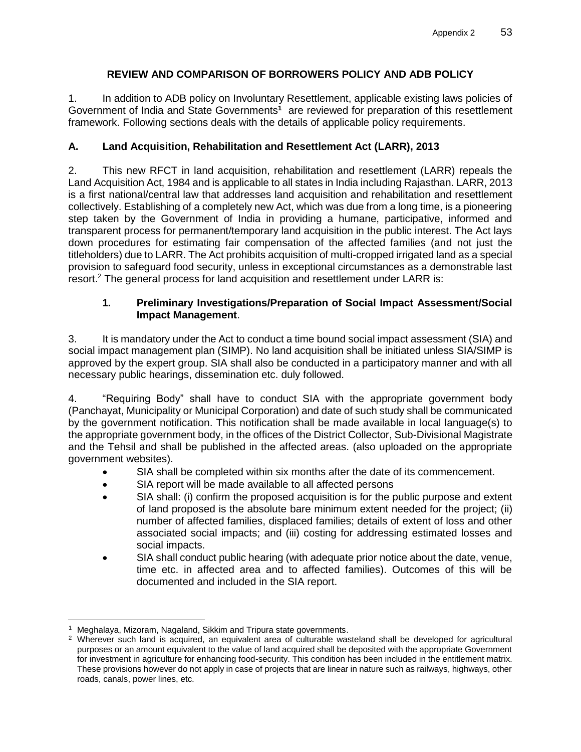## **REVIEW AND COMPARISON OF BORROWERS POLICY AND ADB POLICY**

1. In addition to ADB policy on Involuntary Resettlement, applicable existing laws policies of Government of India and State Governments<sup>1</sup> are reviewed for preparation of this resettlement framework. Following sections deals with the details of applicable policy requirements.

## **A. Land Acquisition, Rehabilitation and Resettlement Act (LARR), 2013**

2. This new RFCT in land acquisition, rehabilitation and resettlement (LARR) repeals the Land Acquisition Act, 1984 and is applicable to all states in India including Rajasthan. LARR, 2013 is a first national/central law that addresses land acquisition and rehabilitation and resettlement collectively. Establishing of a completely new Act, which was due from a long time, is a pioneering step taken by the Government of India in providing a humane, participative, informed and transparent process for permanent/temporary land acquisition in the public interest. The Act lays down procedures for estimating fair compensation of the affected families (and not just the titleholders) due to LARR. The Act prohibits acquisition of multi-cropped irrigated land as a special provision to safeguard food security, unless in exceptional circumstances as a demonstrable last resort. <sup>2</sup> The general process for land acquisition and resettlement under LARR is:

#### **1. Preliminary Investigations/Preparation of Social Impact Assessment/Social Impact Management**.

3. It is mandatory under the Act to conduct a time bound social impact assessment (SIA) and social impact management plan (SIMP). No land acquisition shall be initiated unless SIA/SIMP is approved by the expert group. SIA shall also be conducted in a participatory manner and with all necessary public hearings, dissemination etc. duly followed.

4. "Requiring Body" shall have to conduct SIA with the appropriate government body (Panchayat, Municipality or Municipal Corporation) and date of such study shall be communicated by the government notification. This notification shall be made available in local language(s) to the appropriate government body, in the offices of the District Collector, Sub-Divisional Magistrate and the Tehsil and shall be published in the affected areas. (also uploaded on the appropriate government websites).

- SIA shall be completed within six months after the date of its commencement.
- SIA report will be made available to all affected persons
- SIA shall: (i) confirm the proposed acquisition is for the public purpose and extent of land proposed is the absolute bare minimum extent needed for the project; (ii) number of affected families, displaced families; details of extent of loss and other associated social impacts; and (iii) costing for addressing estimated losses and social impacts.
- SIA shall conduct public hearing (with adequate prior notice about the date, venue, time etc. in affected area and to affected families). Outcomes of this will be documented and included in the SIA report.

Meghalaya, Mizoram, Nagaland, Sikkim and Tripura state governments.

<sup>&</sup>lt;sup>2</sup> Wherever such land is acquired, an equivalent area of culturable wasteland shall be developed for agricultural purposes or an amount equivalent to the value of land acquired shall be deposited with the appropriate Government for investment in agriculture for enhancing food-security. This condition has been included in the entitlement matrix. These provisions however do not apply in case of projects that are linear in nature such as railways, highways, other roads, canals, power lines, etc.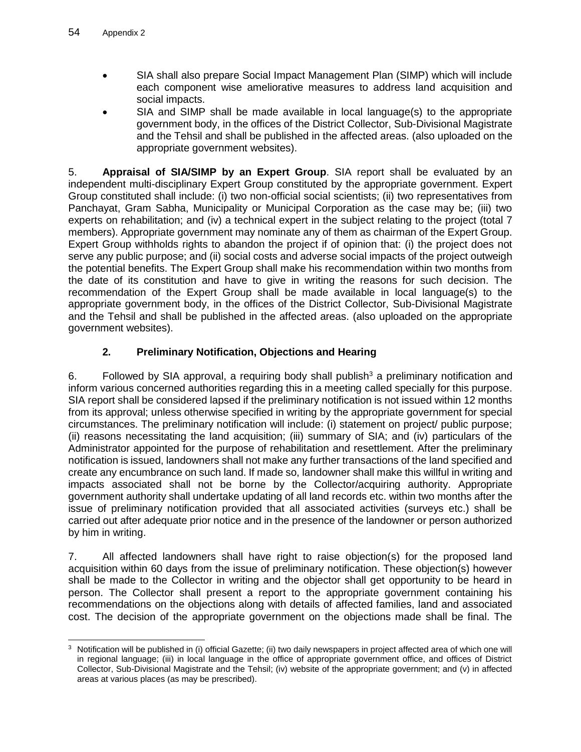- SIA shall also prepare Social Impact Management Plan (SIMP) which will include each component wise ameliorative measures to address land acquisition and social impacts.
- SIA and SIMP shall be made available in local language(s) to the appropriate government body, in the offices of the District Collector, Sub-Divisional Magistrate and the Tehsil and shall be published in the affected areas. (also uploaded on the appropriate government websites).

5. **Appraisal of SIA/SIMP by an Expert Group**. SIA report shall be evaluated by an independent multi-disciplinary Expert Group constituted by the appropriate government. Expert Group constituted shall include: (i) two non-official social scientists; (ii) two representatives from Panchayat, Gram Sabha, Municipality or Municipal Corporation as the case may be; (iii) two experts on rehabilitation; and (iv) a technical expert in the subject relating to the project (total 7 members). Appropriate government may nominate any of them as chairman of the Expert Group. Expert Group withholds rights to abandon the project if of opinion that: (i) the project does not serve any public purpose; and (ii) social costs and adverse social impacts of the project outweigh the potential benefits. The Expert Group shall make his recommendation within two months from the date of its constitution and have to give in writing the reasons for such decision. The recommendation of the Expert Group shall be made available in local language(s) to the appropriate government body, in the offices of the District Collector, Sub-Divisional Magistrate and the Tehsil and shall be published in the affected areas. (also uploaded on the appropriate government websites).

# **2. Preliminary Notification, Objections and Hearing**

6. Followed by SIA approval, a requiring body shall publish<sup>3</sup> a preliminary notification and inform various concerned authorities regarding this in a meeting called specially for this purpose. SIA report shall be considered lapsed if the preliminary notification is not issued within 12 months from its approval; unless otherwise specified in writing by the appropriate government for special circumstances. The preliminary notification will include: (i) statement on project/ public purpose; (ii) reasons necessitating the land acquisition; (iii) summary of SIA; and (iv) particulars of the Administrator appointed for the purpose of rehabilitation and resettlement. After the preliminary notification is issued, landowners shall not make any further transactions of the land specified and create any encumbrance on such land. If made so, landowner shall make this willful in writing and impacts associated shall not be borne by the Collector/acquiring authority. Appropriate government authority shall undertake updating of all land records etc. within two months after the issue of preliminary notification provided that all associated activities (surveys etc.) shall be carried out after adequate prior notice and in the presence of the landowner or person authorized by him in writing.

7. All affected landowners shall have right to raise objection(s) for the proposed land acquisition within 60 days from the issue of preliminary notification. These objection(s) however shall be made to the Collector in writing and the objector shall get opportunity to be heard in person. The Collector shall present a report to the appropriate government containing his recommendations on the objections along with details of affected families, land and associated cost. The decision of the appropriate government on the objections made shall be final. The

 $\overline{a}$  $3$  Notification will be published in (i) official Gazette; (ii) two daily newspapers in project affected area of which one will in regional language; (iii) in local language in the office of appropriate government office, and offices of District Collector, Sub-Divisional Magistrate and the Tehsil; (iv) website of the appropriate government; and (v) in affected areas at various places (as may be prescribed).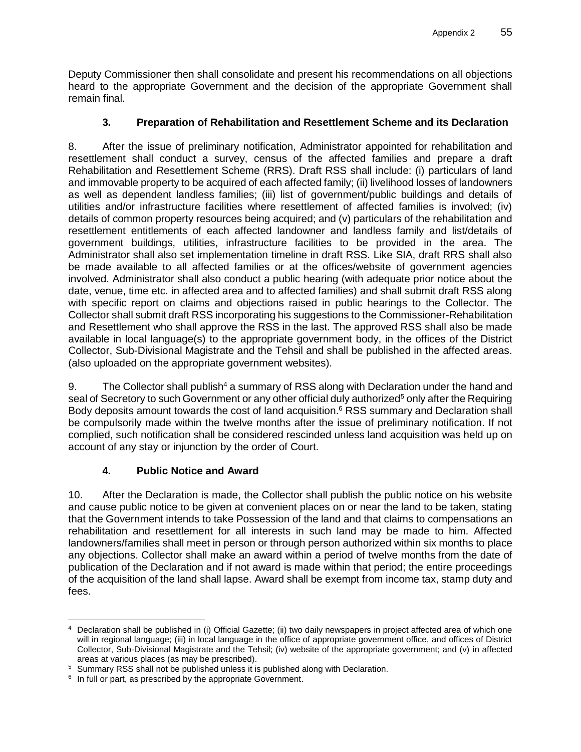Deputy Commissioner then shall consolidate and present his recommendations on all objections heard to the appropriate Government and the decision of the appropriate Government shall remain final.

# **3. Preparation of Rehabilitation and Resettlement Scheme and its Declaration**

8. After the issue of preliminary notification, Administrator appointed for rehabilitation and resettlement shall conduct a survey, census of the affected families and prepare a draft Rehabilitation and Resettlement Scheme (RRS). Draft RSS shall include: (i) particulars of land and immovable property to be acquired of each affected family; (ii) livelihood losses of landowners as well as dependent landless families; (iii) list of government/public buildings and details of utilities and/or infrastructure facilities where resettlement of affected families is involved; (iv) details of common property resources being acquired; and (v) particulars of the rehabilitation and resettlement entitlements of each affected landowner and landless family and list/details of government buildings, utilities, infrastructure facilities to be provided in the area. The Administrator shall also set implementation timeline in draft RSS. Like SIA, draft RRS shall also be made available to all affected families or at the offices/website of government agencies involved. Administrator shall also conduct a public hearing (with adequate prior notice about the date, venue, time etc. in affected area and to affected families) and shall submit draft RSS along with specific report on claims and objections raised in public hearings to the Collector. The Collector shall submit draft RSS incorporating his suggestions to the Commissioner-Rehabilitation and Resettlement who shall approve the RSS in the last. The approved RSS shall also be made available in local language(s) to the appropriate government body, in the offices of the District Collector, Sub-Divisional Magistrate and the Tehsil and shall be published in the affected areas. (also uploaded on the appropriate government websites).

9. The Collector shall publish<sup>4</sup> a summary of RSS along with Declaration under the hand and seal of Secretory to such Government or any other official duly authorized<sup>5</sup> only after the Requiring Body deposits amount towards the cost of land acquisition.<sup>6</sup> RSS summary and Declaration shall be compulsorily made within the twelve months after the issue of preliminary notification. If not complied, such notification shall be considered rescinded unless land acquisition was held up on account of any stay or injunction by the order of Court.

# **4. Public Notice and Award**

10. After the Declaration is made, the Collector shall publish the public notice on his website and cause public notice to be given at convenient places on or near the land to be taken, stating that the Government intends to take Possession of the land and that claims to compensations an rehabilitation and resettlement for all interests in such land may be made to him. Affected landowners/families shall meet in person or through person authorized within six months to place any objections. Collector shall make an award within a period of twelve months from the date of publication of the Declaration and if not award is made within that period; the entire proceedings of the acquisition of the land shall lapse. Award shall be exempt from income tax, stamp duty and fees.

 <sup>4</sup> Declaration shall be published in (i) Official Gazette; (ii) two daily newspapers in project affected area of which one will in regional language; (iii) in local language in the office of appropriate government office, and offices of District Collector, Sub-Divisional Magistrate and the Tehsil; (iv) website of the appropriate government; and (v) in affected areas at various places (as may be prescribed).

<sup>5</sup> Summary RSS shall not be published unless it is published along with Declaration.

 $6$  In full or part, as prescribed by the appropriate Government.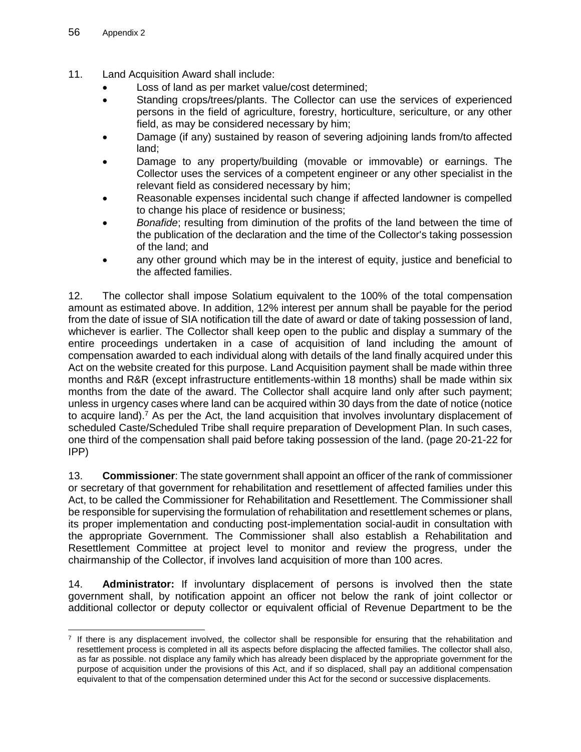- 11. Land Acquisition Award shall include:
	- Loss of land as per market value/cost determined;
	- Standing crops/trees/plants. The Collector can use the services of experienced persons in the field of agriculture, forestry, horticulture, sericulture, or any other field, as may be considered necessary by him;
	- Damage (if any) sustained by reason of severing adjoining lands from/to affected land;
	- Damage to any property/building (movable or immovable) or earnings. The Collector uses the services of a competent engineer or any other specialist in the relevant field as considered necessary by him;
	- Reasonable expenses incidental such change if affected landowner is compelled to change his place of residence or business;
	- *Bonafide*; resulting from diminution of the profits of the land between the time of the publication of the declaration and the time of the Collector's taking possession of the land; and
	- any other ground which may be in the interest of equity, justice and beneficial to the affected families.

12. The collector shall impose Solatium equivalent to the 100% of the total compensation amount as estimated above. In addition, 12% interest per annum shall be payable for the period from the date of issue of SIA notification till the date of award or date of taking possession of land, whichever is earlier. The Collector shall keep open to the public and display a summary of the entire proceedings undertaken in a case of acquisition of land including the amount of compensation awarded to each individual along with details of the land finally acquired under this Act on the website created for this purpose. Land Acquisition payment shall be made within three months and R&R (except infrastructure entitlements-within 18 months) shall be made within six months from the date of the award. The Collector shall acquire land only after such payment; unless in urgency cases where land can be acquired within 30 days from the date of notice (notice to acquire land).<sup>7</sup> As per the Act, the land acquisition that involves involuntary displacement of scheduled Caste/Scheduled Tribe shall require preparation of Development Plan. In such cases, one third of the compensation shall paid before taking possession of the land. (page 20-21-22 for IPP)

13. **Commissioner**: The state government shall appoint an officer of the rank of commissioner or secretary of that government for rehabilitation and resettlement of affected families under this Act, to be called the Commissioner for Rehabilitation and Resettlement. The Commissioner shall be responsible for supervising the formulation of rehabilitation and resettlement schemes or plans, its proper implementation and conducting post-implementation social-audit in consultation with the appropriate Government. The Commissioner shall also establish a Rehabilitation and Resettlement Committee at project level to monitor and review the progress, under the chairmanship of the Collector, if involves land acquisition of more than 100 acres.

14. **Administrator:** If involuntary displacement of persons is involved then the state government shall, by notification appoint an officer not below the rank of joint collector or additional collector or deputy collector or equivalent official of Revenue Department to be the

  $7$  If there is any displacement involved, the collector shall be responsible for ensuring that the rehabilitation and resettlement process is completed in all its aspects before displacing the affected families. The collector shall also, as far as possible. not displace any family which has already been displaced by the appropriate government for the purpose of acquisition under the provisions of this Act, and if so displaced, shall pay an additional compensation equivalent to that of the compensation determined under this Act for the second or successive displacements.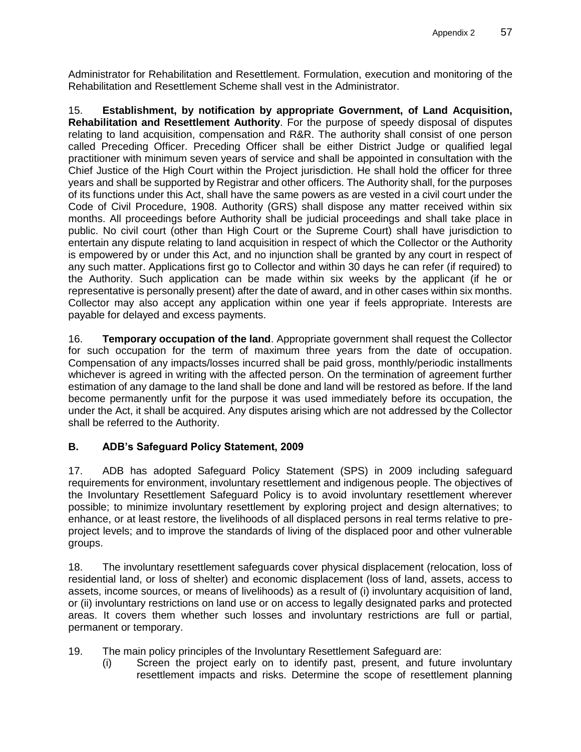Administrator for Rehabilitation and Resettlement. Formulation, execution and monitoring of the Rehabilitation and Resettlement Scheme shall vest in the Administrator.

15. **Establishment, by notification by appropriate Government, of Land Acquisition, Rehabilitation and Resettlement Authority**. For the purpose of speedy disposal of disputes relating to land acquisition, compensation and R&R. The authority shall consist of one person called Preceding Officer. Preceding Officer shall be either District Judge or qualified legal practitioner with minimum seven years of service and shall be appointed in consultation with the Chief Justice of the High Court within the Project jurisdiction. He shall hold the officer for three years and shall be supported by Registrar and other officers. The Authority shall, for the purposes of its functions under this Act, shall have the same powers as are vested in a civil court under the Code of Civil Procedure, 1908. Authority (GRS) shall dispose any matter received within six months. All proceedings before Authority shall be judicial proceedings and shall take place in public. No civil court (other than High Court or the Supreme Court) shall have jurisdiction to entertain any dispute relating to land acquisition in respect of which the Collector or the Authority is empowered by or under this Act, and no injunction shall be granted by any court in respect of any such matter. Applications first go to Collector and within 30 days he can refer (if required) to the Authority. Such application can be made within six weeks by the applicant (if he or representative is personally present) after the date of award, and in other cases within six months. Collector may also accept any application within one year if feels appropriate. Interests are payable for delayed and excess payments.

16. **Temporary occupation of the land**. Appropriate government shall request the Collector for such occupation for the term of maximum three years from the date of occupation. Compensation of any impacts/losses incurred shall be paid gross, monthly/periodic installments whichever is agreed in writing with the affected person. On the termination of agreement further estimation of any damage to the land shall be done and land will be restored as before. If the land become permanently unfit for the purpose it was used immediately before its occupation, the under the Act, it shall be acquired. Any disputes arising which are not addressed by the Collector shall be referred to the Authority.

# **B. ADB's Safeguard Policy Statement, 2009**

17. ADB has adopted Safeguard Policy Statement (SPS) in 2009 including safeguard requirements for environment, involuntary resettlement and indigenous people. The objectives of the Involuntary Resettlement Safeguard Policy is to avoid involuntary resettlement wherever possible; to minimize involuntary resettlement by exploring project and design alternatives; to enhance, or at least restore, the livelihoods of all displaced persons in real terms relative to preproject levels; and to improve the standards of living of the displaced poor and other vulnerable groups.

18. The involuntary resettlement safeguards cover physical displacement (relocation, loss of residential land, or loss of shelter) and economic displacement (loss of land, assets, access to assets, income sources, or means of livelihoods) as a result of (i) involuntary acquisition of land, or (ii) involuntary restrictions on land use or on access to legally designated parks and protected areas. It covers them whether such losses and involuntary restrictions are full or partial, permanent or temporary.

- 19. The main policy principles of the Involuntary Resettlement Safeguard are:
	- (i) Screen the project early on to identify past, present, and future involuntary resettlement impacts and risks. Determine the scope of resettlement planning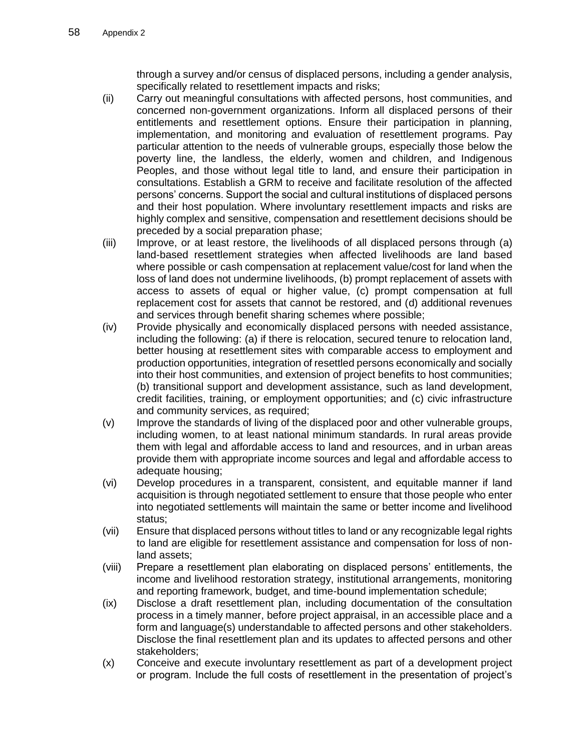through a survey and/or census of displaced persons, including a gender analysis, specifically related to resettlement impacts and risks;

- (ii) Carry out meaningful consultations with affected persons, host communities, and concerned non-government organizations. Inform all displaced persons of their entitlements and resettlement options. Ensure their participation in planning, implementation, and monitoring and evaluation of resettlement programs. Pay particular attention to the needs of vulnerable groups, especially those below the poverty line, the landless, the elderly, women and children, and Indigenous Peoples, and those without legal title to land, and ensure their participation in consultations. Establish a GRM to receive and facilitate resolution of the affected persons' concerns. Support the social and cultural institutions of displaced persons and their host population. Where involuntary resettlement impacts and risks are highly complex and sensitive, compensation and resettlement decisions should be preceded by a social preparation phase;
- (iii) Improve, or at least restore, the livelihoods of all displaced persons through (a) land-based resettlement strategies when affected livelihoods are land based where possible or cash compensation at replacement value/cost for land when the loss of land does not undermine livelihoods, (b) prompt replacement of assets with access to assets of equal or higher value, (c) prompt compensation at full replacement cost for assets that cannot be restored, and (d) additional revenues and services through benefit sharing schemes where possible;
- (iv) Provide physically and economically displaced persons with needed assistance, including the following: (a) if there is relocation, secured tenure to relocation land, better housing at resettlement sites with comparable access to employment and production opportunities, integration of resettled persons economically and socially into their host communities, and extension of project benefits to host communities; (b) transitional support and development assistance, such as land development, credit facilities, training, or employment opportunities; and (c) civic infrastructure and community services, as required;
- (v) Improve the standards of living of the displaced poor and other vulnerable groups, including women, to at least national minimum standards. In rural areas provide them with legal and affordable access to land and resources, and in urban areas provide them with appropriate income sources and legal and affordable access to adequate housing;
- (vi) Develop procedures in a transparent, consistent, and equitable manner if land acquisition is through negotiated settlement to ensure that those people who enter into negotiated settlements will maintain the same or better income and livelihood status;
- (vii) Ensure that displaced persons without titles to land or any recognizable legal rights to land are eligible for resettlement assistance and compensation for loss of nonland assets;
- (viii) Prepare a resettlement plan elaborating on displaced persons' entitlements, the income and livelihood restoration strategy, institutional arrangements, monitoring and reporting framework, budget, and time-bound implementation schedule;
- (ix) Disclose a draft resettlement plan, including documentation of the consultation process in a timely manner, before project appraisal, in an accessible place and a form and language(s) understandable to affected persons and other stakeholders. Disclose the final resettlement plan and its updates to affected persons and other stakeholders;
- (x) Conceive and execute involuntary resettlement as part of a development project or program. Include the full costs of resettlement in the presentation of project's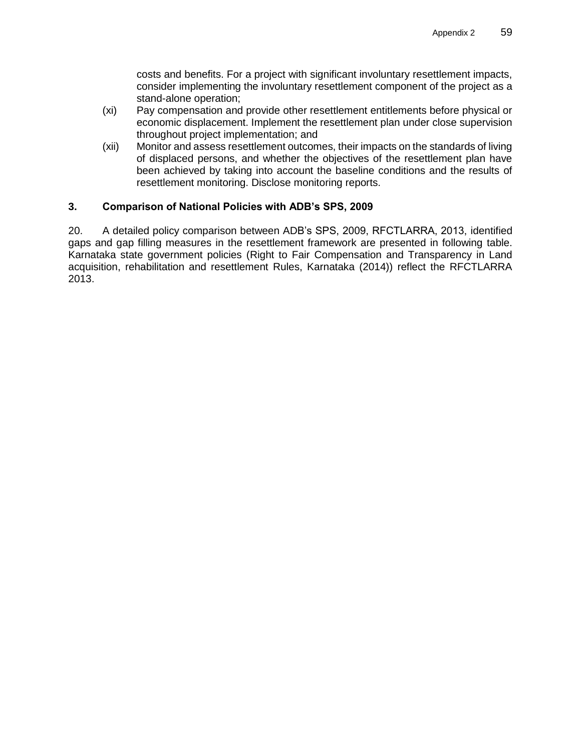costs and benefits. For a project with significant involuntary resettlement impacts, consider implementing the involuntary resettlement component of the project as a stand-alone operation;

- (xi) Pay compensation and provide other resettlement entitlements before physical or economic displacement. Implement the resettlement plan under close supervision throughout project implementation; and
- (xii) Monitor and assess resettlement outcomes, their impacts on the standards of living of displaced persons, and whether the objectives of the resettlement plan have been achieved by taking into account the baseline conditions and the results of resettlement monitoring. Disclose monitoring reports.

## **3. Comparison of National Policies with ADB's SPS, 2009**

20. A detailed policy comparison between ADB's SPS, 2009, RFCTLARRA, 2013, identified gaps and gap filling measures in the resettlement framework are presented in following table. Karnataka state government policies (Right to Fair Compensation and Transparency in Land acquisition, rehabilitation and resettlement Rules, Karnataka (2014)) reflect the RFCTLARRA 2013.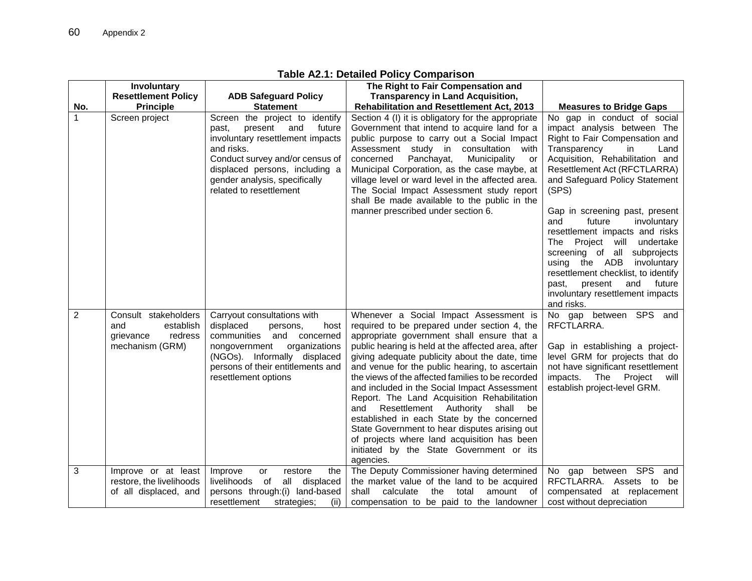|                | Involuntary                                                                         |                                                                                                                                                                                                                                                        | Table AL. I. Detailed Folloy Companson<br>The Right to Fair Compensation and                                                                                                                                                                                                                                                                                                                                                                                                                                                                                                                                                                                                                              |                                                                                                                                                                                                                                                                                                                                                                                                                                                                                                                                                                                |  |  |  |  |  |
|----------------|-------------------------------------------------------------------------------------|--------------------------------------------------------------------------------------------------------------------------------------------------------------------------------------------------------------------------------------------------------|-----------------------------------------------------------------------------------------------------------------------------------------------------------------------------------------------------------------------------------------------------------------------------------------------------------------------------------------------------------------------------------------------------------------------------------------------------------------------------------------------------------------------------------------------------------------------------------------------------------------------------------------------------------------------------------------------------------|--------------------------------------------------------------------------------------------------------------------------------------------------------------------------------------------------------------------------------------------------------------------------------------------------------------------------------------------------------------------------------------------------------------------------------------------------------------------------------------------------------------------------------------------------------------------------------|--|--|--|--|--|
|                |                                                                                     |                                                                                                                                                                                                                                                        | <b>Transparency in Land Acquisition,</b>                                                                                                                                                                                                                                                                                                                                                                                                                                                                                                                                                                                                                                                                  |                                                                                                                                                                                                                                                                                                                                                                                                                                                                                                                                                                                |  |  |  |  |  |
|                | <b>Resettlement Policy</b>                                                          | <b>ADB Safeguard Policy</b>                                                                                                                                                                                                                            |                                                                                                                                                                                                                                                                                                                                                                                                                                                                                                                                                                                                                                                                                                           |                                                                                                                                                                                                                                                                                                                                                                                                                                                                                                                                                                                |  |  |  |  |  |
| No.            | <b>Principle</b>                                                                    | <b>Statement</b>                                                                                                                                                                                                                                       | <b>Rehabilitation and Resettlement Act, 2013</b>                                                                                                                                                                                                                                                                                                                                                                                                                                                                                                                                                                                                                                                          | <b>Measures to Bridge Gaps</b>                                                                                                                                                                                                                                                                                                                                                                                                                                                                                                                                                 |  |  |  |  |  |
| 1              | Screen project                                                                      | Screen the project to identify<br>present<br>and<br>future<br>past,<br>involuntary resettlement impacts<br>and risks.<br>Conduct survey and/or census of<br>displaced persons, including a<br>gender analysis, specifically<br>related to resettlement | Section 4 (I) it is obligatory for the appropriate<br>Government that intend to acquire land for a<br>public purpose to carry out a Social Impact<br>Assessment study in consultation<br>with<br>concerned<br>Panchayat,<br>Municipality<br>or<br>Municipal Corporation, as the case maybe, at<br>village level or ward level in the affected area.<br>The Social Impact Assessment study report<br>shall Be made available to the public in the<br>manner prescribed under section 6.                                                                                                                                                                                                                    | No gap in conduct of social<br>impact analysis between The<br>Right to Fair Compensation and<br>Transparency<br>Land<br>in<br>Acquisition, Rehabilitation and<br>Resettlement Act (RFCTLARRA)<br>and Safeguard Policy Statement<br>(SPS)<br>Gap in screening past, present<br>future<br>and<br>involuntary<br>resettlement impacts and risks<br>The Project will<br>undertake<br>screening of all subprojects<br>using<br>the ADB<br>involuntary<br>resettlement checklist, to identify<br>future<br>past,<br>present<br>and<br>involuntary resettlement impacts<br>and risks. |  |  |  |  |  |
| $\overline{2}$ | Consult stakeholders<br>establish<br>and<br>redress<br>grievance<br>mechanism (GRM) | Carryout consultations with<br>displaced<br>persons,<br>host<br>communities<br>and concerned<br>organizations<br>nongovernment<br>(NGOs). Informally displaced<br>persons of their entitlements and<br>resettlement options                            | Whenever a Social Impact Assessment is<br>required to be prepared under section 4, the<br>appropriate government shall ensure that a<br>public hearing is held at the affected area, after<br>giving adequate publicity about the date, time<br>and venue for the public hearing, to ascertain<br>the views of the affected families to be recorded<br>and included in the Social Impact Assessment<br>Report. The Land Acquisition Rehabilitation<br>Resettlement Authority<br>shall<br>be<br>and<br>established in each State by the concerned<br>State Government to hear disputes arising out<br>of projects where land acquisition has been<br>initiated by the State Government or its<br>agencies. | No gap between SPS and<br>RFCTLARRA.<br>Gap in establishing a project-<br>level GRM for projects that do<br>not have significant resettlement<br>impacts.<br>The Project<br>will<br>establish project-level GRM.                                                                                                                                                                                                                                                                                                                                                               |  |  |  |  |  |
| 3              | Improve or at least                                                                 | Improve<br>restore<br>the<br>or                                                                                                                                                                                                                        | The Deputy Commissioner having determined                                                                                                                                                                                                                                                                                                                                                                                                                                                                                                                                                                                                                                                                 | No gap between SPS<br>and                                                                                                                                                                                                                                                                                                                                                                                                                                                                                                                                                      |  |  |  |  |  |
|                | restore, the livelihoods                                                            | livelihoods<br>0f<br>all<br>displaced                                                                                                                                                                                                                  | the market value of the land to be acquired                                                                                                                                                                                                                                                                                                                                                                                                                                                                                                                                                                                                                                                               | RFCTLARRA. Assets to<br>be                                                                                                                                                                                                                                                                                                                                                                                                                                                                                                                                                     |  |  |  |  |  |
|                | of all displaced, and                                                               | persons through:(i) land-based                                                                                                                                                                                                                         | shall<br>calculate<br>the<br>total<br>amount of                                                                                                                                                                                                                                                                                                                                                                                                                                                                                                                                                                                                                                                           | compensated at replacement                                                                                                                                                                                                                                                                                                                                                                                                                                                                                                                                                     |  |  |  |  |  |
|                |                                                                                     | resettlement<br>(ii)<br>strategies:                                                                                                                                                                                                                    | compensation to be paid to the landowner                                                                                                                                                                                                                                                                                                                                                                                                                                                                                                                                                                                                                                                                  | cost without depreciation                                                                                                                                                                                                                                                                                                                                                                                                                                                                                                                                                      |  |  |  |  |  |

## **Table A2.1: Detailed Policy Comparison**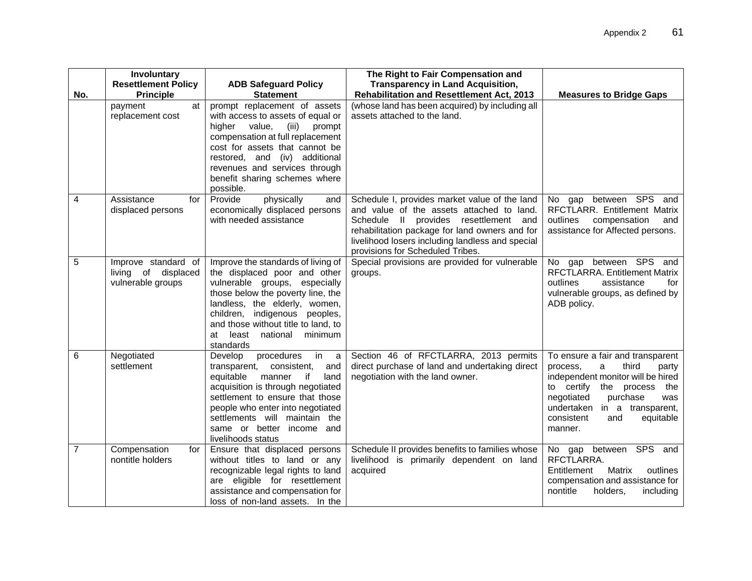|                         | Involuntary<br><b>Resettlement Policy</b>                       | <b>ADB Safeguard Policy</b>                                                                                                                                                                                                                                                                                   | The Right to Fair Compensation and<br><b>Transparency in Land Acquisition,</b>                                                                                                                                                                                                      |                                                                                                                                                                                                                                                               |
|-------------------------|-----------------------------------------------------------------|---------------------------------------------------------------------------------------------------------------------------------------------------------------------------------------------------------------------------------------------------------------------------------------------------------------|-------------------------------------------------------------------------------------------------------------------------------------------------------------------------------------------------------------------------------------------------------------------------------------|---------------------------------------------------------------------------------------------------------------------------------------------------------------------------------------------------------------------------------------------------------------|
| No.                     | <b>Principle</b>                                                | <b>Statement</b>                                                                                                                                                                                                                                                                                              | <b>Rehabilitation and Resettlement Act, 2013</b>                                                                                                                                                                                                                                    | <b>Measures to Bridge Gaps</b>                                                                                                                                                                                                                                |
|                         | payment<br>at<br>replacement cost                               | prompt replacement of assets<br>with access to assets of equal or<br>higher value,<br>(iii)<br>prompt<br>compensation at full replacement<br>cost for assets that cannot be<br>restored, and (iv) additional<br>revenues and services through<br>benefit sharing schemes where<br>possible.                   | (whose land has been acquired) by including all<br>assets attached to the land.                                                                                                                                                                                                     |                                                                                                                                                                                                                                                               |
| $\overline{\mathbf{4}}$ | Assistance<br>for<br>displaced persons                          | physically<br>Provide<br>and<br>economically displaced persons<br>with needed assistance                                                                                                                                                                                                                      | Schedule I, provides market value of the land<br>and value of the assets attached to land.<br>Schedule<br>Il provides resettlement<br>and<br>rehabilitation package for land owners and for<br>livelihood losers including landless and special<br>provisions for Scheduled Tribes. | between SPS<br>and<br>No<br>gap<br>RFCTLARR. Entitlement Matrix<br>outlines<br>compensation<br>and<br>assistance for Affected persons.                                                                                                                        |
| 5                       | Improve standard of<br>living of displaced<br>vulnerable groups | Improve the standards of living of<br>the displaced poor and other<br>vulnerable groups, especially<br>those below the poverty line, the<br>landless, the elderly, women,<br>children, indigenous peoples,<br>and those without title to land, to<br>at least national<br>minimum<br>standards                | Special provisions are provided for vulnerable<br>groups.                                                                                                                                                                                                                           | No gap between SPS<br>and<br>RFCTLARRA. Entitlement Matrix<br>assistance<br>outlines<br>for<br>vulnerable groups, as defined by<br>ADB policy.                                                                                                                |
| 6                       | Negotiated<br>settlement                                        | procedures<br>Develop<br>in<br>a -<br>transparent,<br>consistent,<br>and<br>equitable<br>manner<br>if<br>land<br>acquisition is through negotiated<br>settlement to ensure that those<br>people who enter into negotiated<br>settlements will maintain the<br>same or better income and<br>livelihoods status | Section 46 of RFCTLARRA, 2013 permits<br>direct purchase of land and undertaking direct<br>negotiation with the land owner.                                                                                                                                                         | To ensure a fair and transparent<br>third<br>process,<br>a<br>party<br>independent monitor will be hired<br>to certify the<br>process<br>the<br>negotiated<br>purchase<br>was<br>undertaken<br>in a transparent,<br>consistent<br>equitable<br>and<br>manner. |
| $\overline{7}$          | Compensation<br>for<br>nontitle holders                         | Ensure that displaced persons<br>without titles to land or any<br>recognizable legal rights to land<br>are eligible for resettlement<br>assistance and compensation for<br>loss of non-land assets. In the                                                                                                    | Schedule II provides benefits to families whose<br>livelihood is primarily dependent on land<br>acquired                                                                                                                                                                            | No gap between SPS and<br>RFCTLARRA.<br>Matrix<br>Entitlement<br>outlines<br>compensation and assistance for<br>nontitle<br>holders,<br>including                                                                                                             |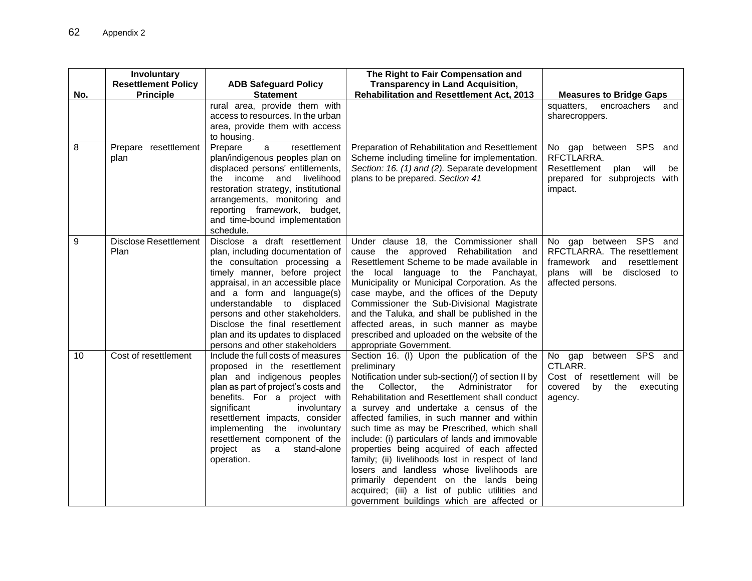|     | Involuntary                          |                                                                                                                                                                                                                                                                                                                                                                                    | The Right to Fair Compensation and                                                                                                                                                                                                                                                                                                                                                                                                                                                                                                                                                                                                                                                                      |                                                                                                                                                       |
|-----|--------------------------------------|------------------------------------------------------------------------------------------------------------------------------------------------------------------------------------------------------------------------------------------------------------------------------------------------------------------------------------------------------------------------------------|---------------------------------------------------------------------------------------------------------------------------------------------------------------------------------------------------------------------------------------------------------------------------------------------------------------------------------------------------------------------------------------------------------------------------------------------------------------------------------------------------------------------------------------------------------------------------------------------------------------------------------------------------------------------------------------------------------|-------------------------------------------------------------------------------------------------------------------------------------------------------|
|     | <b>Resettlement Policy</b>           | <b>ADB Safeguard Policy</b>                                                                                                                                                                                                                                                                                                                                                        | <b>Transparency in Land Acquisition,</b>                                                                                                                                                                                                                                                                                                                                                                                                                                                                                                                                                                                                                                                                |                                                                                                                                                       |
| No. | <b>Principle</b>                     | <b>Statement</b>                                                                                                                                                                                                                                                                                                                                                                   | <b>Rehabilitation and Resettlement Act, 2013</b>                                                                                                                                                                                                                                                                                                                                                                                                                                                                                                                                                                                                                                                        | <b>Measures to Bridge Gaps</b>                                                                                                                        |
|     |                                      | rural area, provide them with<br>access to resources. In the urban<br>area, provide them with access<br>to housing.                                                                                                                                                                                                                                                                |                                                                                                                                                                                                                                                                                                                                                                                                                                                                                                                                                                                                                                                                                                         | squatters,<br>encroachers<br>and<br>sharecroppers.                                                                                                    |
| 8   | Prepare resettlement<br>plan         | a<br>resettlement<br>Prepare<br>plan/indigenous peoples plan on<br>displaced persons' entitlements,<br>the income and<br>livelihood<br>restoration strategy, institutional<br>arrangements, monitoring and<br>reporting framework, budget,<br>and time-bound implementation<br>schedule.                                                                                           | Preparation of Rehabilitation and Resettlement<br>Scheme including timeline for implementation.<br>Section: 16. (1) and (2). Separate development<br>plans to be prepared. Section 41                                                                                                                                                                                                                                                                                                                                                                                                                                                                                                                   | No gap between SPS and<br>RFCTLARRA.<br>Resettlement<br>plan<br>will<br>be<br>prepared for subprojects<br>with<br>impact.                             |
| 9   | <b>Disclose Resettlement</b><br>Plan | Disclose a draft resettlement<br>plan, including documentation of<br>the consultation processing a<br>timely manner, before project<br>appraisal, in an accessible place<br>and a form and language(s)<br>understandable to displaced<br>persons and other stakeholders.<br>Disclose the final resettlement<br>plan and its updates to displaced<br>persons and other stakeholders | Under clause 18, the Commissioner shall<br>cause the approved Rehabilitation and<br>Resettlement Scheme to be made available in<br>the local language to the Panchayat,<br>Municipality or Municipal Corporation. As the<br>case maybe, and the offices of the Deputy<br>Commissioner the Sub-Divisional Magistrate<br>and the Taluka, and shall be published in the<br>affected areas, in such manner as maybe<br>prescribed and uploaded on the website of the<br>appropriate Government.                                                                                                                                                                                                             | No gap between SPS and<br>RFCTLARRA. The resettlement<br>resettlement<br>framework<br>and<br>plans will<br>disclosed<br>be<br>to<br>affected persons. |
| 10  | Cost of resettlement                 | Include the full costs of measures<br>proposed in the resettlement<br>plan and indigenous peoples<br>plan as part of project's costs and<br>benefits. For a project with<br>significant<br>involuntary<br>resettlement impacts, consider<br>implementing the involuntary<br>resettlement component of the<br>stand-alone<br>project<br>as<br>a<br>operation.                       | Section 16. (I) Upon the publication of the<br>preliminary<br>Notification under sub-section(/) of section II by<br>the Collector,<br>the<br>Administrator<br>for<br>Rehabilitation and Resettlement shall conduct<br>a survey and undertake a census of the<br>affected families, in such manner and within<br>such time as may be Prescribed, which shall<br>include: (i) particulars of lands and immovable<br>properties being acquired of each affected<br>family; (ii) livelihoods lost in respect of land<br>losers and landless whose livelihoods are<br>primarily dependent on the lands being<br>acquired; (iii) a list of public utilities and<br>government buildings which are affected or | between SPS and<br>No gap<br>CTLARR.<br>Cost of resettlement will be<br>covered<br>by<br>the<br>executing<br>agency.                                  |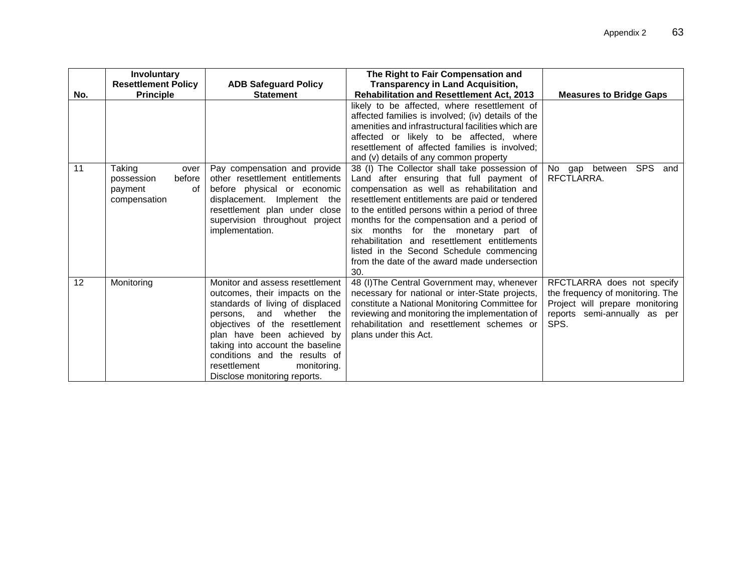|     | Involuntary                                                             |                                                                                                                                                                                                                                                                                                                                       | The Right to Fair Compensation and                                                                                                                                                                                                                                                                                                                                                                                                                                                     |                                                                                                                                           |
|-----|-------------------------------------------------------------------------|---------------------------------------------------------------------------------------------------------------------------------------------------------------------------------------------------------------------------------------------------------------------------------------------------------------------------------------|----------------------------------------------------------------------------------------------------------------------------------------------------------------------------------------------------------------------------------------------------------------------------------------------------------------------------------------------------------------------------------------------------------------------------------------------------------------------------------------|-------------------------------------------------------------------------------------------------------------------------------------------|
|     | <b>Resettlement Policy</b>                                              | <b>ADB Safeguard Policy</b>                                                                                                                                                                                                                                                                                                           | <b>Transparency in Land Acquisition,</b>                                                                                                                                                                                                                                                                                                                                                                                                                                               |                                                                                                                                           |
| No. | <b>Principle</b>                                                        | <b>Statement</b>                                                                                                                                                                                                                                                                                                                      | <b>Rehabilitation and Resettlement Act, 2013</b>                                                                                                                                                                                                                                                                                                                                                                                                                                       | <b>Measures to Bridge Gaps</b>                                                                                                            |
|     |                                                                         |                                                                                                                                                                                                                                                                                                                                       | likely to be affected, where resettlement of<br>affected families is involved; (iv) details of the<br>amenities and infrastructural facilities which are<br>affected or likely to be affected, where<br>resettlement of affected families is involved;<br>and (v) details of any common property                                                                                                                                                                                       |                                                                                                                                           |
| 11  | Taking<br>over<br>before<br>possession<br>payment<br>of<br>compensation | Pay compensation and provide<br>other resettlement entitlements<br>before physical or economic<br>displacement. Implement the<br>resettlement plan under close<br>supervision throughout project<br>implementation.                                                                                                                   | 38 (I) The Collector shall take possession of<br>Land after ensuring that full payment of<br>compensation as well as rehabilitation and<br>resettlement entitlements are paid or tendered<br>to the entitled persons within a period of three<br>months for the compensation and a period of<br>six months for the monetary part of<br>rehabilitation and resettlement entitlements<br>listed in the Second Schedule commencing<br>from the date of the award made undersection<br>30. | <b>SPS</b><br>No<br>gap<br>between<br>and<br>RFCTLARRA.                                                                                   |
| 12  | Monitoring                                                              | Monitor and assess resettlement<br>outcomes, their impacts on the<br>standards of living of displaced<br>persons, and whether the<br>objectives of the resettlement<br>plan have been achieved by<br>taking into account the baseline<br>conditions and the results of<br>resettlement<br>monitoring.<br>Disclose monitoring reports. | 48 (I) The Central Government may, whenever<br>necessary for national or inter-State projects,<br>constitute a National Monitoring Committee for<br>reviewing and monitoring the implementation of<br>rehabilitation and resettlement schemes or<br>plans under this Act.                                                                                                                                                                                                              | RFCTLARRA does not specify<br>the frequency of monitoring. The<br>Project will prepare monitoring<br>reports semi-annually as per<br>SPS. |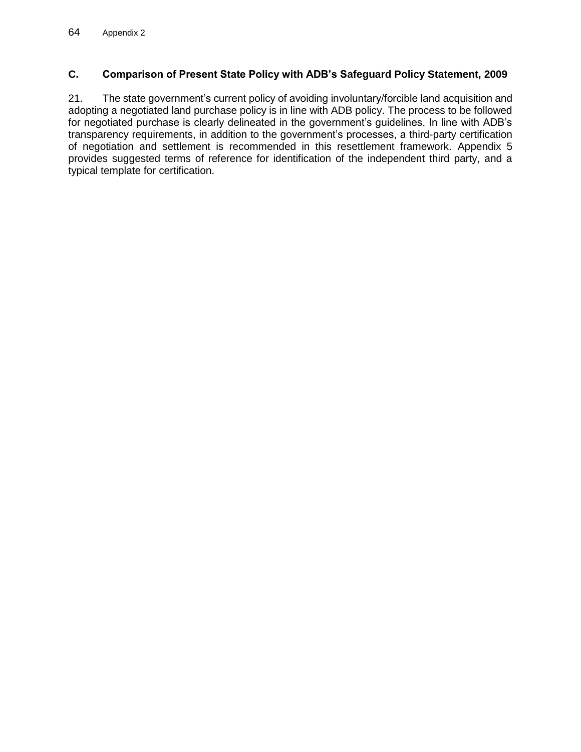# **C. Comparison of Present State Policy with ADB's Safeguard Policy Statement, 2009**

21. The state government's current policy of avoiding involuntary/forcible land acquisition and adopting a negotiated land purchase policy is in line with ADB policy. The process to be followed for negotiated purchase is clearly delineated in the government's guidelines. In line with ADB's transparency requirements, in addition to the government's processes, a third-party certification of negotiation and settlement is recommended in this resettlement framework. Appendix 5 provides suggested terms of reference for identification of the independent third party, and a typical template for certification.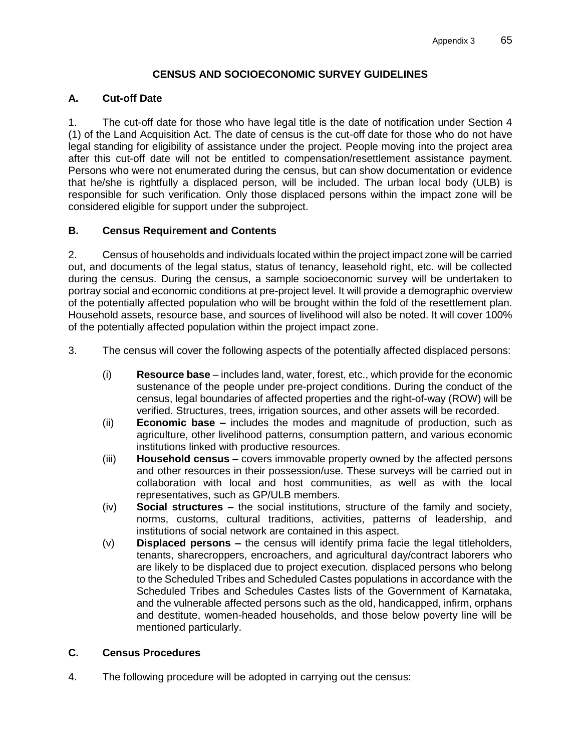## **CENSUS AND SOCIOECONOMIC SURVEY GUIDELINES**

### **A. Cut-off Date**

1. The cut-off date for those who have legal title is the date of notification under Section 4 (1) of the Land Acquisition Act. The date of census is the cut-off date for those who do not have legal standing for eligibility of assistance under the project. People moving into the project area after this cut-off date will not be entitled to compensation/resettlement assistance payment. Persons who were not enumerated during the census, but can show documentation or evidence that he/she is rightfully a displaced person, will be included. The urban local body (ULB) is responsible for such verification. Only those displaced persons within the impact zone will be considered eligible for support under the subproject.

## **B. Census Requirement and Contents**

2. Census of households and individuals located within the project impact zone will be carried out, and documents of the legal status, status of tenancy, leasehold right, etc. will be collected during the census. During the census, a sample socioeconomic survey will be undertaken to portray social and economic conditions at pre-project level. It will provide a demographic overview of the potentially affected population who will be brought within the fold of the resettlement plan. Household assets, resource base, and sources of livelihood will also be noted. It will cover 100% of the potentially affected population within the project impact zone.

- 3. The census will cover the following aspects of the potentially affected displaced persons:
	- (i) **Resource base**  includes land, water, forest, etc., which provide for the economic sustenance of the people under pre-project conditions. During the conduct of the census, legal boundaries of affected properties and the right-of-way (ROW) will be verified. Structures, trees, irrigation sources, and other assets will be recorded.
	- (ii) **Economic base –** includes the modes and magnitude of production, such as agriculture, other livelihood patterns, consumption pattern, and various economic institutions linked with productive resources.
	- (iii) **Household census –** covers immovable property owned by the affected persons and other resources in their possession/use. These surveys will be carried out in collaboration with local and host communities, as well as with the local representatives, such as GP/ULB members.
	- (iv) **Social structures –** the social institutions, structure of the family and society, norms, customs, cultural traditions, activities, patterns of leadership, and institutions of social network are contained in this aspect.
	- (v) **Displaced persons –** the census will identify prima facie the legal titleholders, tenants, sharecroppers, encroachers, and agricultural day/contract laborers who are likely to be displaced due to project execution. displaced persons who belong to the Scheduled Tribes and Scheduled Castes populations in accordance with the Scheduled Tribes and Schedules Castes lists of the Government of Karnataka, and the vulnerable affected persons such as the old, handicapped, infirm, orphans and destitute, women-headed households, and those below poverty line will be mentioned particularly.

#### **C. Census Procedures**

4. The following procedure will be adopted in carrying out the census: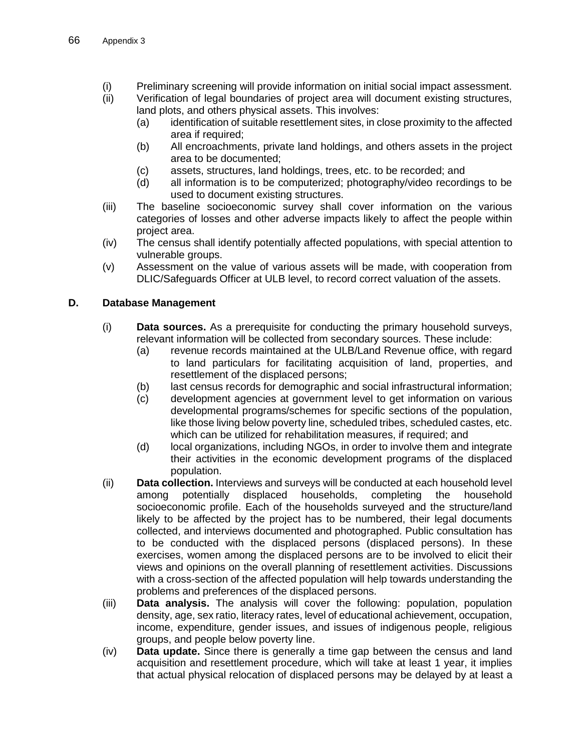- (i) Preliminary screening will provide information on initial social impact assessment.
- (ii) Verification of legal boundaries of project area will document existing structures, land plots, and others physical assets. This involves:
	- (a) identification of suitable resettlement sites, in close proximity to the affected area if required;
	- (b) All encroachments, private land holdings, and others assets in the project area to be documented;
	- (c) assets, structures, land holdings, trees, etc. to be recorded; and
	- (d) all information is to be computerized; photography/video recordings to be used to document existing structures.
- (iii) The baseline socioeconomic survey shall cover information on the various categories of losses and other adverse impacts likely to affect the people within project area.
- (iv) The census shall identify potentially affected populations, with special attention to vulnerable groups.
- (v) Assessment on the value of various assets will be made, with cooperation from DLIC/Safeguards Officer at ULB level, to record correct valuation of the assets.

#### **D. Database Management**

- (i) **Data sources.** As a prerequisite for conducting the primary household surveys, relevant information will be collected from secondary sources. These include:
	- (a) revenue records maintained at the ULB/Land Revenue office, with regard to land particulars for facilitating acquisition of land, properties, and resettlement of the displaced persons;
	- (b) last census records for demographic and social infrastructural information;
	- (c) development agencies at government level to get information on various developmental programs/schemes for specific sections of the population, like those living below poverty line, scheduled tribes, scheduled castes, etc. which can be utilized for rehabilitation measures, if required; and
	- (d) local organizations, including NGOs, in order to involve them and integrate their activities in the economic development programs of the displaced population.
- (ii) **Data collection.** Interviews and surveys will be conducted at each household level among potentially displaced households, completing the household socioeconomic profile. Each of the households surveyed and the structure/land likely to be affected by the project has to be numbered, their legal documents collected, and interviews documented and photographed. Public consultation has to be conducted with the displaced persons (displaced persons). In these exercises, women among the displaced persons are to be involved to elicit their views and opinions on the overall planning of resettlement activities. Discussions with a cross-section of the affected population will help towards understanding the problems and preferences of the displaced persons.
- (iii) **Data analysis.** The analysis will cover the following: population, population density, age, sex ratio, literacy rates, level of educational achievement, occupation, income, expenditure, gender issues, and issues of indigenous people, religious groups, and people below poverty line.
- (iv) **Data update.** Since there is generally a time gap between the census and land acquisition and resettlement procedure, which will take at least 1 year, it implies that actual physical relocation of displaced persons may be delayed by at least a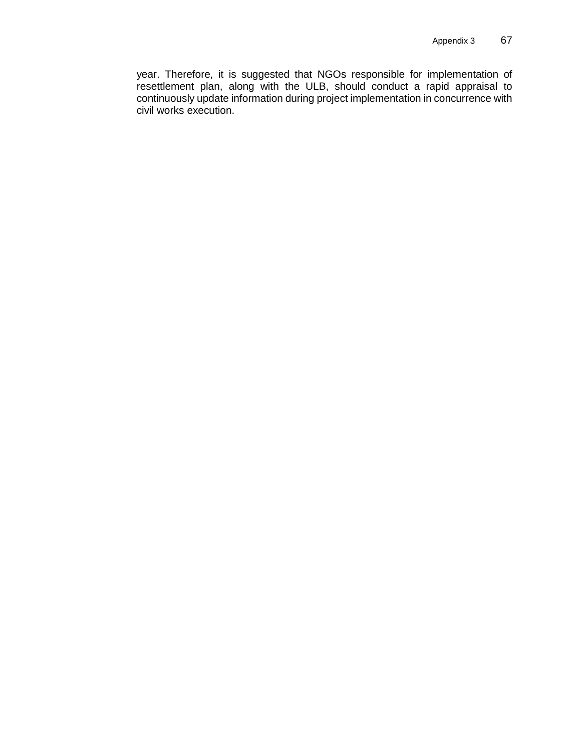year. Therefore, it is suggested that NGOs responsible for implementation of resettlement plan, along with the ULB, should conduct a rapid appraisal to continuously update information during project implementation in concurrence with civil works execution.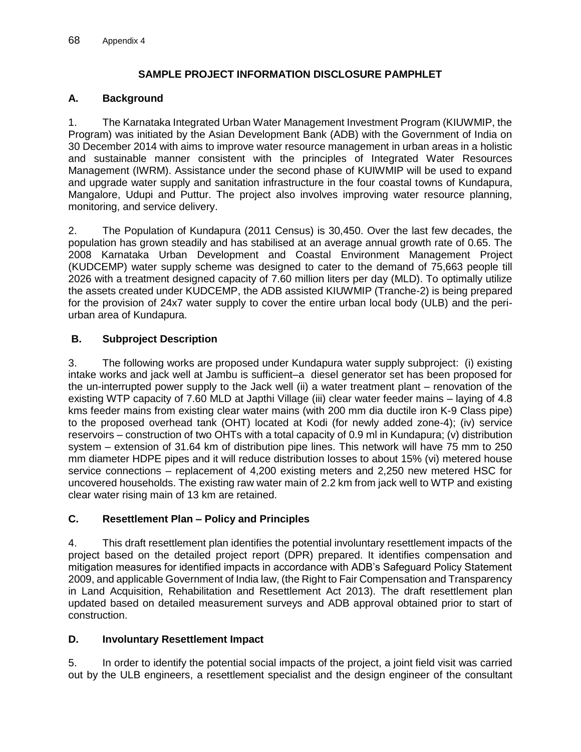# **SAMPLE PROJECT INFORMATION DISCLOSURE PAMPHLET**

## **A. Background**

1. The Karnataka Integrated Urban Water Management Investment Program (KIUWMIP, the Program) was initiated by the Asian Development Bank (ADB) with the Government of India on 30 December 2014 with aims to improve water resource management in urban areas in a holistic and sustainable manner consistent with the principles of Integrated Water Resources Management (IWRM). Assistance under the second phase of KUIWMIP will be used to expand and upgrade water supply and sanitation infrastructure in the four coastal towns of Kundapura, Mangalore, Udupi and Puttur. The project also involves improving water resource planning, monitoring, and service delivery.

2. The Population of Kundapura (2011 Census) is 30,450. Over the last few decades, the population has grown steadily and has stabilised at an average annual growth rate of 0.65. The 2008 Karnataka Urban Development and Coastal Environment Management Project (KUDCEMP) water supply scheme was designed to cater to the demand of 75,663 people till 2026 with a treatment designed capacity of 7.60 million liters per day (MLD). To optimally utilize the assets created under KUDCEMP, the ADB assisted KIUWMIP (Tranche-2) is being prepared for the provision of 24x7 water supply to cover the entire urban local body (ULB) and the periurban area of Kundapura.

# **B. Subproject Description**

3. The following works are proposed under Kundapura water supply subproject: (i) existing intake works and jack well at Jambu is sufficient–a diesel generator set has been proposed for the un-interrupted power supply to the Jack well (ii) a water treatment plant – renovation of the existing WTP capacity of 7.60 MLD at Japthi Village (iii) clear water feeder mains – laying of 4.8 kms feeder mains from existing clear water mains (with 200 mm dia ductile iron K-9 Class pipe) to the proposed overhead tank (OHT) located at Kodi (for newly added zone-4); (iv) service reservoirs – construction of two OHTs with a total capacity of 0.9 ml in Kundapura; (v) distribution system – extension of 31.64 km of distribution pipe lines. This network will have 75 mm to 250 mm diameter HDPE pipes and it will reduce distribution losses to about 15% (vi) metered house service connections – replacement of 4,200 existing meters and 2,250 new metered HSC for uncovered households. The existing raw water main of 2.2 km from jack well to WTP and existing clear water rising main of 13 km are retained.

# **C. Resettlement Plan – Policy and Principles**

4. This draft resettlement plan identifies the potential involuntary resettlement impacts of the project based on the detailed project report (DPR) prepared. It identifies compensation and mitigation measures for identified impacts in accordance with ADB's Safeguard Policy Statement 2009, and applicable Government of India law, (the Right to Fair Compensation and Transparency in Land Acquisition, Rehabilitation and Resettlement Act 2013). The draft resettlement plan updated based on detailed measurement surveys and ADB approval obtained prior to start of construction.

#### **D. Involuntary Resettlement Impact**

5. In order to identify the potential social impacts of the project, a joint field visit was carried out by the ULB engineers, a resettlement specialist and the design engineer of the consultant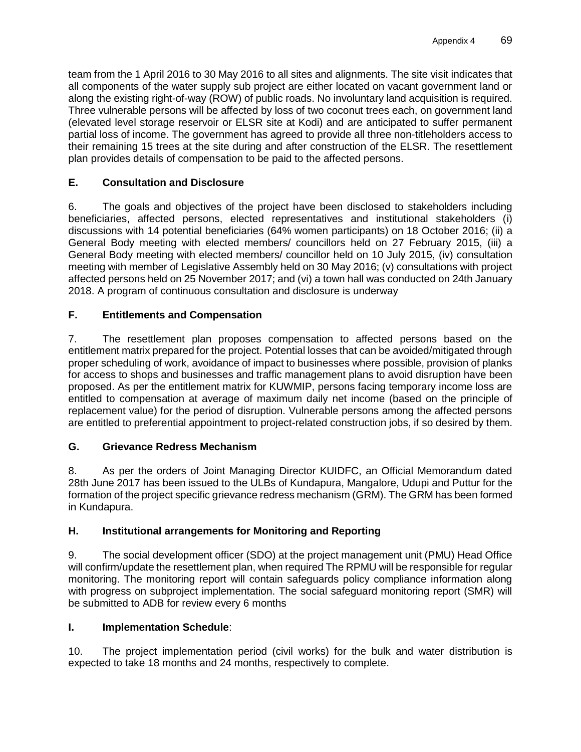team from the 1 April 2016 to 30 May 2016 to all sites and alignments. The site visit indicates that all components of the water supply sub project are either located on vacant government land or along the existing right-of-way (ROW) of public roads. No involuntary land acquisition is required. Three vulnerable persons will be affected by loss of two coconut trees each, on government land (elevated level storage reservoir or ELSR site at Kodi) and are anticipated to suffer permanent partial loss of income. The government has agreed to provide all three non-titleholders access to their remaining 15 trees at the site during and after construction of the ELSR. The resettlement plan provides details of compensation to be paid to the affected persons.

# **E. Consultation and Disclosure**

6. The goals and objectives of the project have been disclosed to stakeholders including beneficiaries, affected persons, elected representatives and institutional stakeholders (i) discussions with 14 potential beneficiaries (64% women participants) on 18 October 2016; (ii) a General Body meeting with elected members/ councillors held on 27 February 2015, (iii) a General Body meeting with elected members/ councillor held on 10 July 2015, (iv) consultation meeting with member of Legislative Assembly held on 30 May 2016; (v) consultations with project affected persons held on 25 November 2017; and (vi) a town hall was conducted on 24th January 2018. A program of continuous consultation and disclosure is underway

# **F. Entitlements and Compensation**

7. The resettlement plan proposes compensation to affected persons based on the entitlement matrix prepared for the project. Potential losses that can be avoided/mitigated through proper scheduling of work, avoidance of impact to businesses where possible, provision of planks for access to shops and businesses and traffic management plans to avoid disruption have been proposed. As per the entitlement matrix for KUWMIP, persons facing temporary income loss are entitled to compensation at average of maximum daily net income (based on the principle of replacement value) for the period of disruption. Vulnerable persons among the affected persons are entitled to preferential appointment to project-related construction jobs, if so desired by them.

# **G. Grievance Redress Mechanism**

8. As per the orders of Joint Managing Director KUIDFC, an Official Memorandum dated 28th June 2017 has been issued to the ULBs of Kundapura, Mangalore, Udupi and Puttur for the formation of the project specific grievance redress mechanism (GRM). The GRM has been formed in Kundapura.

# **H. Institutional arrangements for Monitoring and Reporting**

9. The social development officer (SDO) at the project management unit (PMU) Head Office will confirm/update the resettlement plan, when required The RPMU will be responsible for regular monitoring. The monitoring report will contain safeguards policy compliance information along with progress on subproject implementation. The social safeguard monitoring report (SMR) will be submitted to ADB for review every 6 months

# **I. Implementation Schedule**:

10. The project implementation period (civil works) for the bulk and water distribution is expected to take 18 months and 24 months, respectively to complete.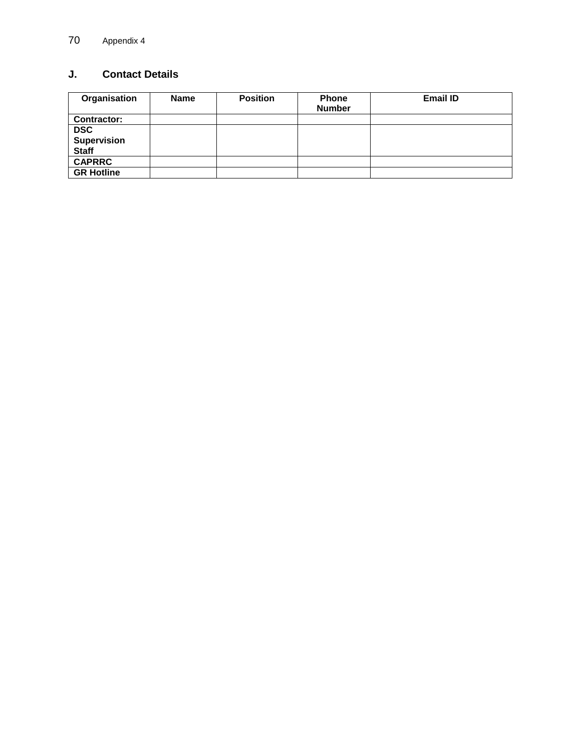# **J. Contact Details**

| Organisation       | <b>Name</b> | <b>Position</b> | <b>Phone</b><br><b>Number</b> | <b>Email ID</b> |
|--------------------|-------------|-----------------|-------------------------------|-----------------|
| <b>Contractor:</b> |             |                 |                               |                 |
| <b>DSC</b>         |             |                 |                               |                 |
| Supervision        |             |                 |                               |                 |
| <b>Staff</b>       |             |                 |                               |                 |
| <b>CAPRRC</b>      |             |                 |                               |                 |
| <b>GR Hotline</b>  |             |                 |                               |                 |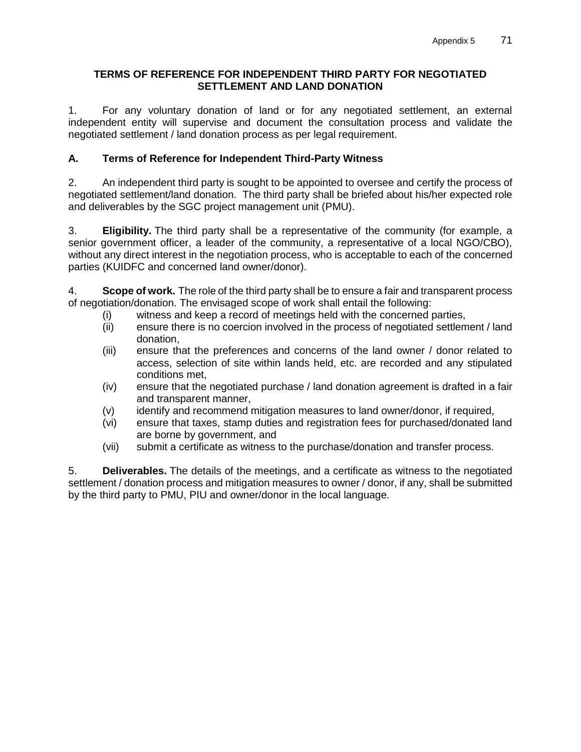## **TERMS OF REFERENCE FOR INDEPENDENT THIRD PARTY FOR NEGOTIATED SETTLEMENT AND LAND DONATION**

1. For any voluntary donation of land or for any negotiated settlement, an external independent entity will supervise and document the consultation process and validate the negotiated settlement / land donation process as per legal requirement.

# **A. Terms of Reference for Independent Third-Party Witness**

2. An independent third party is sought to be appointed to oversee and certify the process of negotiated settlement/land donation. The third party shall be briefed about his/her expected role and deliverables by the SGC project management unit (PMU).

3. **Eligibility.** The third party shall be a representative of the community (for example, a senior government officer, a leader of the community, a representative of a local NGO/CBO), without any direct interest in the negotiation process, who is acceptable to each of the concerned parties (KUIDFC and concerned land owner/donor).

4. **Scope of work.** The role of the third party shall be to ensure a fair and transparent process of negotiation/donation. The envisaged scope of work shall entail the following:

- (i) witness and keep a record of meetings held with the concerned parties,
- (ii) ensure there is no coercion involved in the process of negotiated settlement / land donation,
- (iii) ensure that the preferences and concerns of the land owner / donor related to access, selection of site within lands held, etc. are recorded and any stipulated conditions met,
- (iv) ensure that the negotiated purchase / land donation agreement is drafted in a fair and transparent manner,
- (v) identify and recommend mitigation measures to land owner/donor, if required,
- (vi) ensure that taxes, stamp duties and registration fees for purchased/donated land are borne by government, and
- (vii) submit a certificate as witness to the purchase/donation and transfer process.

5. **Deliverables.** The details of the meetings, and a certificate as witness to the negotiated settlement / donation process and mitigation measures to owner / donor, if any, shall be submitted by the third party to PMU, PIU and owner/donor in the local language.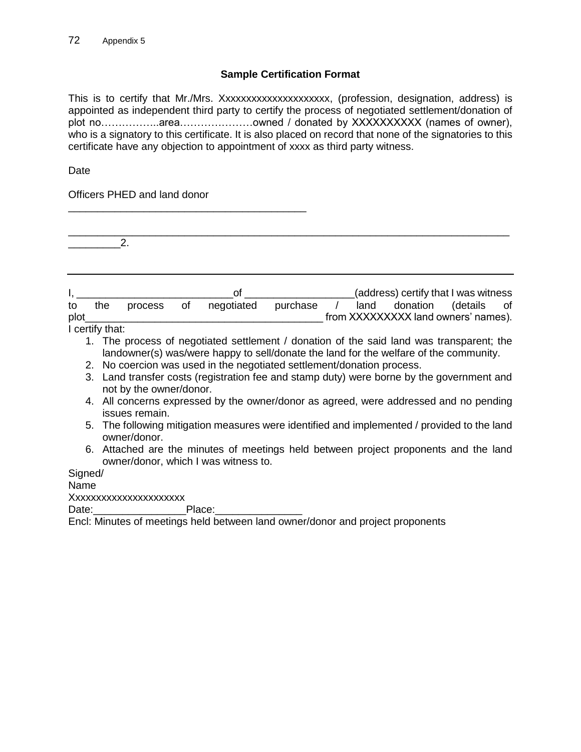### **Sample Certification Format**

This is to certify that Mr./Mrs. Xxxxxxxxxxxxxxxxxxxxx, (profession, designation, address) is appointed as independent third party to certify the process of negotiated settlement/donation of plot no………………area…………………owned / donated by XXXXXXXXXX (names of owner), who is a signatory to this certificate. It is also placed on record that none of the signatories to this certificate have any objection to appointment of xxxx as third party witness.

Date

Officers PHED and land donor

\_\_\_\_\_\_\_\_\_\_\_\_\_\_\_\_\_\_\_\_\_\_\_\_\_\_\_\_\_\_\_\_\_\_\_\_\_\_\_\_\_

\_\_\_\_\_\_\_\_\_\_\_\_\_\_\_\_\_\_\_\_\_\_\_\_\_\_\_\_\_\_\_\_\_\_\_\_\_\_\_\_\_\_\_\_\_\_\_\_\_\_\_\_\_\_\_\_\_\_\_\_\_\_\_\_\_\_\_\_\_\_\_\_\_\_\_\_  $2.$ 

|      |                 |         |    | Ωt         |          |  | (address) certify that I was witness |  |
|------|-----------------|---------|----|------------|----------|--|--------------------------------------|--|
| to   | the             | process | of | negotiated | purchase |  | land donation (details of            |  |
| plot |                 |         |    |            |          |  | from XXXXXXXXX land owners' names).  |  |
|      | I certify that: |         |    |            |          |  |                                      |  |

1. The process of negotiated settlement / donation of the said land was transparent; the landowner(s) was/were happy to sell/donate the land for the welfare of the community.

- 2. No coercion was used in the negotiated settlement/donation process.
- 3. Land transfer costs (registration fee and stamp duty) were borne by the government and not by the owner/donor.
- 4. All concerns expressed by the owner/donor as agreed, were addressed and no pending issues remain.
- 5. The following mitigation measures were identified and implemented / provided to the land owner/donor.
- 6. Attached are the minutes of meetings held between project proponents and the land owner/donor, which I was witness to.

Signed/

Name

Xxxxxxxxxxxxxxxxxxxxxx

Date:\_\_\_\_\_\_\_\_\_\_\_\_\_\_\_\_Place:\_\_\_\_\_\_\_\_\_\_\_\_\_\_\_

Encl: Minutes of meetings held between land owner/donor and project proponents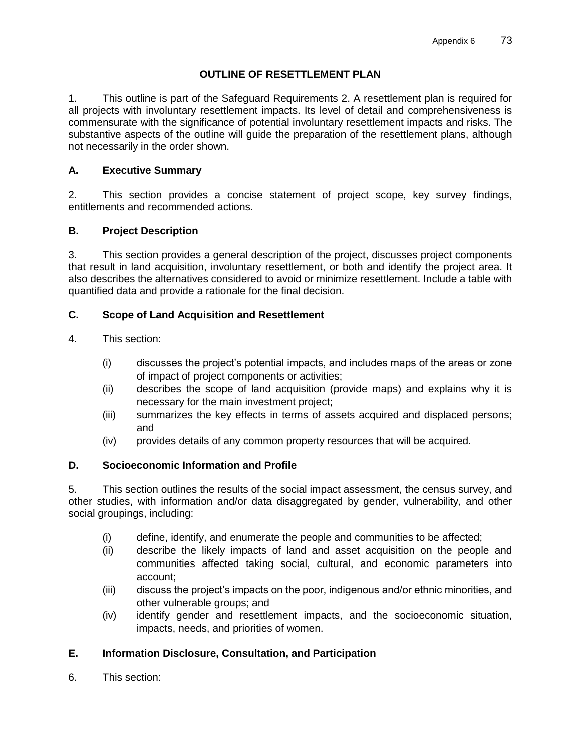## **OUTLINE OF RESETTLEMENT PLAN**

1. This outline is part of the Safeguard Requirements 2. A resettlement plan is required for all projects with involuntary resettlement impacts. Its level of detail and comprehensiveness is commensurate with the significance of potential involuntary resettlement impacts and risks. The substantive aspects of the outline will guide the preparation of the resettlement plans, although not necessarily in the order shown.

## **A. Executive Summary**

2. This section provides a concise statement of project scope, key survey findings, entitlements and recommended actions.

## **B. Project Description**

3. This section provides a general description of the project, discusses project components that result in land acquisition, involuntary resettlement, or both and identify the project area. It also describes the alternatives considered to avoid or minimize resettlement. Include a table with quantified data and provide a rationale for the final decision.

### **C. Scope of Land Acquisition and Resettlement**

- 4. This section:
	- (i) discusses the project's potential impacts, and includes maps of the areas or zone of impact of project components or activities;
	- (ii) describes the scope of land acquisition (provide maps) and explains why it is necessary for the main investment project;
	- (iii) summarizes the key effects in terms of assets acquired and displaced persons; and
	- (iv) provides details of any common property resources that will be acquired.

## **D. Socioeconomic Information and Profile**

5. This section outlines the results of the social impact assessment, the census survey, and other studies, with information and/or data disaggregated by gender, vulnerability, and other social groupings, including:

- (i) define, identify, and enumerate the people and communities to be affected;
- (ii) describe the likely impacts of land and asset acquisition on the people and communities affected taking social, cultural, and economic parameters into account;
- (iii) discuss the project's impacts on the poor, indigenous and/or ethnic minorities, and other vulnerable groups; and
- (iv) identify gender and resettlement impacts, and the socioeconomic situation, impacts, needs, and priorities of women.

# **E. Information Disclosure, Consultation, and Participation**

6. This section: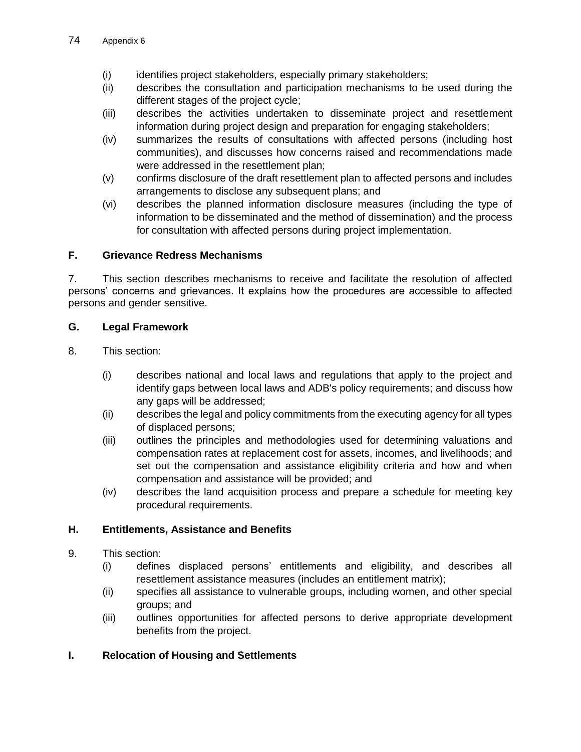- (i) identifies project stakeholders, especially primary stakeholders;
- (ii) describes the consultation and participation mechanisms to be used during the different stages of the project cycle;
- (iii) describes the activities undertaken to disseminate project and resettlement information during project design and preparation for engaging stakeholders;
- (iv) summarizes the results of consultations with affected persons (including host communities), and discusses how concerns raised and recommendations made were addressed in the resettlement plan;
- (v) confirms disclosure of the draft resettlement plan to affected persons and includes arrangements to disclose any subsequent plans; and
- (vi) describes the planned information disclosure measures (including the type of information to be disseminated and the method of dissemination) and the process for consultation with affected persons during project implementation.

## **F. Grievance Redress Mechanisms**

7. This section describes mechanisms to receive and facilitate the resolution of affected persons' concerns and grievances. It explains how the procedures are accessible to affected persons and gender sensitive.

## **G. Legal Framework**

- 8. This section:
	- (i) describes national and local laws and regulations that apply to the project and identify gaps between local laws and ADB's policy requirements; and discuss how any gaps will be addressed;
	- (ii) describes the legal and policy commitments from the executing agency for all types of displaced persons;
	- (iii) outlines the principles and methodologies used for determining valuations and compensation rates at replacement cost for assets, incomes, and livelihoods; and set out the compensation and assistance eligibility criteria and how and when compensation and assistance will be provided; and
	- (iv) describes the land acquisition process and prepare a schedule for meeting key procedural requirements.

# **H. Entitlements, Assistance and Benefits**

- 9. This section:
	- (i) defines displaced persons' entitlements and eligibility, and describes all resettlement assistance measures (includes an entitlement matrix);
	- (ii) specifies all assistance to vulnerable groups, including women, and other special groups; and
	- (iii) outlines opportunities for affected persons to derive appropriate development benefits from the project.

# **I. Relocation of Housing and Settlements**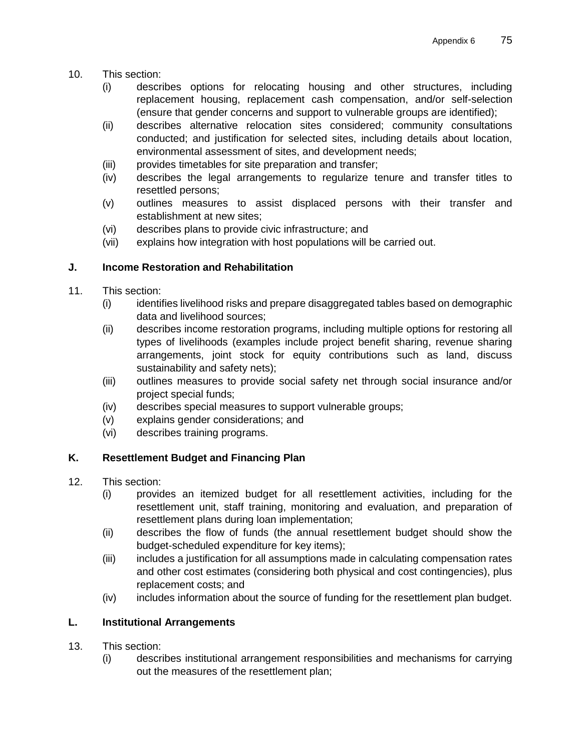- 10. This section:
	- (i) describes options for relocating housing and other structures, including replacement housing, replacement cash compensation, and/or self-selection (ensure that gender concerns and support to vulnerable groups are identified);
	- (ii) describes alternative relocation sites considered; community consultations conducted; and justification for selected sites, including details about location, environmental assessment of sites, and development needs;
	- (iii) provides timetables for site preparation and transfer;
	- (iv) describes the legal arrangements to regularize tenure and transfer titles to resettled persons;
	- (v) outlines measures to assist displaced persons with their transfer and establishment at new sites;
	- (vi) describes plans to provide civic infrastructure; and
	- (vii) explains how integration with host populations will be carried out.

## **J. Income Restoration and Rehabilitation**

- 11. This section:
	- (i) identifies livelihood risks and prepare disaggregated tables based on demographic data and livelihood sources;
	- (ii) describes income restoration programs, including multiple options for restoring all types of livelihoods (examples include project benefit sharing, revenue sharing arrangements, joint stock for equity contributions such as land, discuss sustainability and safety nets);
	- (iii) outlines measures to provide social safety net through social insurance and/or project special funds;
	- (iv) describes special measures to support vulnerable groups;
	- (v) explains gender considerations; and
	- (vi) describes training programs.

# **K. Resettlement Budget and Financing Plan**

- 12. This section:
	- (i) provides an itemized budget for all resettlement activities, including for the resettlement unit, staff training, monitoring and evaluation, and preparation of resettlement plans during loan implementation;
	- (ii) describes the flow of funds (the annual resettlement budget should show the budget-scheduled expenditure for key items);
	- (iii) includes a justification for all assumptions made in calculating compensation rates and other cost estimates (considering both physical and cost contingencies), plus replacement costs; and
	- (iv) includes information about the source of funding for the resettlement plan budget.

# **L. Institutional Arrangements**

- 13. This section:
	- (i) describes institutional arrangement responsibilities and mechanisms for carrying out the measures of the resettlement plan;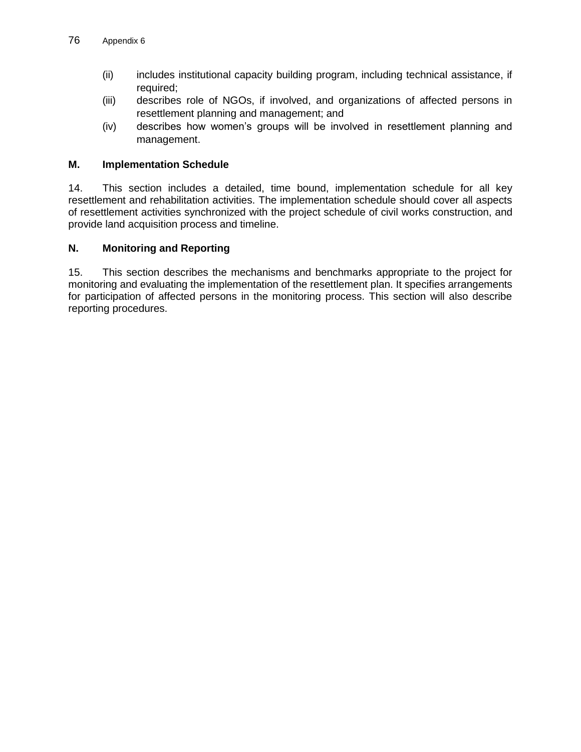- (ii) includes institutional capacity building program, including technical assistance, if required;
- (iii) describes role of NGOs, if involved, and organizations of affected persons in resettlement planning and management; and
- (iv) describes how women's groups will be involved in resettlement planning and management.

### **M. Implementation Schedule**

14. This section includes a detailed, time bound, implementation schedule for all key resettlement and rehabilitation activities. The implementation schedule should cover all aspects of resettlement activities synchronized with the project schedule of civil works construction, and provide land acquisition process and timeline.

### **N. Monitoring and Reporting**

15. This section describes the mechanisms and benchmarks appropriate to the project for monitoring and evaluating the implementation of the resettlement plan. It specifies arrangements for participation of affected persons in the monitoring process. This section will also describe reporting procedures.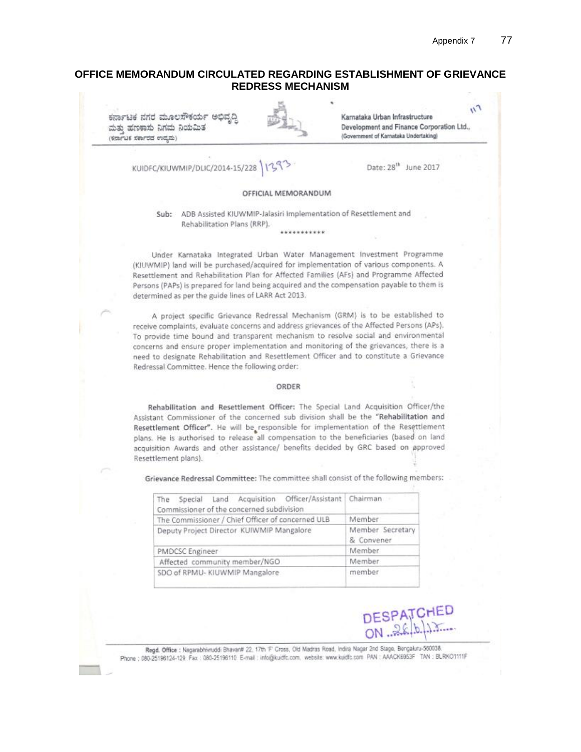### **OFFICE MEMORANDUM CIRCULATED REGARDING ESTABLISHMENT OF GRIEVANCE REDRESS MECHANISM**

 $n_{\eta}$ ಕರ್ನಾಟಕ ನಗರ ಮೂಲಸೌಕರ್ಯ ಅಭ Karnataka Urban Infrastructure Development and Finance Corporation Ltd., ಮತು ಹಣಕಾಸು ನಿಗಮ ನಿಯಮಿತ (Government of Karnataka Undertaking) (ಕರ್ನಾಟಕ ಸರ್ಕಾರದ ಉದ್ಯಮ) Date: 28<sup>th</sup> June 2017 KUIDFC/KIUWMIP/DLIC/2014-15/228 OFFICIAL MEMORANDUM Sub: ADB Assisted KIUWMIP-Jalasiri Implementation of Resettlement and Rehabilitation Plans (RRP). ........... Under Karnataka Integrated Urban Water Management Investment Programme (KIUWMIP) land will be purchased/acquired for implementation of various components. A Resettlement and Rehabilitation Plan for Affected Families (AFs) and Programme Affected Persons (PAPs) is prepared for land being acquired and the compensation payable to them is

A project specific Grievance Redressal Mechanism (GRM) is to be established to receive complaints, evaluate concerns and address grievances of the Affected Persons (APs). To provide time bound and transparent mechanism to resolve social and environmental concerns and ensure proper implementation and monitoring of the grievances, there is a need to designate Rehabilitation and Resettlement Officer and to constitute a Grievance Redressal Committee. Hence the following order:

determined as per the guide lines of LARR Act 2013.

#### ORDER

Rehabilitation and Resettlement Officer: The Special Land Acquisition Officer/the Assistant Commissioner of the concerned sub division shall be the "Rehabilitation and Resettlement Officer". He will be responsible for implementation of the Resettlement plans. He is authorised to release all compensation to the beneficiaries (based on land acquisition Awards and other assistance/ benefits decided by GRC based on approved Resettlement plans).

Grievance Redressal Committee: The committee shall consist of the following members:

| The Special Land Acquisition Officer/Assistant Chairman |                                |  |  |
|---------------------------------------------------------|--------------------------------|--|--|
| Commissioner of the concerned subdivision               |                                |  |  |
| The Commissioner / Chief Officer of concerned ULB       | Member                         |  |  |
| Deputy Project Director KUIWMIP Mangalore               | Member Secretary<br>& Convener |  |  |
| PMDCSC Engineer                                         | Member                         |  |  |
| Affected community member/NGO                           | Member                         |  |  |
| SDO of RPMU- KIUWMIP Mangalore                          | member                         |  |  |



Regd. Office : Nagarabhivruddi Bhavardt 22, 17th F Cross, Old Madras Road, Indira Nagar 2nd Stage, Bengaluru-560038. Phone : 080-25196124-129 Fax : 080-25196110 E-mail : info@kuidfc.com, website: www.kuidfc.com PAN : AAACK6953F TAN : BLRKO1111F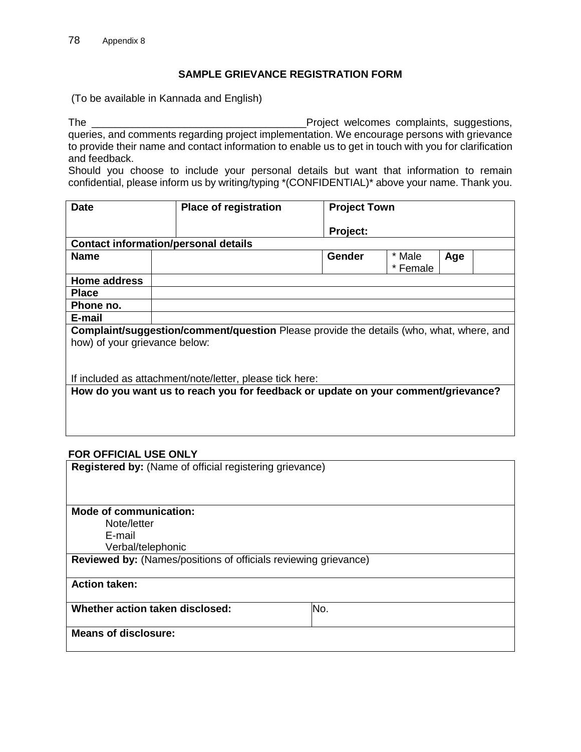### **SAMPLE GRIEVANCE REGISTRATION FORM**

(To be available in Kannada and English)

The **The Europe and Complaints** entering the complaints, suggestions, and the project welcomes complaints, suggestions, queries, and comments regarding project implementation. We encourage persons with grievance to provide their name and contact information to enable us to get in touch with you for clarification and feedback.

Should you choose to include your personal details but want that information to remain confidential, please inform us by writing/typing \*(CONFIDENTIAL)\* above your name. Thank you.

| <b>Date</b>                                                                                                                     |  | <b>Place of registration</b>                                                      | <b>Project Town</b> |                    |     |  |
|---------------------------------------------------------------------------------------------------------------------------------|--|-----------------------------------------------------------------------------------|---------------------|--------------------|-----|--|
|                                                                                                                                 |  |                                                                                   | <b>Project:</b>     |                    |     |  |
| <b>Contact information/personal details</b>                                                                                     |  |                                                                                   |                     |                    |     |  |
| <b>Name</b>                                                                                                                     |  |                                                                                   | Gender              | * Male<br>* Female | Age |  |
| Home address                                                                                                                    |  |                                                                                   |                     |                    |     |  |
| <b>Place</b>                                                                                                                    |  |                                                                                   |                     |                    |     |  |
| Phone no.                                                                                                                       |  |                                                                                   |                     |                    |     |  |
| E-mail                                                                                                                          |  |                                                                                   |                     |                    |     |  |
| <b>Complaint/suggestion/comment/question</b> Please provide the details (who, what, where, and<br>how) of your grievance below: |  |                                                                                   |                     |                    |     |  |
|                                                                                                                                 |  | If included as attachment/note/letter, please tick here:                          |                     |                    |     |  |
|                                                                                                                                 |  | How do you want us to reach you for feedback or update on your comment/grievance? |                     |                    |     |  |

### **FOR OFFICIAL USE ONLY**

**Registered by:** (Name of official registering grievance)

**Mode of communication:** 

Note/letter

E-mail

Verbal/telephonic

**Reviewed by:** (Names/positions of officials reviewing grievance)

**Action taken:**

**Whether action taken disclosed:** No.

**Means of disclosure:**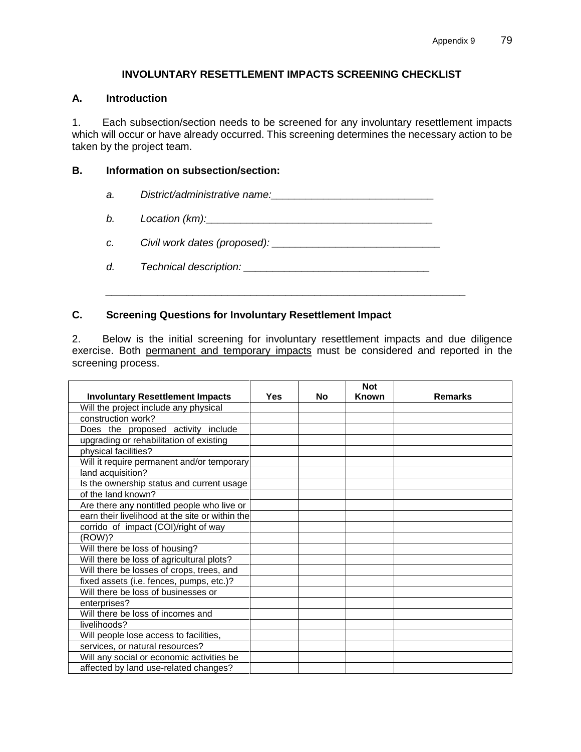## **INVOLUNTARY RESETTLEMENT IMPACTS SCREENING CHECKLIST**

### **A. Introduction**

1. Each subsection/section needs to be screened for any involuntary resettlement impacts which will occur or have already occurred. This screening determines the necessary action to be taken by the project team.

### **B. Information on subsection/section:**

- a. *District/administrative name: with the District/administrative name:*
- *b. Location (km):\_\_\_\_\_\_\_\_\_\_\_\_\_\_\_\_\_\_\_\_\_\_\_\_\_\_\_\_\_\_\_\_\_\_\_\_\_\_\_*
- *c. Civil work dates (proposed): \_\_\_\_\_\_\_\_\_\_\_\_\_\_\_\_\_\_\_\_\_\_\_\_\_\_\_\_\_*
- *d. Technical description: \_\_\_\_\_\_\_\_\_\_\_\_\_\_\_\_\_\_\_\_\_\_\_\_\_\_\_\_\_\_\_\_*

*\_\_\_\_\_\_\_\_\_\_\_\_\_\_\_\_\_\_\_\_\_\_\_\_\_\_\_\_\_\_\_\_\_\_\_\_\_\_\_\_\_\_\_\_\_\_\_\_\_\_\_\_\_\_\_\_\_\_\_\_\_\_* 

### **C. Screening Questions for Involuntary Resettlement Impact**

2. Below is the initial screening for involuntary resettlement impacts and due diligence exercise. Both permanent and temporary impacts must be considered and reported in the screening process.

| <b>Involuntary Resettlement Impacts</b>         | <b>Yes</b> | No | <b>Not</b><br>Known | <b>Remarks</b> |
|-------------------------------------------------|------------|----|---------------------|----------------|
| Will the project include any physical           |            |    |                     |                |
| construction work?                              |            |    |                     |                |
| Does the proposed activity include              |            |    |                     |                |
| upgrading or rehabilitation of existing         |            |    |                     |                |
| physical facilities?                            |            |    |                     |                |
| Will it require permanent and/or temporary      |            |    |                     |                |
| land acquisition?                               |            |    |                     |                |
| Is the ownership status and current usage       |            |    |                     |                |
| of the land known?                              |            |    |                     |                |
| Are there any nontitled people who live or      |            |    |                     |                |
| earn their livelihood at the site or within the |            |    |                     |                |
| corrido of impact (COI)/right of way            |            |    |                     |                |
| (ROW)?                                          |            |    |                     |                |
| Will there be loss of housing?                  |            |    |                     |                |
| Will there be loss of agricultural plots?       |            |    |                     |                |
| Will there be losses of crops, trees, and       |            |    |                     |                |
| fixed assets (i.e. fences, pumps, etc.)?        |            |    |                     |                |
| Will there be loss of businesses or             |            |    |                     |                |
| enterprises?                                    |            |    |                     |                |
| Will there be loss of incomes and               |            |    |                     |                |
| livelihoods?                                    |            |    |                     |                |
|                                                 |            |    |                     |                |
| Will people lose access to facilities,          |            |    |                     |                |
| services, or natural resources?                 |            |    |                     |                |
| Will any social or economic activities be       |            |    |                     |                |
| affected by land use-related changes?           |            |    |                     |                |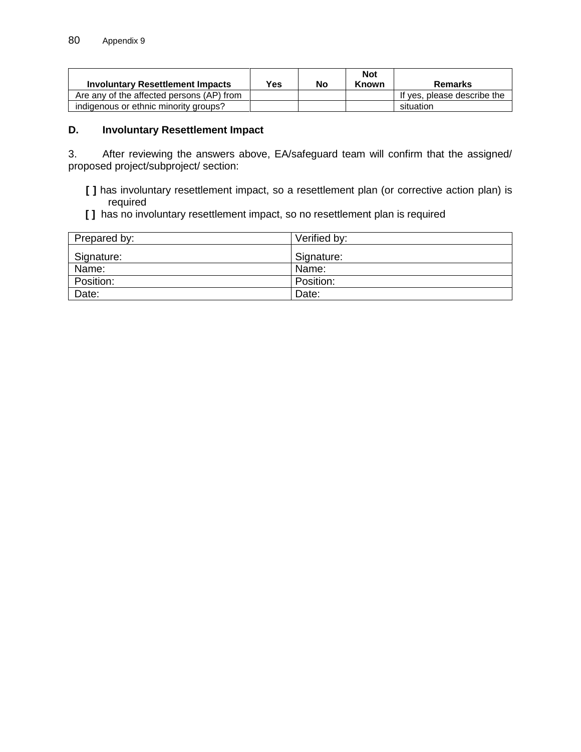| <b>Involuntary Resettlement Impacts</b>   | <b>Yes</b> | No | <b>Not</b><br>Known | Remarks                     |
|-------------------------------------------|------------|----|---------------------|-----------------------------|
| Are any of the affected persons (AP) from |            |    |                     | If yes, please describe the |
| indigenous or ethnic minority groups?     |            |    |                     | situation                   |

## **D. Involuntary Resettlement Impact**

3. After reviewing the answers above, EA/safeguard team will confirm that the assigned/ proposed project/subproject/ section:

- **[ ]** has involuntary resettlement impact, so a resettlement plan (or corrective action plan) is required
- **[ ]** has no involuntary resettlement impact, so no resettlement plan is required

| Prepared by: | Verified by: |
|--------------|--------------|
| Signature:   | Signature:   |
| Name:        | Name:        |
| Position:    | Position:    |
| Date:        | Date:        |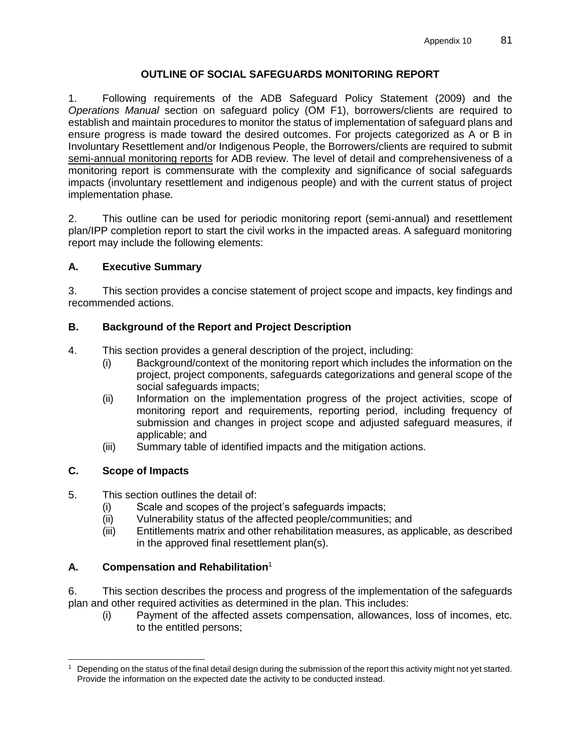# **OUTLINE OF SOCIAL SAFEGUARDS MONITORING REPORT**

1. Following requirements of the ADB Safeguard Policy Statement (2009) and the *Operations Manual* section on safeguard policy (OM F1), borrowers/clients are required to establish and maintain procedures to monitor the status of implementation of safeguard plans and ensure progress is made toward the desired outcomes. For projects categorized as A or B in Involuntary Resettlement and/or Indigenous People, the Borrowers/clients are required to submit semi-annual monitoring reports for ADB review. The level of detail and comprehensiveness of a monitoring report is commensurate with the complexity and significance of social safeguards impacts (involuntary resettlement and indigenous people) and with the current status of project implementation phase.

2. This outline can be used for periodic monitoring report (semi-annual) and resettlement plan/IPP completion report to start the civil works in the impacted areas. A safeguard monitoring report may include the following elements:

# **A. Executive Summary**

3. This section provides a concise statement of project scope and impacts, key findings and recommended actions.

# **B. Background of the Report and Project Description**

- 4. This section provides a general description of the project, including:
	- (i) Background/context of the monitoring report which includes the information on the project, project components, safeguards categorizations and general scope of the social safeguards impacts;
	- (ii) Information on the implementation progress of the project activities, scope of monitoring report and requirements, reporting period, including frequency of submission and changes in project scope and adjusted safeguard measures, if applicable; and
	- (iii) Summary table of identified impacts and the mitigation actions.

# **C. Scope of Impacts**

- 5. This section outlines the detail of:
	- (i) Scale and scopes of the project's safeguards impacts;
	- (ii) Vulnerability status of the affected people/communities; and
	- (iii) Entitlements matrix and other rehabilitation measures, as applicable, as described in the approved final resettlement plan(s).

# **A. Compensation and Rehabilitation**<sup>1</sup>

6. This section describes the process and progress of the implementation of the safeguards plan and other required activities as determined in the plan. This includes:

(i) Payment of the affected assets compensation, allowances, loss of incomes, etc. to the entitled persons;

 $\overline{a}$ Depending on the status of the final detail design during the submission of the report this activity might not yet started. Provide the information on the expected date the activity to be conducted instead.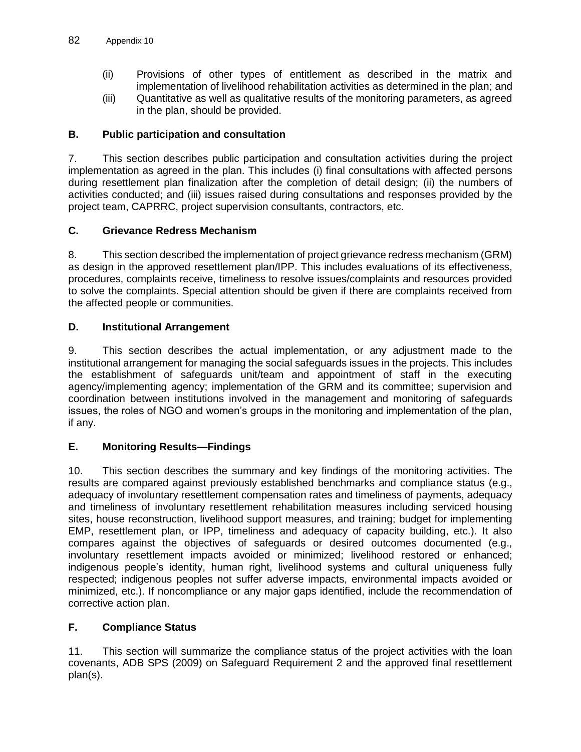- (ii) Provisions of other types of entitlement as described in the matrix and implementation of livelihood rehabilitation activities as determined in the plan; and
- (iii) Quantitative as well as qualitative results of the monitoring parameters, as agreed in the plan, should be provided.

# **B. Public participation and consultation**

7. This section describes public participation and consultation activities during the project implementation as agreed in the plan. This includes (i) final consultations with affected persons during resettlement plan finalization after the completion of detail design; (ii) the numbers of activities conducted; and (iii) issues raised during consultations and responses provided by the project team, CAPRRC, project supervision consultants, contractors, etc.

## **C. Grievance Redress Mechanism**

8. This section described the implementation of project grievance redress mechanism (GRM) as design in the approved resettlement plan/IPP. This includes evaluations of its effectiveness, procedures, complaints receive, timeliness to resolve issues/complaints and resources provided to solve the complaints. Special attention should be given if there are complaints received from the affected people or communities.

## **D. Institutional Arrangement**

9. This section describes the actual implementation, or any adjustment made to the institutional arrangement for managing the social safeguards issues in the projects. This includes the establishment of safeguards unit/team and appointment of staff in the executing agency/implementing agency; implementation of the GRM and its committee; supervision and coordination between institutions involved in the management and monitoring of safeguards issues, the roles of NGO and women's groups in the monitoring and implementation of the plan, if any.

### **E. Monitoring Results—Findings**

10. This section describes the summary and key findings of the monitoring activities. The results are compared against previously established benchmarks and compliance status (e.g., adequacy of involuntary resettlement compensation rates and timeliness of payments, adequacy and timeliness of involuntary resettlement rehabilitation measures including serviced housing sites, house reconstruction, livelihood support measures, and training; budget for implementing EMP, resettlement plan, or IPP, timeliness and adequacy of capacity building, etc.). It also compares against the objectives of safeguards or desired outcomes documented (e.g., involuntary resettlement impacts avoided or minimized; livelihood restored or enhanced; indigenous people's identity, human right, livelihood systems and cultural uniqueness fully respected; indigenous peoples not suffer adverse impacts, environmental impacts avoided or minimized, etc.). If noncompliance or any major gaps identified, include the recommendation of corrective action plan.

# **F. Compliance Status**

11. This section will summarize the compliance status of the project activities with the loan covenants, ADB SPS (2009) on Safeguard Requirement 2 and the approved final resettlement plan(s).